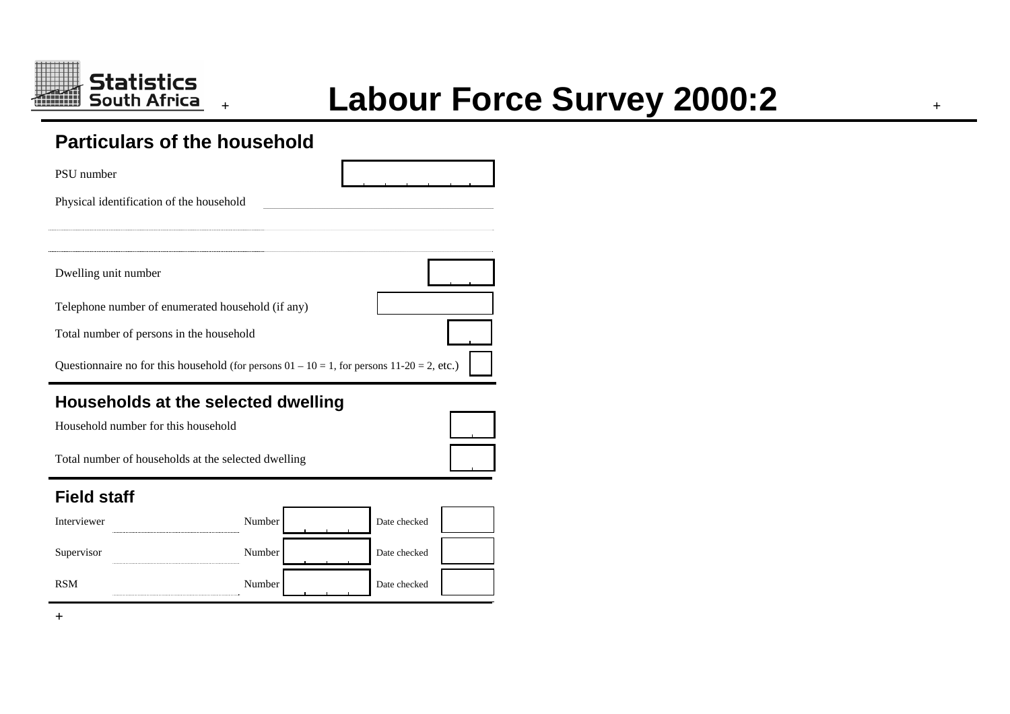

# **<sup>+</sup>Labour Force Survey 2000:2 <sup>+</sup>**

# **Particulars of the household**

| PSU number                                                                                       |  |  |  |
|--------------------------------------------------------------------------------------------------|--|--|--|
| Physical identification of the household                                                         |  |  |  |
|                                                                                                  |  |  |  |
|                                                                                                  |  |  |  |
| Dwelling unit number                                                                             |  |  |  |
| Telephone number of enumerated household (if any)                                                |  |  |  |
| Total number of persons in the household                                                         |  |  |  |
| Questionnaire no for this household (for persons $01 - 10 = 1$ , for persons $11-20 = 2$ , etc.) |  |  |  |
|                                                                                                  |  |  |  |

# **Households at the selected dwelling**

Household number for this household

Total number of households at the selected dwelling

# **Field staff**

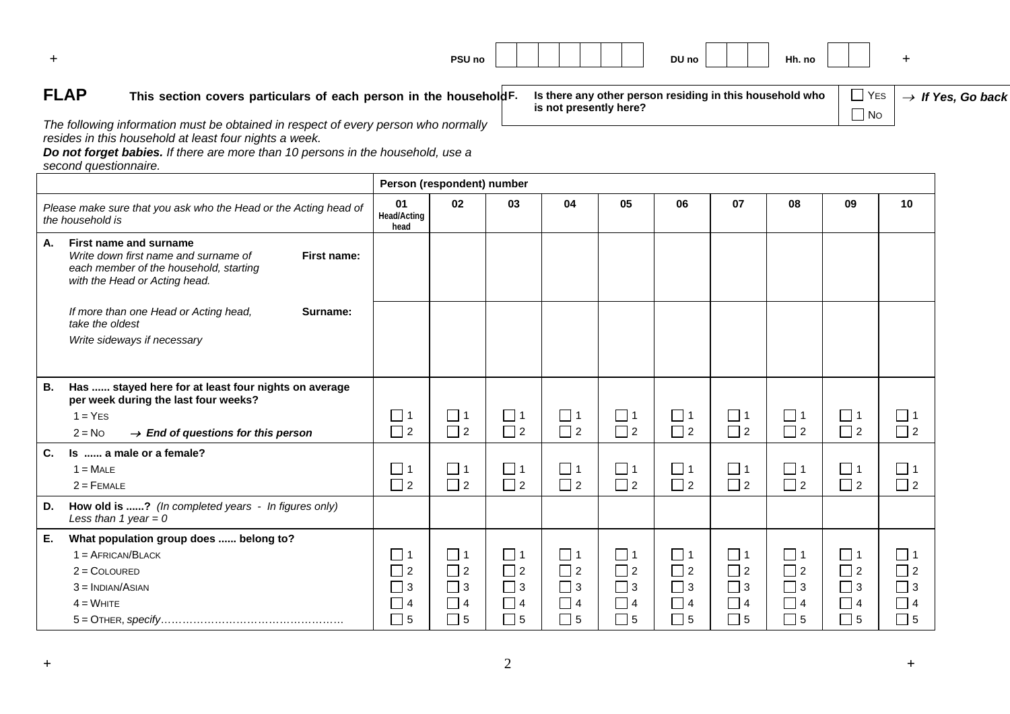| PSU no<br>---- |  |  | DU <sub>nc</sub> |  | <b>LIL.</b><br>Hh. no |  |  |
|----------------|--|--|------------------|--|-----------------------|--|--|

→ *If Yes, Go back* 

#### **FLAPThis section covers particulars of each person in the household**

**F. Is there any other person residing in this household who is not presently here?**  YES NO

*The following information must be obtained in respect of every person who normally resides in this household at least four nights a week.* 

*Do not forget babies. If there are more than 10 persons in the household, use a second questionnaire.*

|    |                                                                                                                                                          |                                  | Person (respondent) number |             |               |             |          |          |          |                      |          |
|----|----------------------------------------------------------------------------------------------------------------------------------------------------------|----------------------------------|----------------------------|-------------|---------------|-------------|----------|----------|----------|----------------------|----------|
|    | Please make sure that you ask who the Head or the Acting head of<br>the household is                                                                     | 01<br><b>Head/Acting</b><br>head | 02                         | 03          | 04            | 05          | 06       | 07       | 08       | 09                   | 10       |
| А. | First name and surname<br>Write down first name and surname of<br>First name:<br>each member of the household, starting<br>with the Head or Acting head. |                                  |                            |             |               |             |          |          |          |                      |          |
|    | If more than one Head or Acting head,<br>Surname:<br>take the oldest                                                                                     |                                  |                            |             |               |             |          |          |          |                      |          |
|    | Write sideways if necessary                                                                                                                              |                                  |                            |             |               |             |          |          |          |                      |          |
| В. | Has  stayed here for at least four nights on average<br>per week during the last four weeks?                                                             |                                  |                            |             |               |             |          |          |          |                      |          |
|    | $1 = YES$                                                                                                                                                | $\overline{\phantom{0}}$ 1       | $\Box$ 1                   | $\square$ 1 | $\Box$ 1      | $\Box$ 1    | $\Box$ 1 | $\Box$ 1 | $\Box$ 1 | $\Box$ 1             | $\Box$ 1 |
|    | $2 = No$<br>$\rightarrow$ End of questions for this person                                                                                               | $\Box$ 2                         | $\Box$ 2                   | $\Box$ 2    | $\Box$ 2      | $\Box$ 2    | $\Box$ 2 | $\Box$ 2 | $\Box$ 2 | $\Box$ 2             | $\Box$ 2 |
| C. | Is  a male or a female?                                                                                                                                  |                                  |                            |             |               |             |          |          |          |                      |          |
|    | $1 = MALE$                                                                                                                                               | $\Box$ 1                         | $\Box$ 1                   | $\square$ 1 | $\Box$ 1      | $\Box$ 1    | $\Box$ 1 | $\Box$ 1 | $\Box$ 1 | $\Box$ 1             | $\Box$ 1 |
|    | $2 =$ FEMALE                                                                                                                                             | $\Box$ 2                         | $\Box$ 2                   | $\Box$ 2    | $\Box$ 2      | $\Box$ 2    | $\Box$ 2 | $\Box$ 2 | $\Box$ 2 | $\prod$ <sub>2</sub> | $\Box$ 2 |
| D. | How old is ? (In completed years - In figures only)<br>Less than 1 year = $0$                                                                            |                                  |                            |             |               |             |          |          |          |                      |          |
| Е. | What population group does  belong to?                                                                                                                   |                                  |                            |             |               |             |          |          |          |                      |          |
|    | $1 = \text{AFRICAN/BLACK}$                                                                                                                               | $\Box$<br>-1                     | $\Box$ 1                   | $\Box$ 1    | $\Box$ 1      | $\Box$ 1    | $\Box$ 1 | $\Box$ 1 | $\Box$ 1 | $\Box$ 1             | $\Box$ 1 |
|    | $2 = \text{C}$ OLOURED                                                                                                                                   | $\sqsupset$ 2                    | $\Box$ 2                   | $\Box$ 2    | $\sqsupset$ 2 | $\Box$ 2    | $\Box$ 2 | $\Box$ 2 | $\Box$ 2 | $\Box$ 2             | $\Box$ 2 |
|    | $3 =$ INDIAN/ASIAN                                                                                                                                       | $\overline{3}$                   | $\Box$ 3                   | $\Box$ 3    | $\Box$ 3      | $\Box$ 3    | $\Box$ 3 | $\Box$ 3 | $\Box$ 3 | $\Box$ 3             | $\Box$ 3 |
|    | $4 =$ WHITE                                                                                                                                              | $\overline{4}$                   | $\Box$ 4                   | $\Box$ 4    | $\Box$ 4      | $\Box$ 4    | $\Box$ 4 | $\Box$ 4 | $\Box$ 4 | $\Box$ 4             | $\Box$ 4 |
|    |                                                                                                                                                          | $\overline{\phantom{0}}$ 5       | $\Box$ 5                   | $\Box$ 5    | $\Box$ 5      | $\square$ 5 | $\Box$ 5 | $\Box$ 5 | $\Box$ 5 | $\Box$ 5             | $\Box$ 5 |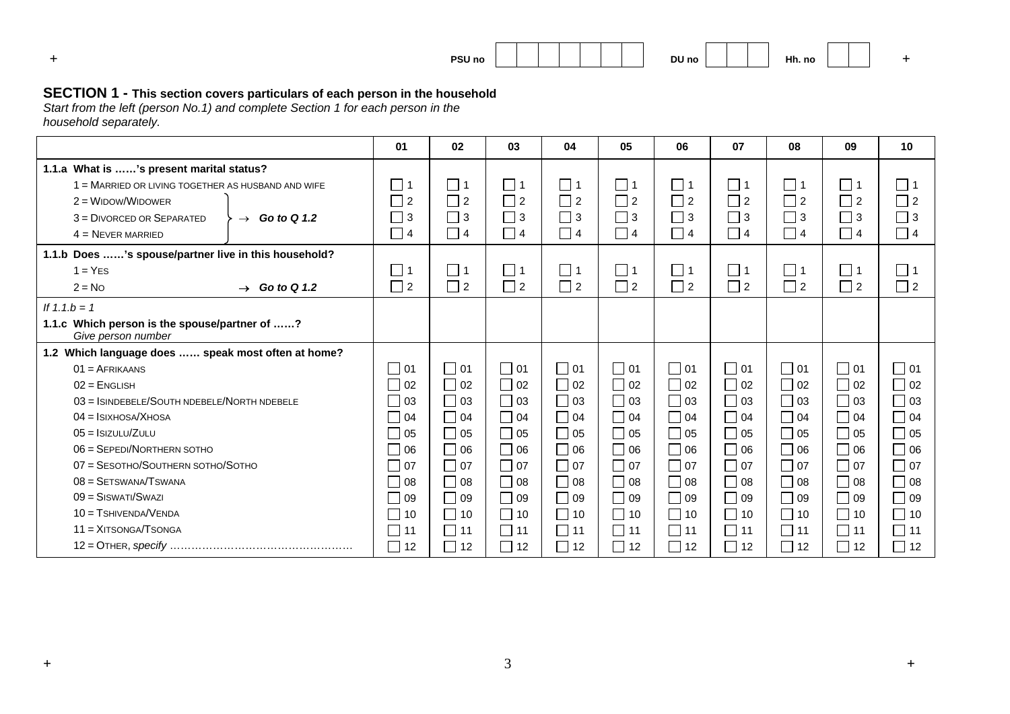

# **SECTION 1 - This section covers particulars of each person in the household**

*Start from the left (person No.1) and complete Section 1 for each person in the household separately.* 

|                                                                        | 01           | 02        | 03        | 04                 | 05        | 06        | 07        | 08                          | 09        | 10          |
|------------------------------------------------------------------------|--------------|-----------|-----------|--------------------|-----------|-----------|-----------|-----------------------------|-----------|-------------|
| 1.1.a What is 's present marital status?                               |              |           |           |                    |           |           |           |                             |           |             |
| 1 = MARRIED OR LIVING TOGETHER AS HUSBAND AND WIFE                     | $\Box$ 1     | $\Box$ 1  | $\Box$ 1  | $\Box$ 1           | $\Box$ 1  | $\Box$ 1  | $\Box$ 1  | $\Box$ 1                    | $\Box$ 1  | $\Box$ 1    |
| $2 =$ Widow/Widower                                                    | $\Box$ 2     | $\Box$ 2  | $\Box$ 2  | $\Box$ 2           | $\Box$ 2  | $\Box$ 2  | $\Box$ 2  | $\Box$ 2                    | $\Box$ 2  | $\Box$ 2    |
| $3 = DivORCEDOR$ SEPARATED<br>$\rightarrow$ Go to Q 1.2                | $\Box$ 3     | $\Box$ 3  | $\Box$ 3  | $\Box$ 3           | $\Box$ 3  | $\Box$ 3  | $\Box$ 3  | $\Box$ 3                    | $\Box$ 3  | $\square$ 3 |
| $4 =$ NEVER MARRIED                                                    | $\Box$ 4     | $\Box$ 4  | $\Box$ 4  | $\Box$ 4           | $\Box$ 4  | $\Box$ 4  | $\Box$ 4  | $ $   4                     | $\Box$ 4  | $\Box$ 4    |
| 1.1.b Does 's spouse/partner live in this household?                   |              |           |           |                    |           |           |           |                             |           |             |
| $1 = YES$                                                              | $\Box$ 1     | $\Box$ 1  | 囗 1       | $\Box$ 1           | $\Box$ 1  | $\Box$ 1  | $\Box$ 1  | 1                           | $\Box$ 1  | □ 1         |
| $2 = No$<br>$\rightarrow$ Go to Q 1.2                                  | $\Box$ 2     | $\Box$ 2  | $\Box$ 2  | $\Box$ 2           | $\Box$ 2  | $\Box$ 2  | $\Box$ 2  | $\Box$ 2                    | $\Box$ 2  | $\Box$ 2    |
| If $1.1.b = 1$                                                         |              |           |           |                    |           |           |           |                             |           |             |
| Which person is the spouse/partner of ?<br>1.1.c<br>Give person number |              |           |           |                    |           |           |           |                             |           |             |
| 1.2 Which language does  speak most often at home?                     |              |           |           |                    |           |           |           |                             |           |             |
| $01 =$ AFRIKAANS                                                       | $\Box$ 01    | $\Box$ 01 | $\Box$ 01 | $\Box$ 01          | $\Box$ 01 | $\Box$ 01 | $\Box$ 01 | $\Box$ 01                   | $\Box$ 01 | $\Box$ 01   |
| $02$ = ENGLISH                                                         | $\Box$ 02    | $\Box$ 02 | $\Box$ 02 | $\Box$ 02          | $\Box$ 02 | $\Box$ 02 | $\Box$ 02 | $\Box$ 02                   | $\Box$ 02 | $\Box$ 02   |
| 03 = ISINDEBELE/SOUTH NDEBELE/NORTH NDEBELE                            | $\Box$ 03    | $\Box$ 03 | $\Box$ 03 |                    | $\Box$ 03 | $\Box$ 03 | $\Box$ 03 | 03 ⊡                        | $\Box$ 03 | $\Box$ 03   |
| $04 =$ ISIXHOSA/XHOSA                                                  | $\Box$ 04    | $\Box$ 04 | $\Box$ 04 | $\Box$ 04          | $\Box$ 04 | $\Box$ 04 | $\Box$ 04 | $\Box$ 04                   | $\Box$ 04 | $\Box$ 04   |
| $05 =$ ISIZULU/ZULU                                                    | $\Box$ 05    | $\Box$ 05 | $\Box$ 05 | $\Box$ 05          | $\Box$ 05 | $\Box$ 05 | $\Box$ 05 | $\overline{\phantom{0}}$ 05 | $\Box$ 05 | $\Box$ 05   |
| 06 = SEPEDI/NORTHERN SOTHO                                             | $\Box$ 06    | $\Box$ 06 | $\Box$ 06 | $\Box$ 06          | $\Box$ 06 | $\Box$ 06 | $\Box$ 06 | $\Box$ 06                   | $\Box$ 06 | $\Box$ 06   |
| 07 = SESOTHO/SOUTHERN SOTHO/SOTHO                                      | $\Box$ 07    | $\Box$ 07 | $\Box$ 07 | 07                 | $\Box$ 07 | $\Box$ 07 | $\Box$ 07 | $\Box$ 07                   | $\Box$ 07 | $\Box$ 07   |
| $08 =$ SETSWANA/TSWANA                                                 | $\Box$ 08    | $\Box$ 08 | $\Box$ 08 | 08                 | $\Box$ 08 | $\Box$ 08 | $\Box$ 08 | $\Box$ 08                   | $\Box$ 08 | $\Box$ 08   |
| $09 =$ SISWATI/SWAZI                                                   | $\Box$ 09    | $\Box$ 09 | $\Box$ 09 | $\Box$ 09          | $\Box$ 09 | $\Box$ 09 | $\Box$ 09 | $\Box$ 09                   | $\Box$ 09 | $\Box$ 09   |
| 10 = TSHIVENDA/VENDA                                                   | $\vert$   10 | $\Box$ 10 | $\Box$ 10 | 10<br>$\mathbf{1}$ | $\Box$ 10 | $\Box$ 10 | $\Box$ 10 | $\Box$ 10                   | $\Box$ 10 | $\Box$ 10   |
| $11 = XITSONGA/TSONGA$                                                 | $\Box$ 11    | $\Box$ 11 | $\Box$ 11 | $\Box$ 11          | $\Box$ 11 | $\Box$ 11 | $\Box$ 11 | $\Box$ 11                   | $\Box$ 11 | $\Box$ 11   |
|                                                                        | $\Box$ 12    | $\Box$ 12 | $\Box$ 12 | 12<br>$\mathbf{1}$ | $\Box$ 12 | $\Box$ 12 | $\Box$ 12 | $\Box$ 12                   | $\Box$ 12 | $\Box$ 12   |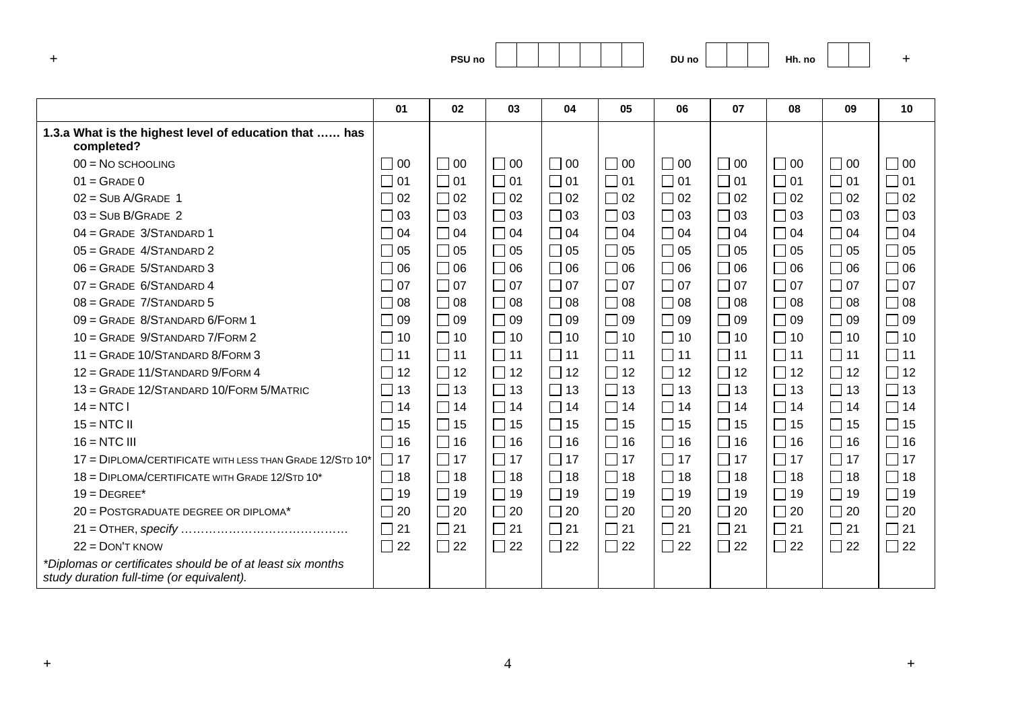|                                                                                                         | 01        | 02        | 03        | 04        | 05        | 06        | 07        | 08        | 09        | 10           |
|---------------------------------------------------------------------------------------------------------|-----------|-----------|-----------|-----------|-----------|-----------|-----------|-----------|-----------|--------------|
| 1.3.a What is the highest level of education that  has<br>completed?                                    |           |           |           |           |           |           |           |           |           |              |
| $00 = No$ SCHOOLING                                                                                     | $\Box$ 00 | $\Box$ 00 | $\Box$ 00 | $\Box$ 00 | $\Box$ 00 | $\Box$ 00 | $\Box$ 00 | $\Box$ 00 | $\Box$ 00 | $\Box$ 00    |
| $01 =$ GRADE 0                                                                                          | $\Box$ 01 | $\Box$ 01 | $\Box$ 01 | $\Box$ 01 | $\Box$ 01 | $\Box$ 01 | $\Box$ 01 | $\Box$ 01 | $\Box$ 01 | $\Box$ 01    |
| 02 = SUB A/GRADE 1                                                                                      | $\Box$ 02 | $\Box$ 02 | $\Box$ 02 | $\Box$ 02 | $\Box$ 02 | $\Box$ 02 | $\Box$ 02 | $\Box$ 02 | $\Box$ 02 | $\Box$ 02    |
| $03 = SUB B/GRAPHE 2$                                                                                   | $\Box$ 03 | $\Box$ 03 | $\Box$ 03 | $\Box$ 03 | $\Box$ 03 | $\Box$ 03 | $\Box$ 03 | $\Box$ 03 | $\Box$ 03 | $\Box$ 03    |
| 04 = GRADE 3/STANDARD 1                                                                                 | $\Box$ 04 | $\Box$ 04 | $\Box$ 04 | $\Box$ 04 | $\Box$ 04 | $\Box$ 04 | $\Box$ 04 | $\Box$ 04 | $\Box$ 04 | $\Box$ 04    |
| 05 = GRADE 4/STANDARD 2                                                                                 | $\Box$ 05 | $\Box$ 05 | $\Box$ 05 | $\Box$ 05 | $\Box$ 05 | $\Box$ 05 | $\Box$ 05 | $\Box$ 05 | $\Box$ 05 | $\square$ 05 |
| $06 =$ GRADE 5/STANDARD 3                                                                               | $\Box$ 06 | $\Box$ 06 | $\Box$ 06 | $\Box$ 06 | $\Box$ 06 | $\Box$ 06 | $\Box$ 06 | $\Box$ 06 | $\Box$ 06 | $\Box$ 06    |
| 07 = GRADE 6/STANDARD 4                                                                                 | $\Box$ 07 | $\Box$ 07 | $\Box$ 07 | $\Box$ 07 | $\Box$ 07 | $\Box$ 07 | $\Box$ 07 | $\Box$ 07 | $\Box$ 07 | $\Box$ 07    |
| $08 =$ GRADE $7/$ STANDARD 5                                                                            | $\Box$ 08 | $\Box$ 08 | $\Box$ 08 | $\Box$ 08 | $\Box$ 08 | $\Box$ 08 | $\Box$ 08 | $\Box$ 08 | $\Box$ 08 | $\Box$ 08    |
| 09 = GRADE 8/STANDARD 6/FORM 1                                                                          | $\Box$ 09 | $\Box$ 09 | $\Box$ 09 | $\Box$ 09 | $\Box$ 09 | $\Box$ 09 | $\Box$ 09 | $\Box$ 09 | $\Box$ 09 | $\Box$ 09    |
| 10 = GRADE 9/STANDARD 7/FORM 2                                                                          | $\Box$ 10 | $\Box$ 10 | $\Box$ 10 | $\Box$ 10 | $\Box$ 10 | $\Box$ 10 | $\Box$ 10 | $\Box$ 10 | $\Box$ 10 | $\Box$ 10    |
| 11 = GRADE 10/STANDARD 8/FORM 3                                                                         | $\Box$ 11 | $\Box$ 11 | $\Box$ 11 | $\Box$ 11 | $\Box$ 11 | $\Box$ 11 | $\Box$ 11 | $\Box$ 11 | $\Box$ 11 | $\Box$ 11    |
| 12 = GRADE 11/STANDARD 9/FORM 4                                                                         | $\Box$ 12 | $\Box$ 12 | $\Box$ 12 | $\Box$ 12 | $\Box$ 12 | $\Box$ 12 | $\Box$ 12 | $\Box$ 12 | $\Box$ 12 | $\Box$ 12    |
| 13 = GRADE 12/STANDARD 10/FORM 5/MATRIC                                                                 | $\Box$ 13 | $\Box$ 13 | $\Box$ 13 | $\Box$ 13 | $\Box$ 13 | $\Box$ 13 | $\Box$ 13 | $\Box$ 13 | $\Box$ 13 | $\Box$ 13    |
| $14 = NTCI$                                                                                             | $\Box$ 14 | $\Box$ 14 | $\Box$ 14 | $\Box$ 14 | $\Box$ 14 | $\Box$ 14 | $\Box$ 14 | $\Box$ 14 | $\Box$ 14 | $\Box$ 14    |
| $15 = NTC$ II                                                                                           | $\Box$ 15 | $\Box$ 15 | $\Box$ 15 | $\Box$ 15 | $\Box$ 15 | $\Box$ 15 | $\Box$ 15 | $\Box$ 15 | $\Box$ 15 | $\Box$ 15    |
| $16 = NTC$ III                                                                                          | $\Box$ 16 | $\Box$ 16 | $\Box$ 16 | $\Box$ 16 | $\Box$ 16 | $\Box$ 16 | $\Box$ 16 | $\Box$ 16 | $\Box$ 16 | $\Box$ 16    |
| 17 = DIPLOMA/CERTIFICATE WITH LESS THAN GRADE 12/STD 10*                                                | $\Box$ 17 | $\Box$ 17 | $\Box$ 17 | $\Box$ 17 | $\Box$ 17 | $\Box$ 17 | $\Box$ 17 | $\Box$ 17 | $\Box$ 17 | $\Box$ 17    |
| 18 = DIPLOMA/CERTIFICATE WITH GRADE 12/STD 10*                                                          | $\Box$ 18 | $\Box$ 18 | $\Box$ 18 | $\Box$ 18 | $\Box$ 18 | $\Box$ 18 | $\Box$ 18 | $\Box$ 18 | $\Box$ 18 | $\Box$ 18    |
| $19 =$ DEGREE*                                                                                          | $\Box$ 19 | $\Box$ 19 | $\Box$ 19 | $\Box$ 19 | $\Box$ 19 | $\Box$ 19 | $\Box$ 19 | $\Box$ 19 | $\Box$ 19 | $\Box$ 19    |
| 20 = POSTGRADUATE DEGREE OR DIPLOMA*                                                                    | $\Box$ 20 | $\Box$ 20 | $\Box$ 20 | $\Box$ 20 | $\Box$ 20 | $\Box$ 20 | $\Box$ 20 | $\Box$ 20 | $\Box$ 20 | $\Box$ 20    |
|                                                                                                         | $\Box$ 21 | $\Box$ 21 | $\Box$ 21 | $\Box$ 21 | $\Box$ 21 | $\Box$ 21 | $\Box$ 21 | $\Box$ 21 | $\Box$ 21 | $\Box$ 21    |
| $22 =$ DON'T KNOW                                                                                       | $\Box$ 22 | $\Box$ 22 | $\Box$ 22 | $\Box$ 22 | $\Box$ 22 | $\Box$ 22 | $\Box$ 22 | $\Box$ 22 | $\Box$ 22 | $\Box$ 22    |
| *Diplomas or certificates should be of at least six months<br>study duration full-time (or equivalent). |           |           |           |           |           |           |           |           |           |              |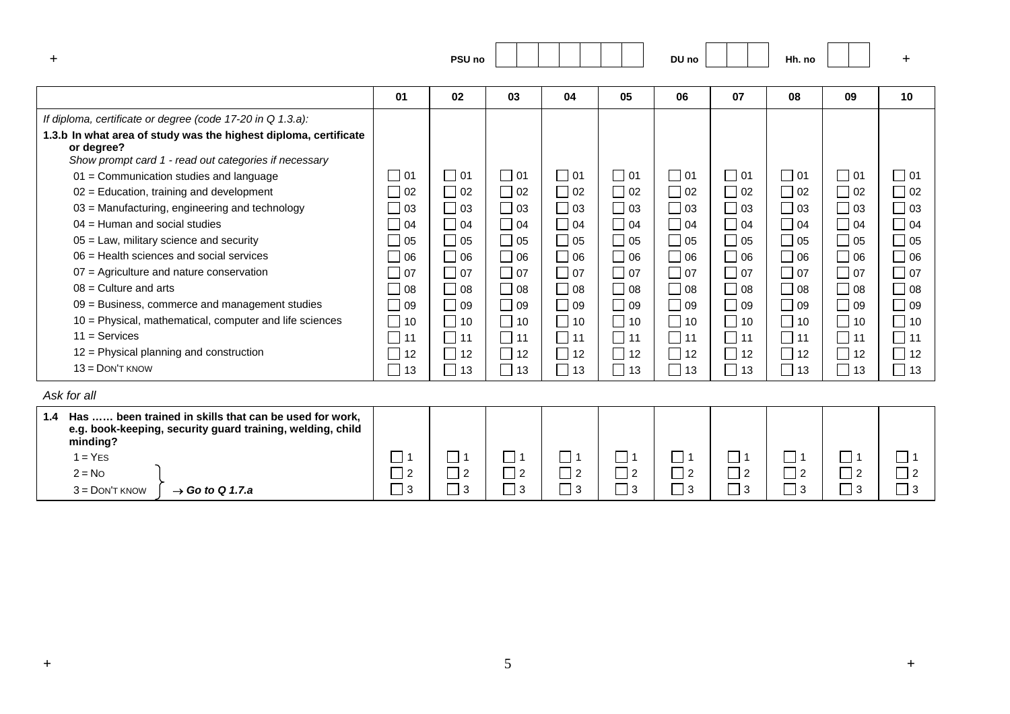$+$ 

|                                                                                                                                         | 01           | 02            | 03                          | 04        | 05        | 06                            | 07             | 08        | 09            | 10                             |
|-----------------------------------------------------------------------------------------------------------------------------------------|--------------|---------------|-----------------------------|-----------|-----------|-------------------------------|----------------|-----------|---------------|--------------------------------|
| If diploma, certificate or degree (code 17-20 in Q 1.3.a):                                                                              |              |               |                             |           |           |                               |                |           |               |                                |
| 1.3.b In what area of study was the highest diploma, certificate<br>or degree?<br>Show prompt card 1 - read out categories if necessary |              |               |                             |           |           |                               |                |           |               |                                |
| 01 = Communication studies and language                                                                                                 | 01           | $\Box$ 01     | $\overline{\phantom{0}}$ 01 | $\Box$ 01 | $\Box$ 01 | $\Box$ 01                     | $\Box$ 01      | $\Box$ 01 | 01            | $\Box$ 01                      |
| $02$ = Education, training and development                                                                                              | $\Box$ 02    | $\Box$ 02     | $\Box$ 02                   | $\Box$ 02 | $\Box$ 02 | $\Box$ 02                     | $\Box$ 02      | $\Box$ 02 | $\Box$ 02     | $\Box$ 02                      |
| $03$ = Manufacturing, engineering and technology                                                                                        | 03           | $\Box$ 03     | 03                          | $\Box$ 03 | $\Box$ 03 | $\Box$ 03                     | $\Box$ 03      | $\Box$ 03 | $\Box$ 03     | $\Box$ 03                      |
| $04$ = Human and social studies                                                                                                         | □ 04         | $\Box$ 04     | 04                          | $\Box$ 04 | $\Box$ 04 | $\Box$ 04                     | $\Box$ 04      | $\Box$ 04 | $\Box$ 04     | $\Box$ 04                      |
| $05 =$ Law, military science and security                                                                                               | ∩ 05         | $\Box$ 05     | 05                          | $\Box$ 05 | $\Box$ 05 | $\Box$ 05                     | $\Box$ 05      | $\Box$ 05 | 05            | $\Box$ 05                      |
| $06$ = Health sciences and social services                                                                                              | ට 06         | □ 06          | 06                          | $\Box$ 06 | $\Box$ 06 | $\mid$ 06                     | $\Box$ 06      | $\Box$ 06 | 106           | $\Box$ 06                      |
| $07$ = Agriculture and nature conservation                                                                                              | □ 07         | $\Box$ 07     | $\Box$ 07                   | $\Box$ 07 | $\Box$ 07 | $\Box$ 07                     | $\Box$ 07      | $\Box$ 07 | $\Box$ 07     | $\Box$ 07                      |
| $08 =$ Culture and arts                                                                                                                 | ⊟ 08         | $\Box$ 08     | 08                          | $\Box$ 08 | $\Box$ 08 | $\bigcap$ 08                  | $\Box$ 08      | $\Box$ 08 | $\Box$ 08     | $\overline{\phantom{0}}$ 08    |
| 09 = Business, commerce and management studies                                                                                          | $\square$ 09 | $\Box$ 09     | 09                          | $\Box$ 09 | $\Box$ 09 | $\Box$ 09                     | $\Box$ 09      | $\Box$ 09 | $\Box$ 09     | $\Box$ 09                      |
| 10 = Physical, mathematical, computer and life sciences                                                                                 | $\Box$ 10    | $\Box$ 10     | $\Box$ 10                   | $\Box$ 10 | $\Box$ 10 | 10<br>$\perp$                 | $\Box$ 10      | $\Box$ 10 | $\vert$ 10    | $\Box$ 10                      |
| $11 =$ Services                                                                                                                         | $\Box$<br>11 | 11            | $\Box$ 11                   | $\Box$ 11 | $\Box$ 11 | 11<br>$\perp$                 | $\Box$ 11      | $\Box$ 11 | 111           | $\Box$ 11                      |
| 12 = Physical planning and construction                                                                                                 | $\Box$<br>12 | 12            | 12                          | $\Box$ 12 | $\Box$ 12 | 12                            | $\Box$ 12      | $\Box$ 12 | $\vert$ 12    | $\overline{\phantom{0}}$<br>12 |
| $13 =$ DON'T KNOW                                                                                                                       | $\Box$ 13    | $\Box$ 13     | $\Box$ 13                   | $\Box$ 13 | $\Box$ 13 | $\Box$ 13                     | $\Box$ 13      | $\Box$ 13 | $\Box$ 13     | $\Box$ 13                      |
| Ask for all                                                                                                                             |              |               |                             |           |           |                               |                |           |               |                                |
| 1.4<br>Has  been trained in skills that can be used for work,<br>e.g. book-keeping, security guard training, welding, child<br>minding? |              |               |                             |           |           |                               |                |           |               |                                |
| $1 = YES$                                                                                                                               | □ 1          | $\Box$ 1      | $\Box$ 1                    | $\Box$ 1  | $\Box$ 1  | $\Box$ 1                      | $\Box$ 1       | $\Box$ 1  | ヿ1            | $\Box$ 1                       |
| $2 = No$                                                                                                                                | $\Box$ 2     | $\sqsupset$ 2 | $\Box$ 2                    | $\Box$ 2  | $\Box$ 2  | $\Box$ 2                      | $\Box$ 2       | $\Box$ 2  | $\sqsupset$ 2 | $\Box$ 2                       |
| $3 =$ DON'T KNOW<br>$\rightarrow$ Go to Q 1.7.a                                                                                         | $\Box$ 3     | $\sqsupset$ 3 | $\Box$ 3                    | $\Box$ 3  | $\Box$ 3  | $\overline{\phantom{0}}$<br>3 | $\overline{3}$ | $\Box$ 3  | $\sqsupset$ 3 | 3                              |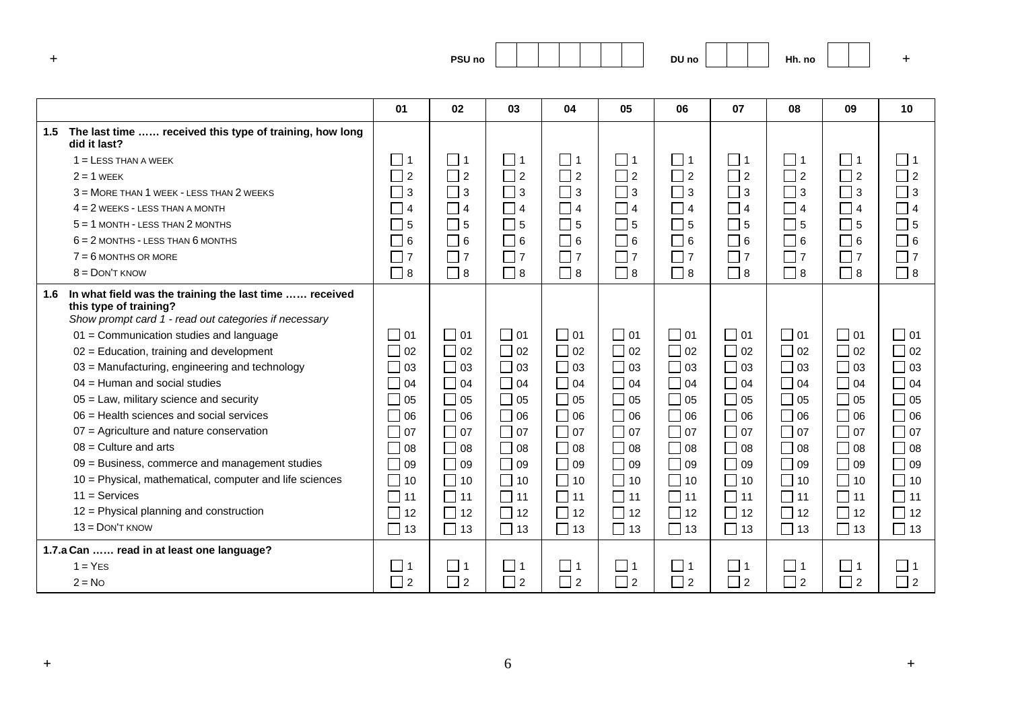|     |                                                                                                                                           | 01                         | 02        | 03        | 04                                | 05        | 06           | 07           | 08                         | 09                  | 10        |
|-----|-------------------------------------------------------------------------------------------------------------------------------------------|----------------------------|-----------|-----------|-----------------------------------|-----------|--------------|--------------|----------------------------|---------------------|-----------|
|     | 1.5 The last time  received this type of training, how long<br>did it last?                                                               |                            |           |           |                                   |           |              |              |                            |                     |           |
|     | $1 =$ LESS THAN A WEEK                                                                                                                    | $\blacksquare$ 1           | $\Box$ 1  | $\Box$ 1  | $\square$ 1                       | $\Box$ 1  | $\Box$ 1     | $\Box$ 1     | $\Box$ 1                   | ヿ1                  | $\Box$ 1  |
|     | $2 = 1$ WEEK                                                                                                                              | $\sqsupset$ 2              | $\Box$ 2  | $\Box$ 2  | $\Box$ 2                          | $\Box$ 2  | $\Box$ 2     | $\Box$ 2     | $\sqsupset$ 2              | $\Box$ 2            | $\Box$ 2  |
|     | 3 = MORE THAN 1 WEEK - LESS THAN 2 WEEKS                                                                                                  | $\sqsupset$ 3              | $\Box$ 3  | $\Box$ 3  | $\Box$ 3                          | $\Box$ 3  | $\Box$ 3     | $\Box$ 3     | $\Box$ 3                   | ┓<br>3              | $\Box$ 3  |
|     | $4 = 2$ WEEKS - LESS THAN A MONTH                                                                                                         | $\bigcap$ 4                | $\Box$ 4  | $\Box$ 4  | $\Box$ 4                          | $\Box$ 4  | $\Box$ 4     | $\Box$ 4     | $\bigcap$ 4                | $\Box$ 4            | $\Box$ 4  |
|     | $5 = 1$ MONTH - LESS THAN 2 MONTHS                                                                                                        | $\overline{\phantom{a}}$ 5 | $\Box$ 5  | $\Box$ 5  | $\Box$ 5                          | $\Box$ 5  | $\Box$ 5     | $\Box$ 5     | $\overline{1}5$            | ヿ5                  | $\Box$ 5  |
|     | $6 = 2$ MONTHS - LESS THAN $6$ MONTHS                                                                                                     | ヿ 6                        | $\Box$ 6  | $\Box$ 6  | $\Box$ 6                          | $\Box$ 6  | $\Box$ 6     | $\Box$ 6     | $\overline{\phantom{0}}$ 6 | ヿ 6                 | 6         |
|     | $7 = 6$ MONTHS OR MORE                                                                                                                    | $\overline{\phantom{a}}$ 7 | $\Box$ 7  | $\Box$ 7  | $\Box$ 7                          | $\Box$ 7  | $\Box$ 7     | $\Box$ 7     | $\overline{\phantom{a}}$ 7 | ┓<br>$\overline{7}$ | $\Box$ 7  |
|     | $8 =$ DON'T KNOW                                                                                                                          | $\sqsupset$ 8              | $\Box$ 8  | $\Box$ 8  | $\Box$ 8                          | $\Box$ 8  | $\Box$ 8     | $\Box$ 8     | $\Box$ 8                   | $\Box$ 8            | $\Box$ 8  |
| 1.6 | In what field was the training the last time  received<br>this type of training?<br>Show prompt card 1 - read out categories if necessary |                            |           |           |                                   |           |              |              |                            |                     |           |
|     | 01 = Communication studies and language                                                                                                   |                            | $\Box$ 01 | $\Box$ 01 | $\Box$ 01                         | $\Box$ 01 | $\Box$ 01    | $\Box$ 01    | $\Box$ 01                  | $\Box$ 01           | $\Box$ 01 |
|     | $02$ = Education, training and development                                                                                                | 02                         | $\Box$ 02 | $\Box$ 02 | $\Box$ 02                         | $\Box$ 02 | $\Box$ 02    | $\Box$ 02    | 02                         | $\Box$ 02           | $\Box$ 02 |
|     | 03 = Manufacturing, engineering and technology                                                                                            | 03                         | $\Box$ 03 | 冂 03      | $\Box$ 03                         | $\Box$ 03 | $\Box$ 03    | $\Box$ 03    | $\Box$ 03                  | $\Box$ 03           | $\Box$ 03 |
|     | $04$ = Human and social studies                                                                                                           | 04                         | $\Box$ 04 | $\Box$ 04 | $\Box$<br>04                      | $\Box$ 04 | $\Box$ 04    | $\Box$ 04    | $\Box$ 04                  | $\Box$ 04           | $\Box$ 04 |
|     | 05 = Law, military science and security                                                                                                   | 05                         | $\Box$ 05 | □ 05      | $\Box$<br>05                      | $\Box$ 05 | $\Box$ 05    | $\Box$ 05    | □ 05                       | 05                  | $\Box$ 05 |
|     | $06$ = Health sciences and social services                                                                                                | 06                         | $\Box$ 06 | $\Box$ 06 | $\mathcal{L}_{\mathcal{A}}$<br>06 | $\Box$ 06 | $\Box$ 06    | П<br>06      | $\Box$ 06                  | $\Box$ 06           | $\Box$ 06 |
|     | 07 = Agriculture and nature conservation                                                                                                  | 07                         | $\Box$ 07 | $\Box$ 07 | $\Box$<br>07                      | $\Box$ 07 | $\Box$ 07    | $\Box$ 07    | $\Box$ 07                  | $\Box$ 07           | $\Box$ 07 |
|     | $08$ = Culture and arts                                                                                                                   | 08                         | $\Box$ 08 | $\Box$ 08 | $\Box$ 08                         | $\Box$ 08 | $\bigcap$ 08 | $\Box$ 08    | $\Box$ 08                  | $\Box$ 08           | $\Box$ 08 |
|     | 09 = Business, commerce and management studies                                                                                            | 09                         | $\Box$ 09 | $\Box$ 09 | $\Box$<br>09                      | $\Box$ 09 | $\Box$ 09    | $\Box$<br>09 | $\Box$ 09                  | 09                  | $\Box$ 09 |
|     | 10 = Physical, mathematical, computer and life sciences                                                                                   | 10                         | $\Box$ 10 | $\Box$ 10 | $\Box$ 10                         | $\Box$ 10 | $\Box$ 10    | $\Box$<br>10 | $\Box$ 10                  | $\Box$<br>10        | $\Box$ 10 |
|     | $11 =$ Services                                                                                                                           | 11                         | $\Box$ 11 | $\Box$ 11 | $\Box$<br>11                      | $\Box$ 11 | $\Box$ 11    | $\Box$<br>11 | $\Box$ 11                  | $\Box$<br>11        | $\Box$ 11 |
|     | 12 = Physical planning and construction                                                                                                   | 12                         | $\Box$ 12 | $\Box$ 12 | $\Box$<br>12                      | $\Box$ 12 | $\Box$ 12    | $\Box$<br>12 | $\Box$ 12                  | П<br>12             | $\Box$ 12 |
|     | $13 =$ DON'T KNOW                                                                                                                         | 13                         | $\Box$ 13 | $\Box$ 13 | $\Box$ 13                         | $\Box$ 13 | $\Box$ 13    | $\Box$ 13    | $\Box$ 13                  | $\Box$ 13           | $\Box$ 13 |
|     | 1.7.a Can  read in at least one language?                                                                                                 |                            |           |           |                                   |           |              |              |                            |                     |           |
|     | $1 = YES$                                                                                                                                 | $\Box$ 1                   | $\Box$ 1  | □ 1       | $\Box$ 1                          | $\Box$ 1  | $\Box$ 1     | $\Box$ 1     | $\Box$ 1                   | $\sqsupset$ 1       | $\Box$ 1  |
|     | $2 = No$                                                                                                                                  | $\overline{\phantom{1}}$ 2 | $\Box$ 2  | $\Box$ 2  | $\Box$ 2                          | $\Box$ 2  | $\Box$ 2     | $\Box$ 2     | $\Box$ 2                   | $\Box$ 2            | $\Box$ 2  |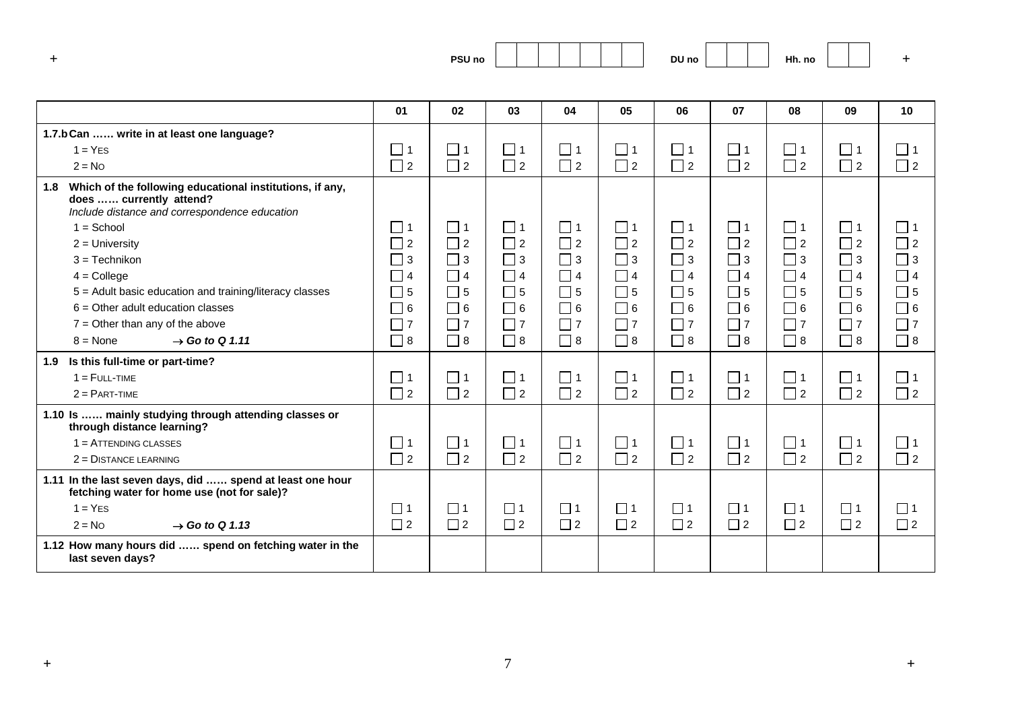|                                                                                                                                             | 01                                      | 02       | 03                   | 04            | 05       | 06       | 07       | 08                   | 09          | 10       |
|---------------------------------------------------------------------------------------------------------------------------------------------|-----------------------------------------|----------|----------------------|---------------|----------|----------|----------|----------------------|-------------|----------|
| 1.7.b Can  write in at least one language?                                                                                                  |                                         |          |                      |               |          |          |          |                      |             |          |
| $1 = YES$                                                                                                                                   | $\blacksquare$ 1                        | $\Box$ 1 | $\Box$ 1             | $\Box$ 1      | $\Box$ 1 | $\Box$ 1 | $\Box$ 1 | $\Box$ 1             | $\Box$ 1    | $\Box$ 1 |
| $2 = No$                                                                                                                                    | $\Box$ 2                                | $\Box$ 2 | $\Box$ 2             | $\Box$ 2      | $\Box$ 2 | $\Box$ 2 | $\Box$ 2 | $\Box$ 2             | $\Box$ 2    | $\Box$ 2 |
| Which of the following educational institutions, if any,<br>1.8<br>does  currently attend?<br>Include distance and correspondence education |                                         |          |                      |               |          |          |          |                      |             |          |
| $1 =$ School                                                                                                                                | $\Box$ 1                                | $\Box$ 1 | $\Box$ 1             | $\Box$ 1      | $\Box$ 1 | $\Box$ 1 | $\Box$ 1 | $\Box$ 1             | $\Box$ 1    | $\Box$ 1 |
| $2 =$ University                                                                                                                            | $\sqsupset$ 2                           | $\Box$ 2 | $\prod$ <sub>2</sub> | $\sqsupset$ 2 | $\Box$ 2 | $\Box$ 2 | $\Box$ 2 | $\Box$ 2             | $\Box$ 2    | $\Box$ 2 |
| $3 = Technikon$                                                                                                                             | $\sqsupset$ 3                           | $\Box$ 3 | $\Box$ 3             | $\sqsupset$ 3 | $\Box$ 3 | $\Box$ 3 | $\Box$ 3 | $\Box$ 3             | $\Box$ 3    | $\Box$ 3 |
| $4 =$ College                                                                                                                               | $\begin{array}{ccc} \hline \end{array}$ | $\Box$ 4 | $\Box$ 4             | $\Box$ 4      | $\Box$ 4 | $\Box$ 4 | $\Box$ 4 | $\Box$ 4             | $\Box$ 4    | $\Box$ 4 |
| $5$ = Adult basic education and training/literacy classes                                                                                   | $\overline{\phantom{a}}$ 5              | $\Box$ 5 | $\Box$ 5             | $\lceil 5$    | $\Box$ 5 | $\Box$ 5 | $\Box$ 5 | $\Box$ 5             | $\Box$ 5    | $\Box$ 5 |
| $6$ = Other adult education classes                                                                                                         | $\Box$ 6                                | $\Box$ 6 | $\Box$ 6             | $\Box$ 6      | $\Box$ 6 | $\Box$ 6 | $\Box$ 6 | $\Box$ 6             | □ 6         | $\Box$ 6 |
| $7 =$ Other than any of the above                                                                                                           | $\sqsupset$ 7                           | $\Box$ 7 | $\Box$ 7             | 7 ר           | $\Box$ 7 | $\Box$ 7 | $\Box$ 7 | $\Box$ 7             | $\Box$ 7    | $\Box$ 7 |
| $8 = None$<br>$\rightarrow$ Go to Q 1.11                                                                                                    | $\overline{\phantom{0}}$ 8              | $\Box$ 8 | $\Box$ 8             | ヿ 8           | $\Box$ 8 | $\Box$ 8 | $\Box$ 8 | $\Box$ 8             | $\Box$ 8    | $\Box$ 8 |
| Is this full-time or part-time?<br>1.9                                                                                                      |                                         |          |                      |               |          |          |          |                      |             |          |
| $1 =$ FULL-TIME                                                                                                                             | $\sqsupset$ 1                           | $\Box$ 1 | $\Box$ 1             | $\Box$ 1      | $\Box$ 1 | $\Box$ 1 | $\Box$ 1 | $\Box$ 1             | $\Box$ 1    | $\Box$ 1 |
| $2 = PART-TIME$                                                                                                                             | $\Box$ 2                                | $\Box$ 2 | $\Box$ 2             | $\Box$ 2      | $\Box$ 2 | $\Box$ 2 | $\Box$ 2 | $\prod$ <sub>2</sub> | $\Box$ 2    | $\Box$ 2 |
| 1.10 Is  mainly studying through attending classes or<br>through distance learning?                                                         |                                         |          |                      |               |          |          |          |                      |             |          |
| $1 =$ ATTENDING CLASSES                                                                                                                     | $\Box$ 1                                | $\Box$ 1 | $\Box$ 1             | $\Box$ 1      | $\Box$ 1 | $\Box$ 1 | $\Box$ 1 | $\Box$ 1             | $\Box$ 1    | $\Box$ 1 |
| $2 =$ DISTANCE LEARNING                                                                                                                     | $\Box$ 2                                | $\Box$ 2 | $\Box$ 2             | $\Box$ 2      | $\Box$ 2 | $\Box$ 2 | $\Box$ 2 | $\Box$ 2             | $\Box$ 2    | $\Box$ 2 |
| 1.11 In the last seven days, did  spend at least one hour<br>fetching water for home use (not for sale)?                                    |                                         |          |                      |               |          |          |          |                      |             |          |
| $1 = YES$                                                                                                                                   | $\Box$ 1                                | $\Box$ 1 | $\Box$ 1             | $\Box$ 1      | $\Box$ 1 | $\Box$ 1 | $\Box$ 1 | $\Box$ 1             | $\square$ 1 | $\Box$ 1 |
| $2 = No$<br>$\rightarrow$ Go to Q 1.13                                                                                                      | $\Box$ 2                                | $\Box$ 2 | $\Box$ 2             | $\Box$ 2      | $\Box$ 2 | $\Box$ 2 | $\Box$ 2 | $\Box$ 2             | $\Box$ 2    | $\Box$ 2 |
| 1.12 How many hours did  spend on fetching water in the<br>last seven days?                                                                 |                                         |          |                      |               |          |          |          |                      |             |          |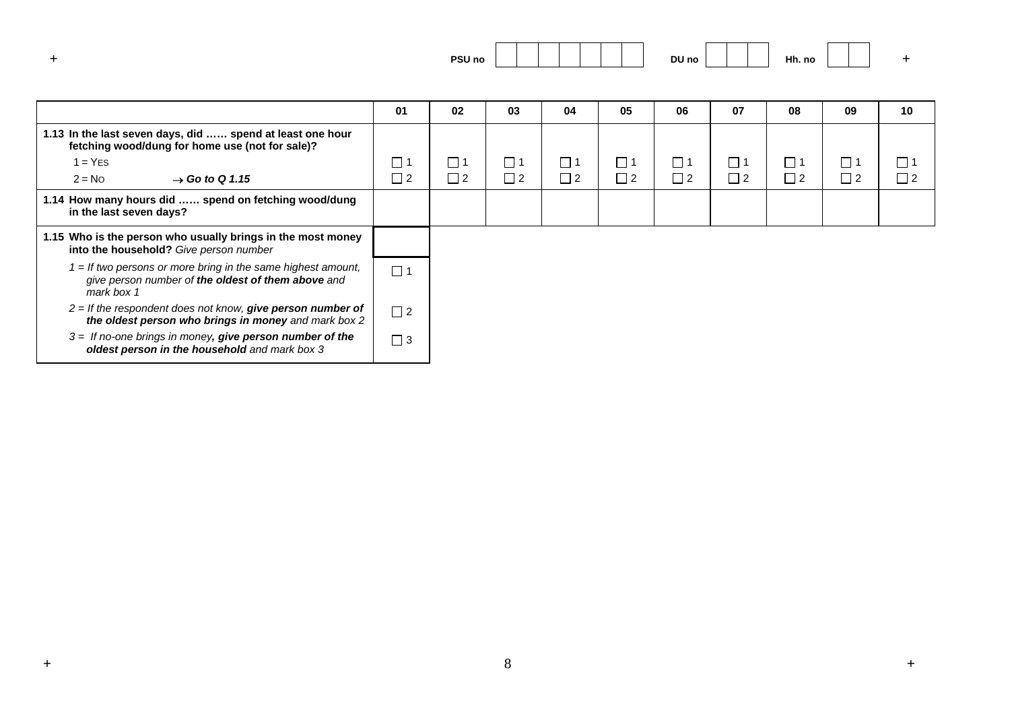| <b>PSU no</b> |  |  |  | DU <sub>nc</sub> |  | பட<br>Hh. no |  |  |
|---------------|--|--|--|------------------|--|--------------|--|--|
|               |  |  |  |                  |  |              |  |  |

|                                                                                                                                    | 01       | 02       | 03       | 04       | 05       | 06       | 07       | 08       | 09            | 10            |
|------------------------------------------------------------------------------------------------------------------------------------|----------|----------|----------|----------|----------|----------|----------|----------|---------------|---------------|
| 1.13 In the last seven days, did  spend at least one hour<br>fetching wood/dung for home use (not for sale)?                       |          |          |          |          |          |          |          |          |               |               |
| $1 = YES$                                                                                                                          | $\Box$ 1 | П1       | l 11     | $\Box$ 1 | $\Box$ 1 | $\Box$ 1 | □ 1      | $\Box$ 1 | $\Box$        | $\Box$        |
| $2 = No$<br>$\rightarrow$ Go to Q 1.15                                                                                             | $\Box$ 2 | $\Box$ 2 | $\Box$ 2 | $\Box$ 2 | $\Box$ 2 | $\Box$ 2 | $\Box$ 2 | $\Box$ 2 | $\sqsupset$ 2 | $\sqsupset$ 2 |
| 1.14 How many hours did  spend on fetching wood/dung<br>in the last seven days?                                                    |          |          |          |          |          |          |          |          |               |               |
| 1.15 Who is the person who usually brings in the most money<br>into the household? Give person number                              |          |          |          |          |          |          |          |          |               |               |
| $1 =$ If two persons or more bring in the same highest amount,<br>give person number of the oldest of them above and<br>mark box 1 | $\Box$ 1 |          |          |          |          |          |          |          |               |               |
| $2 =$ If the respondent does not know, give person number of<br>the oldest person who brings in money and mark box 2               | $\Box$ 2 |          |          |          |          |          |          |          |               |               |
| $3 =$ If no-one brings in money, give person number of the<br>oldest person in the household and mark box 3                        | $\Box$ 3 |          |          |          |          |          |          |          |               |               |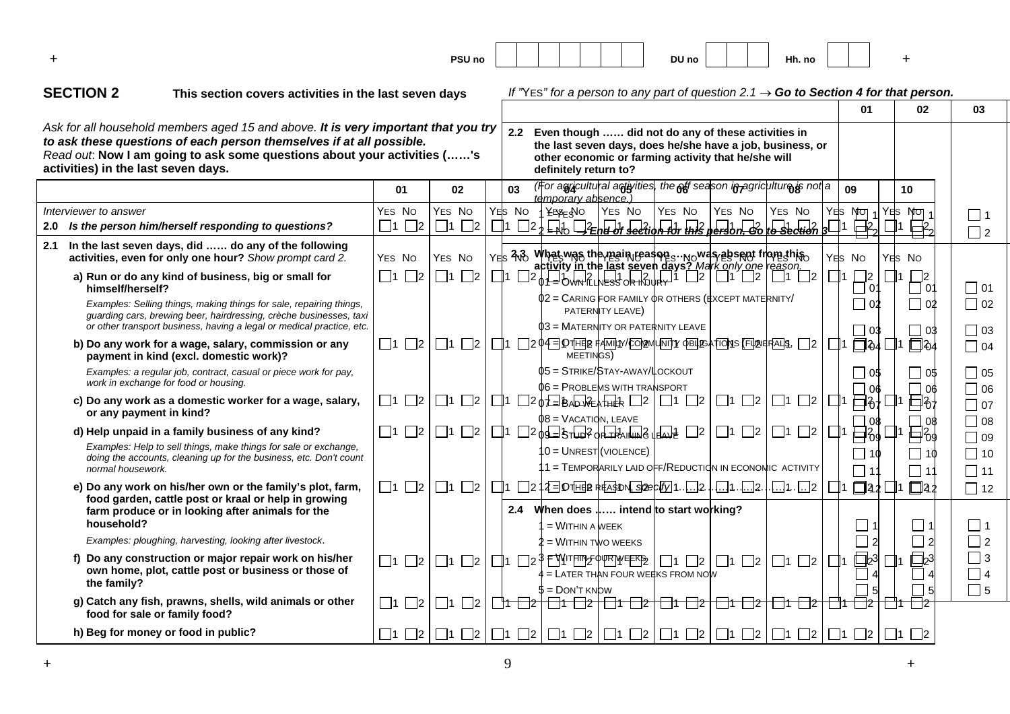|                                                                                                                                                                                                                                                                               |                             | PSU <sub>no</sub>              |                                |                                      |                                                                                                                                                                                                                                                 | DU <sub>no</sub>                           |                          |          | Hh. no                                                                   |           |                                                              |      |                                  |                                                    |
|-------------------------------------------------------------------------------------------------------------------------------------------------------------------------------------------------------------------------------------------------------------------------------|-----------------------------|--------------------------------|--------------------------------|--------------------------------------|-------------------------------------------------------------------------------------------------------------------------------------------------------------------------------------------------------------------------------------------------|--------------------------------------------|--------------------------|----------|--------------------------------------------------------------------------|-----------|--------------------------------------------------------------|------|----------------------------------|----------------------------------------------------|
| <b>SECTION 2</b><br>This section covers activities in the last seven days                                                                                                                                                                                                     |                             |                                |                                |                                      | If "YES" for a person to any part of question 2.1 $\rightarrow$ Go to Section 4 for that person.                                                                                                                                                |                                            |                          |          |                                                                          |           | 01                                                           |      | 02                               | 03                                                 |
| Ask for all household members aged 15 and above. It is very important that you try<br>to ask these questions of each person themselves if at all possible.<br>Read out: Now I am going to ask some questions about your activities ('s<br>activities) in the last seven days. |                             |                                |                                |                                      | 2.2 Even though  did not do any of these activities in<br>the last seven days, does he/she have a job, business, or<br>other economic or farming activity that he/she will<br>definitely return to?                                             |                                            |                          |          |                                                                          |           |                                                              |      |                                  |                                                    |
|                                                                                                                                                                                                                                                                               | 01                          | 02                             | 03                             | temporary absence.                   | (For agricultural activities, the off season in agriculture is not a                                                                                                                                                                            |                                            |                          |          |                                                                          |           | 09                                                           |      | 10                               |                                                    |
| Interviewer to answer<br>2.0 Is the person him/herself responding to questions?                                                                                                                                                                                               | YES NO<br>$\Box$ 1 $\Box$ 2 | YES NO<br>$\Box$ 2<br>$\Box$ 1 | YES NO<br>$\Box$ 1 $\Box$ 2    | <b>⊻E</b> &⊨∛JO<br>$\Box$ i $\Box$ 2 | YES NO                                                                                                                                                                                                                                          | YES NO                                     | YES NO                   |          | YES NO<br>$p$ d o'r section for this person, Go to Section $\frac{1}{2}$ | YES       | NO<br>--2.                                                   | YES  | $\Box$                           | $\Box$ 1<br>$\overline{2}$                         |
| 2.1 In the last seven days, did  do any of the following<br>activities, even for only one hour? Show prompt card 2.<br>a) Run or do any kind of business, big or small for<br>himself/herself?                                                                                | YES NO<br>$\Box$ 1 $\Box$ 2 | YES NO<br>$\Box$ 1<br>$\Box$ 2 |                                |                                      | $\frac{1}{10}$ $\frac{1}{10}$ $\frac{1}{10}$ $\frac{1}{10}$ $\frac{1}{10}$ $\frac{1}{10}$ activity in the last seven days? Mark only one reason.                                                                                                |                                            |                          |          | $\mathbb{Z}^2$                                                           | $\Box$ 1  | YES NO<br>$\Box$ 2<br>$\mathbf 0$                            |      | YES NO<br>$\frac{1}{\sqrt{2}}$   | $\Box$ 01                                          |
| Examples: Selling things, making things for sale, repairing things,<br>guarding cars, brewing beer, hairdressing, crèche businesses, taxi<br>or other transport business, having a legal or medical practice, etc.                                                            |                             |                                |                                |                                      | $02$ = CARING FOR FAMILY OR OTHERS (EXCEPT MATERNITY/<br>PATERNITY LEAVE)<br>03 = MATERNITY OR PATERNITY LEAVE                                                                                                                                  |                                            |                          |          |                                                                          |           | $\mathsf{L}$<br>02<br>03                                     |      | $\Box$ 02<br>l 03                | $\Box$ 02<br>$\Box$ 03                             |
| b) Do any work for a wage, salary, commission or any<br>payment in kind (excl. domestic work)?<br>Examples: a regular job, contract, casual or piece work for pay,<br>work in exchange for food or housing.                                                                   | $\Box$ 1 $\Box$ 2           | $\Box$ 1 $\Box$ 2              |                                |                                      | $\Box$ 1 $\Box$ 2 04 $\exists$ 0 THER FAMILY/COMMUNITY OBLIGE TONS (FUMERALS, $\Box$ 2<br>MEETINGS)<br>05 = STRIKE/STAY-AWAY/LOCKOUT<br>$06 =$ PROBLEMS WITH TRANSPORT                                                                          |                                            |                          |          |                                                                          |           | ⊡∂4<br>  05<br>06                                            |      | ⊡ิจ<br>$\Box$ 05<br>l 06         | $\Box$ 04<br>  105<br>$\Box$ 06                    |
| c) Do any work as a domestic worker for a wage, salary,<br>or any payment in kind?                                                                                                                                                                                            | $\Box$ 1 $\Box$ 2           | $\Box$ 1<br>$\Box$ 2           |                                |                                      | $\Box$ 1 $\Box$ 2 o $\Box$ BADAE)<br>$08 =$ VACATION, LEAVE                                                                                                                                                                                     | $\Box$ 1 $\Box$ 2                          | $\Box$ 1                 | $\Box$ 2 | $\Box$ 1 $\Box$ 2                                                        | l 11      | 曰も                                                           |      | $\overline{\Box}$<br>- I 08      | $\Box$ 07<br>$\Box$ 08                             |
| d) Help unpaid in a family business of any kind?<br>Examples: Help to sell things, make things for sale or exchange,<br>doing the accounts, cleaning up for the business, etc. Don't count<br>normal housework.                                                               | $\Box$ 1 $\Box$ 2           | $\Box$ 1 $\Box$ 2              |                                |                                      | $\Box$ 1 $\Box$ 2 $\sqrt{9}$ $\Box$ 8 T $\Box$ 2 $\sqrt{8}$ T $\overline{R}$ A <sub>2</sub> I $\overline{MR}$ <sup>3</sup> $\overline{LR}$ A <sup>2</sup><br>$0 =$ UNREST (VIOLENCE)<br>1 = TEMPORARILY LAID OFF/REDUCTION IN ECONOMIC ACTIVITY |                                            | $\Box$ 1 $\Box$ 2        |          | $\Box$ 1 $\Box$ 2                                                        |           | 同约<br>$\blacksquare$<br>10<br>$\overline{\phantom{a}}$<br>-1 |      | 目。<br>$\vert$ 10<br>$\square$ 11 | $\Box$ 09<br>$\Box$ 10<br>$\Box$ 11                |
| e) Do any work on his/her own or the family's plot, farm,<br>food garden, cattle post or kraal or help in growing<br>farm produce or in looking after animals for the<br>household?                                                                                           | $\Box$ 1 $\Box$ 2           | $\Box$ 1 $\Box$ 2              | $2.4^{\circ}$                  | $=$ WITHIN A WEEK                    | $\Box$ 1 $\Box$ 2 14 $\Box$ 0 THER REASON, SOeCID 1. $\Box$ 2   $\Box$ 1. $\Box$ 2  <br>When does  intend to start working?                                                                                                                     |                                            |                          |          | $\Box$ 1. $\Box$ 2                                                       | l 11      | $\Box$ 22 $\Box$ 1                                           |      | $\square$ a2                     | $\Box$ 12<br>- 11                                  |
| Examples: ploughing, harvesting, looking after livestock.                                                                                                                                                                                                                     |                             |                                |                                |                                      | $=$ WITHIN TWO WEEKS                                                                                                                                                                                                                            |                                            |                          |          |                                                                          |           |                                                              |      |                                  | $\sqsupset$ 2                                      |
| f) Do any construction or major repair work on his/her<br>own home, plot, cattle post or business or those of<br>the family?                                                                                                                                                  | $\Box$ 1 $\Box$ 2           | $\Box$ 1 $\Box$ 2              | $\Box$ 1 $\Box$ 2 <sup>3</sup> | = DON'T KNOW                         | Ε <b>γ</b> γιτ <del>μιγ</del> ∠φψRηγεβκβε<br>= LATER THAN FOUR WEEKS FROM NOW                                                                                                                                                                   | $\Box$ 1 $\Box$ 2                          | $\Box$ 1 $\Box$ 2        |          | $\Box$ 1 $\Box$ 2                                                        | $\prod$ 1 | 口23                                                          |      | ₫ά                               | $\Box$ 3<br>$\overline{\phantom{0}}$ 4<br>$\Box$ 5 |
| g) Catch any fish, prawns, shells, wild animals or other<br>food for sale or family food?                                                                                                                                                                                     | $\Box$ 1 $\Box$ 2           | $\Box$ 1<br>$\Box$ 2           |                                |                                      |                                                                                                                                                                                                                                                 |                                            |                          |          |                                                                          |           |                                                              |      |                                  |                                                    |
| h) Beg for money or food in public?                                                                                                                                                                                                                                           | $\Box$ 1 $\Box$ 2           | $\Box$ 2<br> 1                 | $\Box$ 1 $\Box$ 2              | $\Box$ 1 $\Box$ 2                    |                                                                                                                                                                                                                                                 | $\Box$ 1 $\Box$ 2 $\Box$ 1 $\Box$ 2 $\Box$ | $\Box$ 1 $\Box$ 2 $\Box$ |          | $\Box$ 1 $\Box$ 2                                                        | $\Box$ 1  | $\Box$ 2                                                     | l 11 | $\vert$ 2                        |                                                    |

 $\boldsymbol{+}$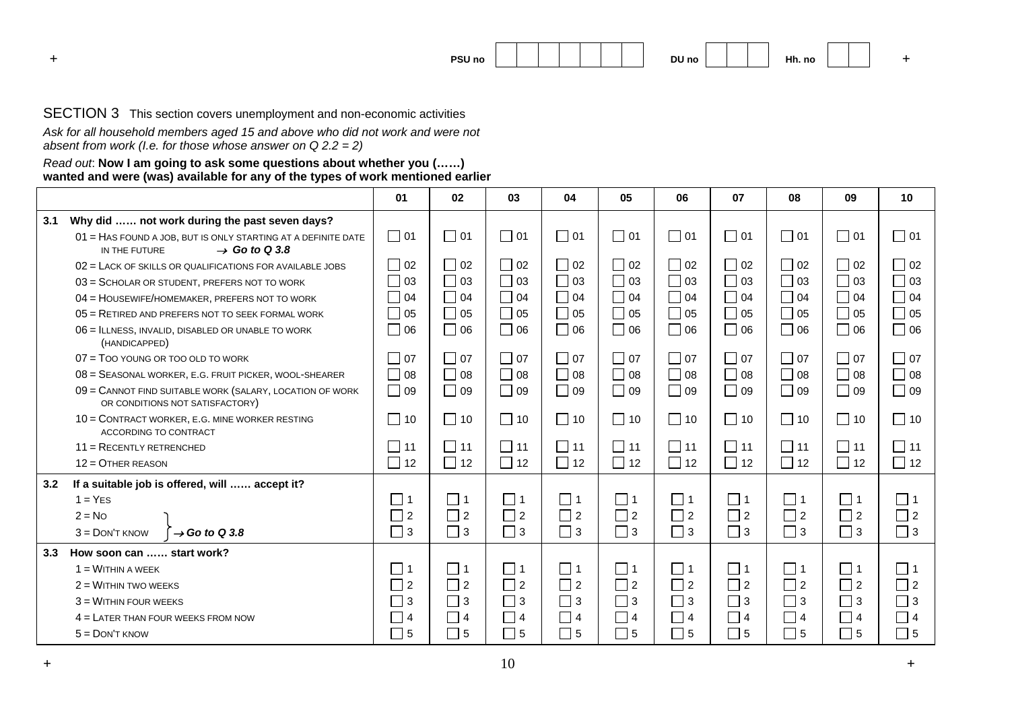$+$ 

# SECTION 3 This section covers unemployment and non-economic activities

*Ask for all household members aged 15 and above who did not work and were not absent from work (I.e. for those whose answer on Q 2.2 = 2)* 

## *Read out*: **Now I am going to ask some questions about whether you (……) wanted and were (was) available for any of the types of work mentioned earlier**

|     |                                                                                                             | 01                 | 02                            | 03        | 04        | 05        | 06        | 07        | 08        | 09        | 10             |
|-----|-------------------------------------------------------------------------------------------------------------|--------------------|-------------------------------|-----------|-----------|-----------|-----------|-----------|-----------|-----------|----------------|
| 3.1 | Why did  not work during the past seven days?                                                               |                    |                               |           |           |           |           |           |           |           |                |
|     | 01 = HAS FOUND A JOB, BUT IS ONLY STARTING AT A DEFINITE DATE<br>$\rightarrow$ Go to Q 3.8<br>IN THE FUTURE | $\Box$ 01          | $\Box$ 01                     | $\Box$ 01 | $\Box$ 01 | $\Box$ 01 | $\Box$ 01 | $\Box$ 01 | $\Box$ 01 | $\Box$ 01 | $\Box$ 01      |
|     | 02 = LACK OF SKILLS OR QUALIFICATIONS FOR AVAILABLE JOBS                                                    | 02<br>$\Box$       | $\Box$ 02                     | $\Box$ 02 | $\Box$ 02 | $\Box$ 02 | $\Box$ 02 | $\Box$ 02 | $\Box$ 02 | $\Box$ 02 | $\Box$ 02      |
|     | 03 = SCHOLAR OR STUDENT, PREFERS NOT TO WORK                                                                | $\Box$<br>03       | $\Box$ 03                     | $\Box$ 03 | $\Box$ 03 | $\Box$ 03 | $\Box$ 03 | $\Box$ 03 | $\Box$ 03 | $\Box$ 03 |                |
|     | 04 = HOUSEWIFE/HOMEMAKER, PREFERS NOT TO WORK                                                               | $\Box$<br>04       | $\Box$ 04                     | $\Box$ 04 | $\Box$ 04 | $\Box$ 04 | $\Box$ 04 | $\Box$ 04 | $\Box$ 04 | $\Box$ 04 | $\Box$ 04      |
|     | 05 = RETIRED AND PREFERS NOT TO SEEK FORMAL WORK                                                            | l.<br>05           | $\Box$ 05                     | $\Box$ 05 | $\Box$ 05 | $\Box$ 05 | $\Box$ 05 | $\Box$ 05 | $\Box$ 05 | $\Box$ 05 | $\Box$ 05      |
|     | 06 = ILLNESS, INVALID, DISABLED OR UNABLE TO WORK<br>(HANDICAPPED)                                          | $\Box$<br>06       | $\Box$ 06                     | $\Box$ 06 | $\Box$ 06 | $\Box$ 06 | $\Box$ 06 | $\Box$ 06 | $\Box$ 06 | $\Box$ 06 | $\Box$ 06      |
|     | 07 = TOO YOUNG OR TOO OLD TO WORK                                                                           | $\Box$<br>07       | $\Box$ 07                     | $\Box$ 07 | $\Box$ 07 | $\Box$ 07 | $\Box$ 07 | $\Box$ 07 | $\Box$ 07 | $\Box$ 07 | $\overline{0}$ |
|     | 08 = SEASONAL WORKER, E.G. FRUIT PICKER, WOOL-SHEARER                                                       | П<br>08            | $\Box$ 08                     | $\Box$ 08 | $\Box$ 08 | $\Box$ 08 | $\Box$ 08 | $\Box$ 08 | $\Box$ 08 | $\Box$ 08 | $\Box$ 08      |
|     | 09 = CANNOT FIND SUITABLE WORK (SALARY, LOCATION OF WORK<br>OR CONDITIONS NOT SATISFACTORY)                 | $\Box$ 09          | $\Box$ 09                     | $\Box$ 09 | $\Box$ 09 | $\Box$ 09 | $\Box$ 09 | $\Box$ 09 | $\Box$ 09 | $\Box$ 09 | $\Box$ 09      |
|     | 10 = CONTRACT WORKER, E.G. MINE WORKER RESTING<br>ACCORDING TO CONTRACT                                     | $\Box$ 10          | $\Box$ 10                     | $\Box$ 10 | $\Box$ 10 | $\Box$ 10 | $\Box$ 10 | $\Box$ 10 | $\Box$ 10 | $\Box$ 10 | $\Box$ 10      |
|     | $11 =$ RECENTLY RETRENCHED                                                                                  | $\mathsf{L}$<br>11 | $\Box$ 11                     | $\Box$ 11 | $\Box$ 11 | $\Box$ 11 | $\Box$ 11 | $\Box$ 11 | $\Box$ 11 | $\Box$ 11 | $\Box$ 11      |
|     | $12 =$ OTHER REASON                                                                                         | $\Box$ 12          | $\Box$ 12                     | $\Box$ 12 | $\Box$ 12 | $\Box$ 12 | $\Box$ 12 | $\Box$ 12 | $\Box$ 12 | $\Box$ 12 | $\Box$ 12      |
| 3.2 | If a suitable job is offered, will  accept it?                                                              |                    |                               |           |           |           |           |           |           |           |                |
|     | $1 = YES$                                                                                                   | - 1                | $\sqsupset$ 1                 | $\Box$ 1  | $\Box$ 1  | $\Box$ 1  | $\Box$ 1  | $\Box$ 1  | $\Box$ 1  | $\Box$ 1  | $\vert$ 1      |
|     | $2 = No$                                                                                                    | $\Box$ 2           | $\Box$ 2                      | $\Box$ 2  | $\Box$ 2  | $\Box$ 2  | $\Box$ 2  | $\Box$ 2  | $\Box$ 2  | $\Box$ 2  | $\Box$ 2       |
|     | $3 =$ DON'T KNOW<br>$\rightarrow$ Go to Q 3.8                                                               | $\Box$ 3           | $\Box$ 3                      | $\Box$ 3  | $\Box$ 3  | $\Box$ 3  | $\Box$ 3  | $\Box$ 3  | $\Box$ 3  | $\Box$ 3  | $\Box$ 3       |
| 3.3 | How soon can  start work?                                                                                   |                    |                               |           |           |           |           |           |           |           |                |
|     | $1 = W$ ITHIN A WEEK                                                                                        | _  1               | $\Box$ 1                      | $\Box$ 1  | $\Box$ 1  | $\Box$ 1  | $\Box$ 1  | $\Box$ 1  | $\Box$ 1  | $\Box$ 1  | □ 1            |
|     | $2 =$ WITHIN TWO WEEKS                                                                                      | $\overline{2}$     | $\Box$ 2                      | $\Box$ 2  | $\Box$ 2  | $\Box$ 2  | $\Box$ 2  | $\Box$ 2  | $\Box$ 2  | $\Box$ 2  | $\Box$ 2       |
|     | $3 =$ WITHIN FOUR WEEKS                                                                                     | 3                  | $\overline{\phantom{0}}$<br>3 | $\Box$ 3  | $\Box$ 3  | $\Box$ 3  | $\Box$ 3  | $\Box$ 3  | $\Box$ 3  | $\Box$ 3  | 3              |
|     | $4 =$ LATER THAN FOUR WEEKS FROM NOW                                                                        | $\overline{4}$     | $\Box$ 4                      | $\Box$ 4  | $\Box$ 4  | $\Box$ 4  | $\Box$ 4  | $\Box$ 4  | $\Box$ 4  | $\Box$ 4  | 4              |
|     | $5 =$ DON'T KNOW                                                                                            | $\Box$ 5           | $\overline{\phantom{0}}$<br>5 | $\Box$ 5  | $\Box$ 5  | $\Box$ 5  | $\Box$ 5  | $\Box$ 5  | $\Box$ 5  | $\Box$ 5  | $\sqsupset$ 5  |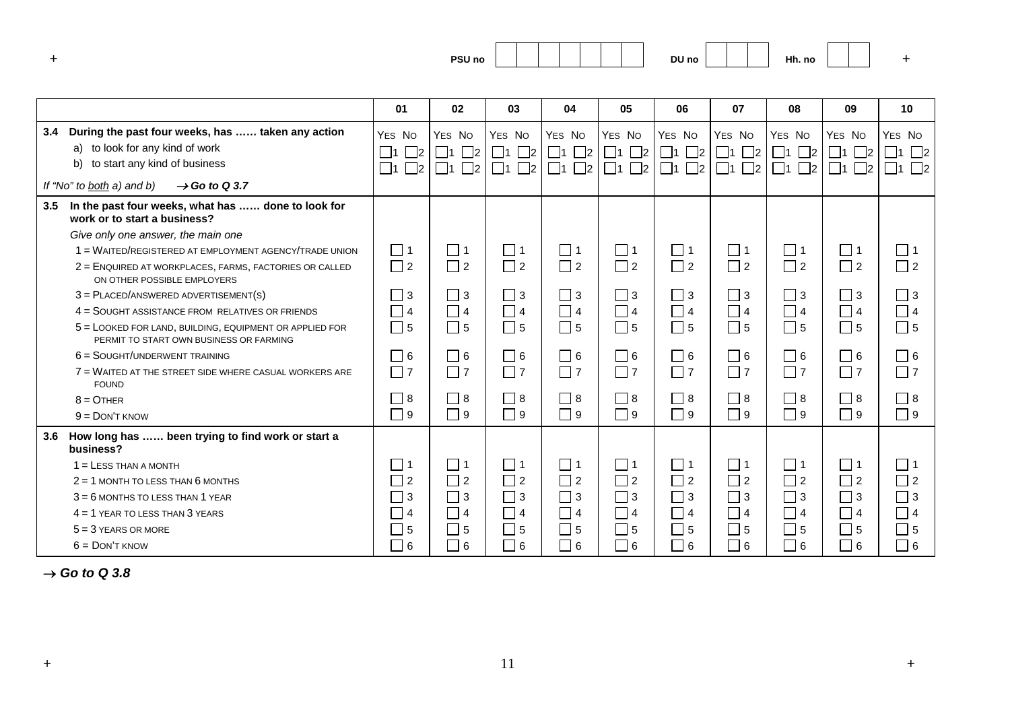$+$ 

|                                                                                                                                 | 01                                                           | 02                                                           | 03                                                 | 04                                                     | 05                                                        | 06                                                     | 07                                               | 08                                                  | 09                                                     | 10                                                  |
|---------------------------------------------------------------------------------------------------------------------------------|--------------------------------------------------------------|--------------------------------------------------------------|----------------------------------------------------|--------------------------------------------------------|-----------------------------------------------------------|--------------------------------------------------------|--------------------------------------------------|-----------------------------------------------------|--------------------------------------------------------|-----------------------------------------------------|
| During the past four weeks, has  taken any action<br>3.4<br>a) to look for any kind of work<br>b) to start any kind of business | YES NO<br>$\Box$ 1<br>$\Box$ 2<br>$\mathbb{R}^2$<br>$\Box$ 1 | YES NO<br>$\Box$ 1<br>$\Box$ 2<br>$\Box$ 1<br>$\mathbb{Z}^2$ | YES NO<br>$\Box$ 2<br>l 11<br>$\Box$ 1<br>$\Box$ 2 | YES NO<br>$\Box$ 1 $\Box$ 2<br>$\Box$ 1<br>$\square$ 2 | YES NO<br>$\Box$ 1<br>$\Box$ 2<br>$\Box$ 1<br>$\square$ 2 | YES NO<br>$\Box$ 2<br>$\Box$ 1<br>$\Box$ 1<br>$\Box$ 2 | YES NO<br>$\Box$ 1 $\Box$ 2<br>$\Box$ 1 $\Box$ 2 | YES NO<br>$\Box$ 1 $\Box$ 2<br>$\Box$ 1<br>$\Box$ 2 | YES NO<br>$\Box$ 1<br>$\Box$ 2<br>$\Box$ 1<br>$\Box$ 2 | YES NO<br>$\Box$ 1 $\Box$ 2<br>$\Box$ 1<br>$\Box$ 2 |
| $\rightarrow$ Go to Q 3.7<br>If "No" to both a) and b)                                                                          |                                                              |                                                              |                                                    |                                                        |                                                           |                                                        |                                                  |                                                     |                                                        |                                                     |
| In the past four weeks, what has  done to look for<br>3.5<br>work or to start a business?                                       |                                                              |                                                              |                                                    |                                                        |                                                           |                                                        |                                                  |                                                     |                                                        |                                                     |
| Give only one answer, the main one                                                                                              |                                                              |                                                              |                                                    |                                                        |                                                           |                                                        |                                                  |                                                     |                                                        |                                                     |
| 1 = WAITED/REGISTERED AT EMPLOYMENT AGENCY/TRADE UNION                                                                          | $\Box$ 1                                                     | $\Box$ 1                                                     | $\Box$ 1                                           | $\Box$ 1                                               | $\Box$ 1                                                  | $\Box$ 1                                               | $\Box$ 1                                         | $\Box$ 1                                            | $\Box$ 1                                               | $\Box$ 1                                            |
| 2 = ENQUIRED AT WORKPLACES, FARMS, FACTORIES OR CALLED<br>ON OTHER POSSIBLE EMPLOYERS                                           | $\Box$ 2                                                     | $\Box$ 2                                                     | $\Box$ 2                                           | $\Box$ 2                                               | $\Box$ 2                                                  | $\Box$ 2                                               | $\Box$ 2                                         | $\Box$ 2                                            | $\Box$ 2                                               | $\Box$ 2                                            |
| $3 =$ PLACED/ANSWERED ADVERTISEMENT(S)                                                                                          | $\Box$ 3                                                     | $\Box$ 3                                                     | $\Box$ 3                                           | $\Box$ 3                                               | $\Box$ 3                                                  | $\Box$ 3                                               | $\Box$ 3                                         | $\Box$ 3                                            | $\Box$ 3                                               | $\Box$ 3                                            |
| 4 = SOUGHT ASSISTANCE FROM RELATIVES OR FRIENDS                                                                                 | $\Box$ 4                                                     | $\Box$ 4                                                     | $\Box$ 4                                           | $\Box$ 4                                               | $\Box$ 4                                                  | $\Box$ 4                                               | $\Box$ 4                                         | $\Box$ 4                                            | $\Box$ 4                                               | $\Box$ 4                                            |
| 5 = LOOKED FOR LAND, BUILDING, EQUIPMENT OR APPLIED FOR<br>PERMIT TO START OWN BUSINESS OR FARMING                              | $\Box$ 5                                                     | $\Box$ 5                                                     | $\Box$ 5                                           | $\Box$ 5                                               | $\Box$ 5                                                  | $\Box$ 5                                               | $\Box$ 5                                         | $\Box$ 5                                            | $\Box$ 5                                               | $\Box$ 5                                            |
| $6 =$ SOUGHT/UNDERWENT TRAINING                                                                                                 | $\square$ 6                                                  | $\Box$ 6                                                     | $\Box$ 6                                           | $\Box$ 6                                               | $\Box$ 6                                                  | $\Box$ 6                                               | $\Box$ 6                                         | $\Box$ 6                                            | $\Box$ 6                                               | $\Box$ 6                                            |
| 7 = WAITED AT THE STREET SIDE WHERE CASUAL WORKERS ARE<br><b>FOUND</b>                                                          | $\Box$ 7                                                     | $\Box$ 7                                                     | $\Box$ 7                                           | $\Box$ 7                                               | $\Box$ 7                                                  | $\Box$ 7                                               | $\Box$ 7                                         | $\Box$ 7                                            | $\Box$ 7                                               | $\Box$ 7                                            |
| $8 =$ OTHER                                                                                                                     | $\Box$ 8                                                     | $\Box$ 8                                                     | $\Box$ 8                                           | $\Box$ 8                                               | $\Box$ 8                                                  | $\Box$ 8                                               | $\Box$ 8                                         | $\Box$ 8                                            | $\Box$ 8                                               | $\Box$ 8                                            |
| $9 =$ DON'T KNOW                                                                                                                | $\Box$ 9                                                     | $\Box$ 9                                                     | $\Box$ 9                                           | $\Box$ 9                                               | $\Box$ 9                                                  | $\Box$ 9                                               | $\Box$ 9                                         | $\Box$ 9                                            | $\Box$ 9                                               | $\square$ 9                                         |
| 3.6<br>How long has  been trying to find work or start a<br>business?                                                           |                                                              |                                                              |                                                    |                                                        |                                                           |                                                        |                                                  |                                                     |                                                        |                                                     |
| $1 =$ LESS THAN A MONTH                                                                                                         | $\Box$ 1                                                     | $\Box$ 1                                                     | $\vert$ 1                                          | $\Box$ 1                                               | $\Box$ 1                                                  | $\Box$ 1                                               | $\Box$ 1                                         | $\Box$ 1                                            | $\Box$ 1                                               | $\Box$ 1                                            |
| $2 = 1$ MONTH TO LESS THAN 6 MONTHS                                                                                             | $\Box$ 2                                                     | $\Box$ 2                                                     | $\Box$ 2                                           | $\Box$ 2                                               | $\Box$ 2                                                  | $\Box$ 2                                               | $\Box$ 2                                         | $\Box$ 2                                            | $\Box$ 2                                               | $\Box$ 2                                            |
| $3 = 6$ MONTHS TO LESS THAN 1 YEAR                                                                                              | $\Box$ 3                                                     | $\Box$ 3                                                     | $\Box$ 3                                           | $\Box$ 3                                               | $\Box$ 3                                                  | $\Box$ 3                                               | $\Box$ 3                                         | $\Box$ 3                                            | $\Box$ 3                                               | $\Box$ 3                                            |
| $4 = 1$ YEAR TO LESS THAN 3 YEARS                                                                                               | $\Box$ 4                                                     | $\Box$ 4                                                     | $\Box$ 4                                           | $\Box$ 4                                               | $\Box$ 4                                                  | $\Box$ 4                                               | $\Box$ 4                                         | $\Box$ 4                                            | $\Box$ 4                                               | $\Box$ 4                                            |
| $5 = 3$ YEARS OR MORE                                                                                                           | $\square$ 5                                                  | $\Box$ 5                                                     | $\Box$ 5                                           | $\Box$ 5                                               | $\Box$ 5                                                  | $\Box$ 5                                               | $\Box$ 5                                         | $\Box$ 5                                            | $\Box$ 5                                               | $\Box$ 5                                            |
| $6 =$ DON'T KNOW                                                                                                                | $\Box$ 6                                                     | $\Box$ 6                                                     | □ 6                                                | $\Box$ 6                                               | $\Box$ 6                                                  | $\Box$ 6                                               | $\Box$ 6                                         | $\Box$ 6                                            | $\Box$ 6                                               | $\Box$ 6                                            |

→ *Go to Q 3.8*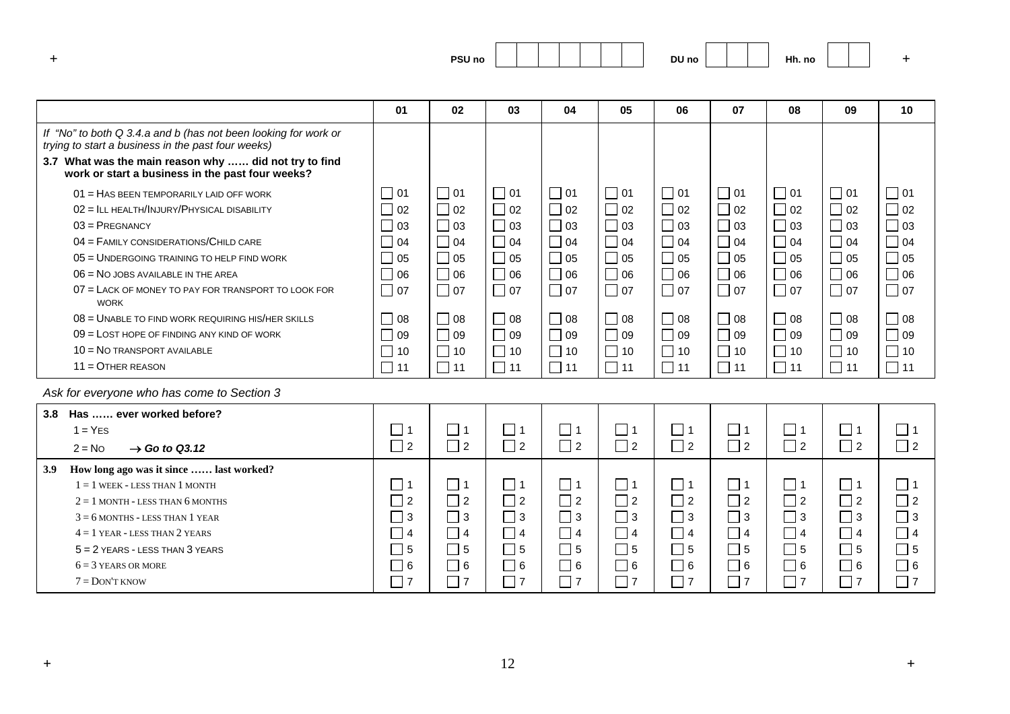|                                                                                                                       | 01                         | 02                         | 03        | 04          | 05        | 06        | 07        | 08        | 09            | 10        |
|-----------------------------------------------------------------------------------------------------------------------|----------------------------|----------------------------|-----------|-------------|-----------|-----------|-----------|-----------|---------------|-----------|
| If "No" to both Q 3.4.a and b (has not been looking for work or<br>trying to start a business in the past four weeks) |                            |                            |           |             |           |           |           |           |               |           |
| 3.7 What was the main reason why  did not try to find<br>work or start a business in the past four weeks?             |                            |                            |           |             |           |           |           |           |               |           |
| $01 =$ HAS BEEN TEMPORARILY LAID OFF WORK                                                                             | $\Box$ 01                  | $\Box$ 01                  | $\Box$ 01 | $\Box$ 01   | $\Box$ 01 | $\Box$ 01 | $\Box$ 01 | $\Box$ 01 | $\Box$ 01     | $\Box$ 01 |
| 02 = ILL HEALTH/INJURY/PHYSICAL DISABILITY                                                                            | $\Box$ 02                  | $\Box$ 02                  | $\Box$ 02 | $\Box$ 02   | $\Box$ 02 | $\Box$ 02 | $\Box$ 02 | $\Box$ 02 | $\Box$ 02     | $\Box$ 02 |
| $03 = PREGNAMEY$                                                                                                      | $\Box$ 03                  | $\Box$ 03                  | $\Box$ 03 | $\Box$ 03   | $\Box$ 03 | $\Box$ 03 | $\Box$ 03 | $\Box$ 03 | $\Box$ 03     | $\Box$ 03 |
| $04 =$ FAMILY CONSIDERATIONS/CHILD CARE                                                                               | $\Box$ 04                  | $\Box$ 04                  | $\Box$ 04 | $\Box$ 04   | $\Box$ 04 | $\Box$ 04 | $\Box$ 04 | $\Box$ 04 | $\Box$ 04     | $\Box$ 04 |
| 05 = UNDERGOING TRAINING TO HELP FIND WORK                                                                            | $\Box$ 05                  | $\Box$ 05                  | $\Box$ 05 | $\Box$ 05   | $\Box$ 05 | $\Box$ 05 | $\Box$ 05 | $\Box$ 05 | $\Box$ 05     | $\Box$ 05 |
| $06 = No$ JOBS AVAILABLE IN THE AREA                                                                                  | $\Box$ 06                  | $\Box$ 06                  | $\Box$ 06 | $\Box$ 06   | $\Box$ 06 | $\Box$ 06 | $\Box$ 06 | $\Box$ 06 | $\Box$ 06     | $\Box$ 06 |
| 07 = LACK OF MONEY TO PAY FOR TRANSPORT TO LOOK FOR<br><b>WORK</b>                                                    | $\Box$ 07                  | $\Box$ 07                  | $\Box$ 07 | $\Box$ 07   | $\Box$ 07 | $\Box$ 07 | $\Box$ 07 | $\Box$ 07 | $\Box$ 07     | $\Box$ 07 |
| $08 =$ UNABLE TO FIND WORK REQUIRING HIS/HER SKILLS                                                                   | $\Box$ 08                  | $\Box$ 08                  | $\Box$ 08 | $\Box$ 08   | $\Box$ 08 | $\Box$ 08 | $\Box$ 08 | $\Box$ 08 | $\Box$ 08     | $\Box$ 08 |
| $09 =$ LOST HOPE OF FINDING ANY KIND OF WORK                                                                          | $\Box$ 09                  | $\Box$ 09                  | $\Box$ 09 | $\Box$ 09   | $\Box$ 09 | $\Box$ 09 | $\Box$ 09 | $\Box$ 09 | $\Box$ 09     | $\Box$ 09 |
| $10 = No$ TRANSPORT AVAILABLE                                                                                         | $\Box$ 10                  | $\Box$ 10                  | $\Box$ 10 | $\Box$ 10   | $\Box$ 10 | $\Box$ 10 | $\Box$ 10 | $\Box$ 10 | $\Box$ 10     | $\Box$ 10 |
| $11 =$ OTHER REASON                                                                                                   | $\Box$ 11                  | $\Box$ 11                  | $\Box$ 11 | $\Box$ 11   | $\Box$ 11 | $\Box$ 11 | $\Box$ 11 | $\Box$ 11 | $\Box$ 11     | $\Box$ 11 |
| Ask for everyone who has come to Section 3                                                                            |                            |                            |           |             |           |           |           |           |               |           |
| 3.8<br>Has  ever worked before?                                                                                       |                            |                            |           |             |           |           |           |           |               |           |
| $1 = YES$                                                                                                             | $\Box$ 1                   | $\Box$ 1                   | $\Box$ 1  | $\Box$ 1    | $\Box$ 1  | $\Box$ 1  | $\Box$ 1  | $\Box$ 1  | $\Box$ 1      | $\Box$ 1  |
| $2 = No$<br>$\rightarrow$ Go to Q3.12                                                                                 | $\Box$ 2                   | $\Box$ 2                   | $\Box$ 2  | $\Box$ 2    | $\Box$ 2  | $\Box$ 2  | $\Box$ 2  | $\Box$ 2  | $\Box$ 2      | $\Box$ 2  |
| How long ago was it since  last worked?<br>3.9                                                                        |                            |                            |           |             |           |           |           |           |               |           |
| $1 = 1$ WEEK - LESS THAN 1 MONTH                                                                                      | $\overline{\phantom{1}}$ 1 | ヿ1                         | $\Box$ 1  | $\square$ 1 | $\Box$ 1  | $\Box$ 1  | $\Box$ 1  | $\Box$ 1  | $\sqsupset$ 1 | $\Box$ 1  |
| $2 = 1$ MONTH - LESS THAN 6 MONTHS                                                                                    | $\overline{1}$ 2           | $\overline{\phantom{a}}$ 2 | $\Box$ 2  | $\Box$ 2    | $\Box$ 2  | $\Box$ 2  | $\Box$ 2  | $\Box$ 2  | $\Box$ 2      | $\Box$ 2  |
| $3 = 6$ MONTHS - LESS THAN 1 YEAR                                                                                     | $\Box$ 3                   | $\sqsupset$ 3              | $\Box$ 3  | $\Box$ 3    | $\Box$ 3  | $\Box$ 3  | $\Box$ 3  | $\Box$ 3  | $\Box$ 3      | $\Box$ 3  |
| $4 = 1$ YEAR - LESS THAN 2 YEARS                                                                                      | $\overline{4}$             | $\bigcap$ 4                | $\Box$ 4  | $\Box$ 4    | $\Box$ 4  | $\Box$ 4  | $\Box$ 4  | $\Box$ 4  | $\Box$ 4      | $\Box$ 4  |
| $5 = 2$ YEARS - LESS THAN $3$ YEARS                                                                                   | $\Box$ 5                   | $\lnot$ 5                  | $\Box$ 5  | $\Box$ 5    | $\Box$ 5  | $\Box$ 5  | $\Box$ 5  | $\Box$ 5  | $\Box$ 5      | $\Box$ 5  |
| $6 = 3$ YEARS OR MORE                                                                                                 | $\overline{\phantom{0}}$ 6 | $\sqsupset$ 6              | $\Box$ 6  | $\Box$ 6    | $\Box$ 6  | $\Box$ 6  | 6         | $\Box$ 6  | $\Box$ 6      | $\Box$ 6  |
| $7 =$ DON'T KNOW                                                                                                      | $\overline{17}$            | $\overline{\phantom{a}}$ 7 | $\Box$ 7  | $\Box$ 7    | $\Box$ 7  | $\Box$ 7  | $\Box$ 7  | $\Box$ 7  | $\Box$ 7      | $\Box$ 7  |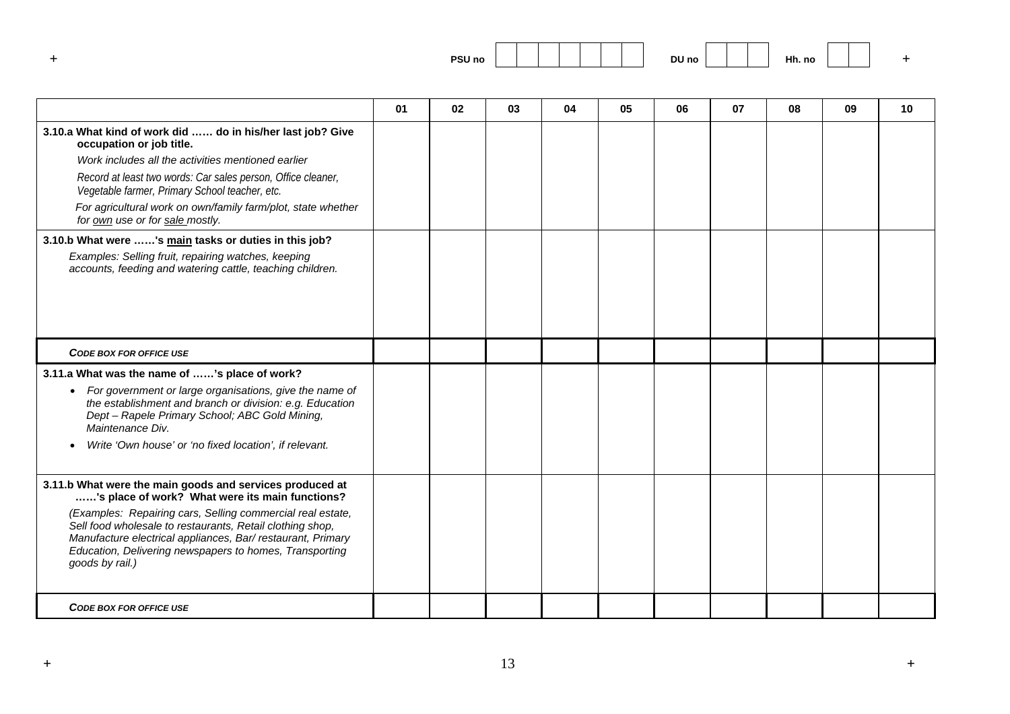|                                                                                                                                                                                                                                                   | 01 | 02 | 03 | 04 | 05 | 06 | 07 | 08 | 09 | 10 |
|---------------------------------------------------------------------------------------------------------------------------------------------------------------------------------------------------------------------------------------------------|----|----|----|----|----|----|----|----|----|----|
| 3.10.a What kind of work did  do in his/her last job? Give<br>occupation or job title.                                                                                                                                                            |    |    |    |    |    |    |    |    |    |    |
| Work includes all the activities mentioned earlier                                                                                                                                                                                                |    |    |    |    |    |    |    |    |    |    |
| Record at least two words: Car sales person, Office cleaner,<br>Vegetable farmer, Primary School teacher, etc.                                                                                                                                    |    |    |    |    |    |    |    |    |    |    |
| For agricultural work on own/family farm/plot, state whether<br>for own use or for sale mostly.                                                                                                                                                   |    |    |    |    |    |    |    |    |    |    |
| 3.10.b What were 's main tasks or duties in this job?                                                                                                                                                                                             |    |    |    |    |    |    |    |    |    |    |
| Examples: Selling fruit, repairing watches, keeping<br>accounts, feeding and watering cattle, teaching children.                                                                                                                                  |    |    |    |    |    |    |    |    |    |    |
|                                                                                                                                                                                                                                                   |    |    |    |    |    |    |    |    |    |    |
| <b>CODE BOX FOR OFFICE USE</b>                                                                                                                                                                                                                    |    |    |    |    |    |    |    |    |    |    |
| 3.11.a What was the name of 's place of work?<br>• For government or large organisations, give the name of<br>the establishment and branch or division: e.g. Education                                                                            |    |    |    |    |    |    |    |    |    |    |
| Dept - Rapele Primary School; ABC Gold Mining,<br>Maintenance Div.                                                                                                                                                                                |    |    |    |    |    |    |    |    |    |    |
| Write 'Own house' or 'no fixed location', if relevant.                                                                                                                                                                                            |    |    |    |    |    |    |    |    |    |    |
| 3.11.b What were the main goods and services produced at<br>'s place of work? What were its main functions?                                                                                                                                       |    |    |    |    |    |    |    |    |    |    |
| (Examples: Repairing cars, Selling commercial real estate,<br>Sell food wholesale to restaurants, Retail clothing shop,<br>Manufacture electrical appliances, Bar/ restaurant, Primary<br>Education, Delivering newspapers to homes, Transporting |    |    |    |    |    |    |    |    |    |    |
| goods by rail.)                                                                                                                                                                                                                                   |    |    |    |    |    |    |    |    |    |    |
| <b>CODE BOX FOR OFFICE USE</b>                                                                                                                                                                                                                    |    |    |    |    |    |    |    |    |    |    |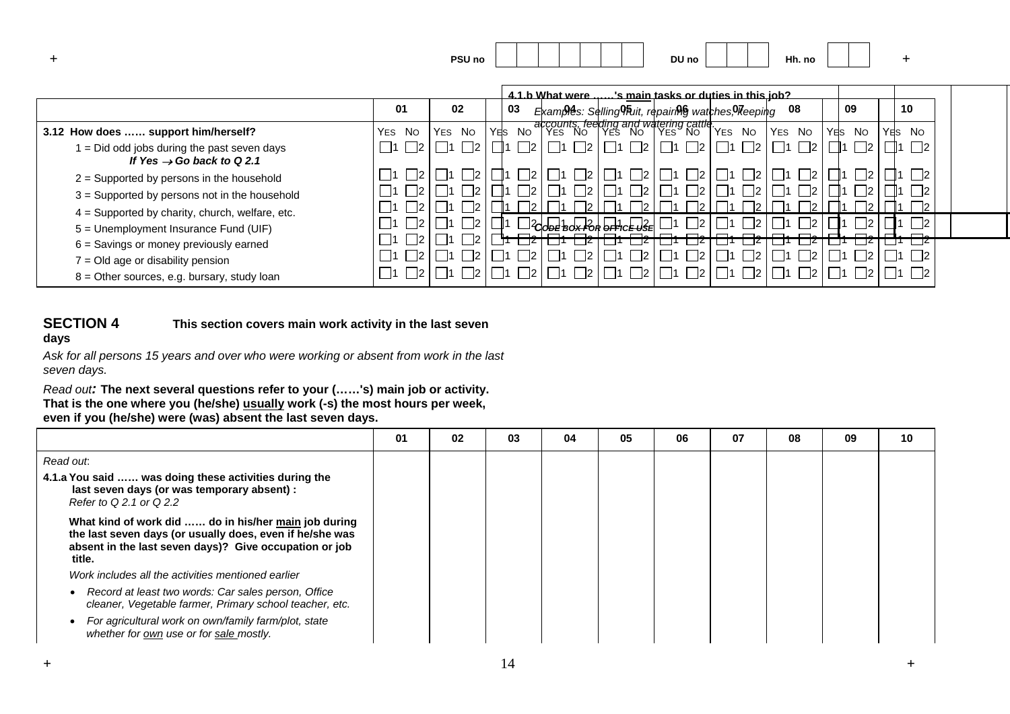|                                                                                                                                |                                  | PSU no                                   |     |                   |           |                                        | DU no                                                                                      |           | Hh. no |      |     |           |            |           |  |
|--------------------------------------------------------------------------------------------------------------------------------|----------------------------------|------------------------------------------|-----|-------------------|-----------|----------------------------------------|--------------------------------------------------------------------------------------------|-----------|--------|------|-----|-----------|------------|-----------|--|
|                                                                                                                                |                                  |                                          |     |                   |           |                                        | 4.1.b What were 's main tasks or duties in this job?                                       |           |        |      |     |           |            |           |  |
|                                                                                                                                | 01                               | 02                                       |     | 03                |           |                                        | Examples: Selling Thuit, repair Pg watches, DReeping                                       |           | 08     |      |     | 09        |            | 10        |  |
| 3.12 How does  support him/herself?                                                                                            | <b>No</b><br><b>YES</b>          | YES NO                                   | YES | No T              |           |                                        | <del>_accounts, feeding and watering cattle.</del><br>○ YES NO YES NO YES NO YES NO YES NO |           | YES NO |      | YES | No        | <b>YES</b> | <b>No</b> |  |
| 1 = Did odd jobs during the past seven days<br>If Yes $\rightarrow$ Go back to Q 2.1                                           | $\lfloor$  2<br>$\blacksquare$ 1 | $\vert$ 2                                |     |                   |           |                                        |                                                                                            |           |        |      |     | $\vert$ 2 |            | - 12      |  |
| $2 =$ Supported by persons in the household<br>3 = Supported by persons not in the household                                   | - 12<br>$\vert$ 12               | $\vert$ 2<br>$\vert$ 2<br>$\overline{2}$ |     | - 12<br>$\vert$ 2 | $\vert$ 2 | - 11                                   | $\overline{2}$                                                                             | $\vert$ 2 |        | - 12 |     |           |            | $\vert$ 2 |  |
| $4 =$ Supported by charity, church, welfare, etc.<br>$5 =$ Unemployment Insurance Fund (UIF)                                   |                                  | $\vert$ 2                                |     |                   |           | <sup>]2</sup> doee'Box Por brPick Usel |                                                                                            |           |        |      |     |           |            |           |  |
| 6 = Savings or money previously earned<br>$7 =$ Old age or disability pension<br>$8 =$ Other sources, e.g. bursary, study loan | -12<br>l 11                      | $\overline{2}$                           |     |                   |           |                                        |                                                                                            |           |        |      |     |           |            |           |  |

# **SECTION 4 This section covers main work activity in the last seven days**

*Ask for all persons 15 years and over who were working or absent from work in the last seven days.* 

*Read out:* **The next several questions refer to your (……'s) main job or activity. That is the one where you (he/she) usually work (-s) the most hours per week, even if you (he/she) were (was) absent the last seven days.**

|                                                                                                                                                                                      | 01 | 02 | 03 | 04 | 05 | 06 | 07 | 08 | 09 | 10 |
|--------------------------------------------------------------------------------------------------------------------------------------------------------------------------------------|----|----|----|----|----|----|----|----|----|----|
| Read out:                                                                                                                                                                            |    |    |    |    |    |    |    |    |    |    |
| 4.1.a You said  was doing these activities during the<br>last seven days (or was temporary absent) :<br>Refer to $Q$ 2.1 or $Q$ 2.2                                                  |    |    |    |    |    |    |    |    |    |    |
| What kind of work did  do in his/her main job during<br>the last seven days (or usually does, even if he/she was<br>absent in the last seven days)? Give occupation or job<br>title. |    |    |    |    |    |    |    |    |    |    |
| Work includes all the activities mentioned earlier                                                                                                                                   |    |    |    |    |    |    |    |    |    |    |
| Record at least two words: Car sales person, Office<br>cleaner, Vegetable farmer, Primary school teacher, etc.                                                                       |    |    |    |    |    |    |    |    |    |    |
| For agricultural work on own/family farm/plot, state<br>whether for own use or for sale mostly.                                                                                      |    |    |    |    |    |    |    |    |    |    |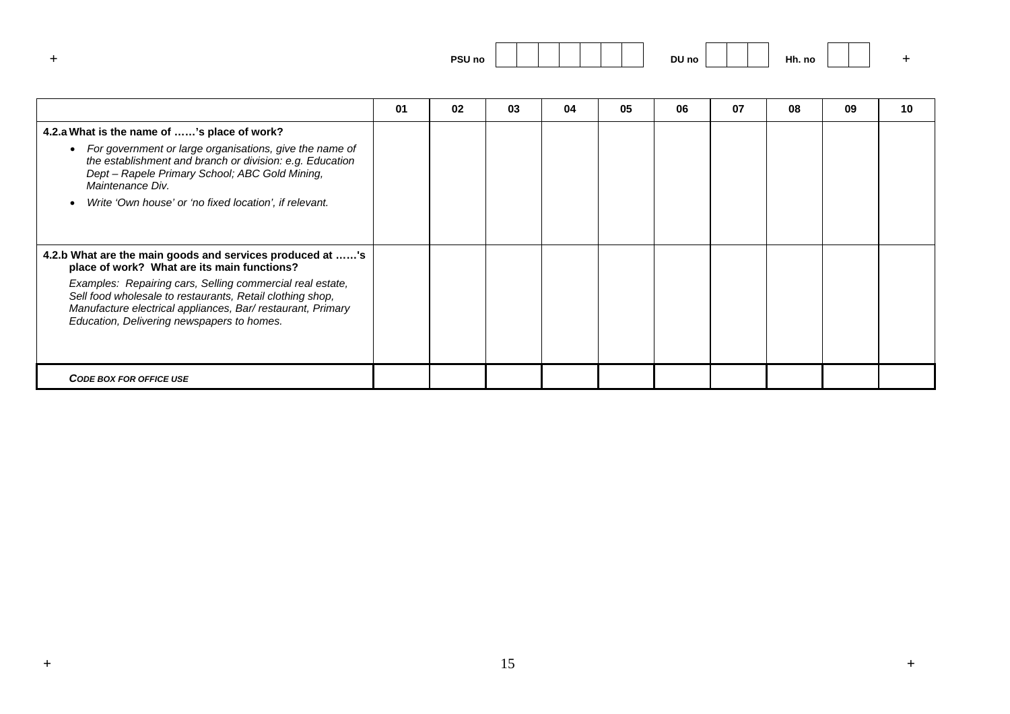|                                                                                                                                                                                                                                                       | 01 | 02 | 03 | 04 | 05 | 06 | 07 | 08 | 09 | 10 |
|-------------------------------------------------------------------------------------------------------------------------------------------------------------------------------------------------------------------------------------------------------|----|----|----|----|----|----|----|----|----|----|
| 4.2.a What is the name of 's place of work?                                                                                                                                                                                                           |    |    |    |    |    |    |    |    |    |    |
| • For government or large organisations, give the name of<br>the establishment and branch or division: e.g. Education<br>Dept - Rapele Primary School; ABC Gold Mining,<br>Maintenance Div.<br>Write 'Own house' or 'no fixed location', if relevant. |    |    |    |    |    |    |    |    |    |    |
| 4.2.b What are the main goods and services produced at 's<br>place of work? What are its main functions?                                                                                                                                              |    |    |    |    |    |    |    |    |    |    |
| Examples: Repairing cars, Selling commercial real estate,<br>Sell food wholesale to restaurants, Retail clothing shop,<br>Manufacture electrical appliances, Bar/ restaurant, Primary<br>Education, Delivering newspapers to homes.                   |    |    |    |    |    |    |    |    |    |    |
| <b>CODE BOX FOR OFFICE USE</b>                                                                                                                                                                                                                        |    |    |    |    |    |    |    |    |    |    |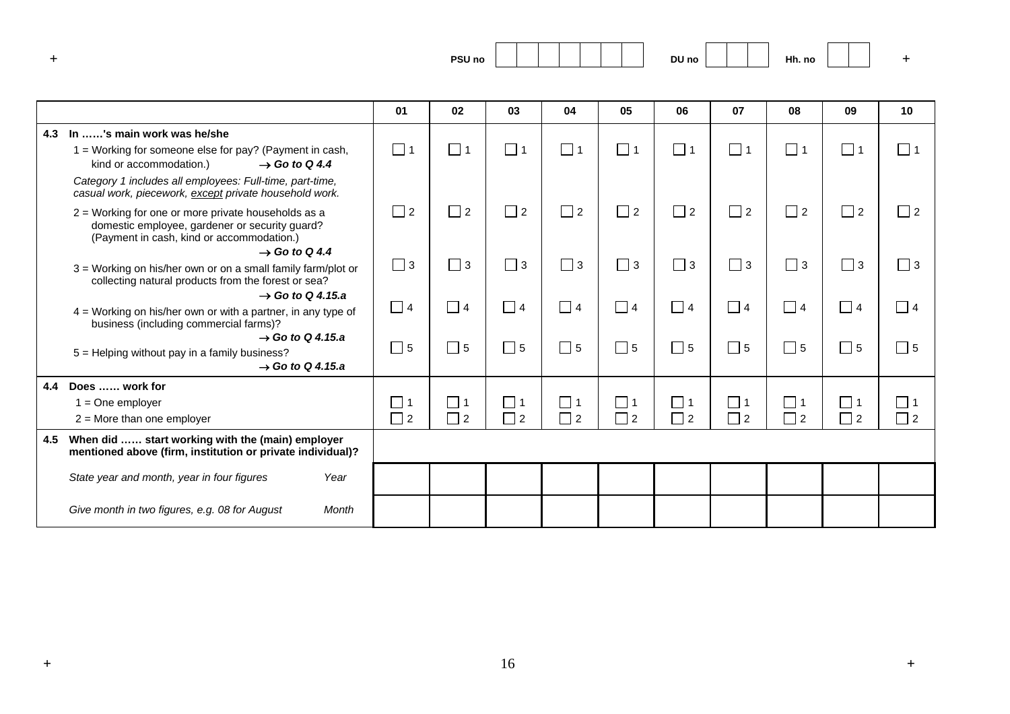|     |                                                                                                                                                      | 01          | 02       | 03       | 04       | 05       | 06       | 07       | 08          | 09            | 10 <sub>1</sub> |  |  |  |
|-----|------------------------------------------------------------------------------------------------------------------------------------------------------|-------------|----------|----------|----------|----------|----------|----------|-------------|---------------|-----------------|--|--|--|
|     |                                                                                                                                                      |             |          |          |          |          |          |          |             |               |                 |  |  |  |
| 4.3 | In 's main work was he/she                                                                                                                           |             |          |          |          |          |          |          |             |               |                 |  |  |  |
|     | 1 = Working for someone else for pay? (Payment in cash,<br>kind or accommodation.)<br>$\rightarrow$ Go to Q 4.4                                      | $\square$ 1 | $\Box$ 1 | $\Box$ 1 | $\Box$ 1 | $\Box$ 1 | $\Box$ 1 | $\Box$ 1 | $\Box$ 1    | $\square$ 1   | $\Box$ 1        |  |  |  |
|     | Category 1 includes all employees: Full-time, part-time,<br>casual work, piecework, except private household work.                                   |             |          |          |          |          |          |          |             |               |                 |  |  |  |
|     | $2$ = Working for one or more private households as a<br>domestic employee, gardener or security guard?<br>(Payment in cash, kind or accommodation.) | $\Box$ 2    | $\Box$ 2 | $\Box$ 2 | $\Box$ 2 | $\Box$ 2 | $\Box$ 2 | $\Box$ 2 | $\Box$ 2    | $\Box$ 2      | $\Box$ 2        |  |  |  |
|     | $\rightarrow$ Go to Q 4.4<br>$3$ = Working on his/her own or on a small family farm/plot or<br>collecting natural products from the forest or sea?   | $\Box$ 3    | $\Box$ 3 | $\Box$ 3 | $\Box$ 3 | $\Box$ 3 | $\Box$ 3 | $\Box$ 3 | $\Box$ 3    | $\Box$ 3      | $\Box$ 3        |  |  |  |
|     | $\rightarrow$ Go to Q 4.15.a<br>$4$ = Working on his/her own or with a partner, in any type of<br>business (including commercial farms)?             | $\Box$ 4    | $\Box$ 4 | $\Box$ 4 | $\Box$ 4 | $\Box$ 4 | $\Box$ 4 | $\Box$ 4 | $\Box$ 4    | $\Box$ 4      | $\Box$ 4        |  |  |  |
|     | $\rightarrow$ Go to Q 4.15.a<br>5 = Helping without pay in a family business?<br>$\rightarrow$ Go to Q 4.15.a                                        | $\Box$ 5    | $\Box$ 5 | $\Box$ 5 | $\Box$ 5 | $\Box$ 5 | $\Box$ 5 | $\Box$ 5 | $\square$ 5 | $\sqsupset$ 5 | $\Box$ 5        |  |  |  |
| 4.4 | Does  work for                                                                                                                                       |             |          |          |          |          |          |          |             |               |                 |  |  |  |
|     | $1 = One$ employer                                                                                                                                   | $\Box$ 1    | $\Box$ 1 | $\Box$ 1 | $\Box$ 1 | $\Box$ 1 | $\Box$ 1 | $\Box$ 1 | $\square$ 1 | $\Box$ 1      | $\square$ 1     |  |  |  |
|     | $2 =$ More than one employer                                                                                                                         | $\Box$ 2    | $\Box$ 2 | $\Box$ 2 | $\Box$ 2 | $\Box$ 2 | $\Box$ 2 | $\Box$ 2 | $\Box$ 2    | $\sqsupset$ 2 | $\Box$ 2        |  |  |  |
| 4.5 | When did  start working with the (main) employer<br>mentioned above (firm, institution or private individual)?                                       |             |          |          |          |          |          |          |             |               |                 |  |  |  |
|     | State year and month, year in four figures<br>Year                                                                                                   |             |          |          |          |          |          |          |             |               |                 |  |  |  |
|     | <b>Month</b><br>Give month in two figures, e.g. 08 for August                                                                                        |             |          |          |          |          |          |          |             |               |                 |  |  |  |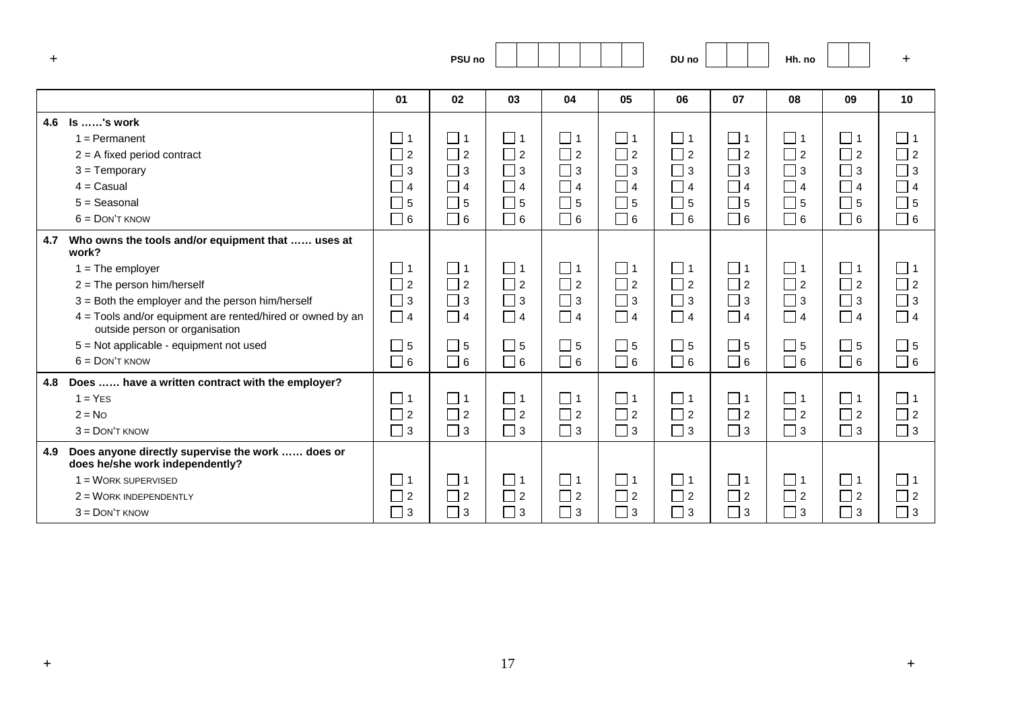| PSU no |  |  | DU <sub>nc</sub> |  | .<br>Hh. no |  |  |
|--------|--|--|------------------|--|-------------|--|--|
|        |  |  |                  |  |             |  |  |

|                                                                                              | 01          | 02                         | 03          | 04       | 05       | 06       | 07       | 08       | 09       | 10                         |
|----------------------------------------------------------------------------------------------|-------------|----------------------------|-------------|----------|----------|----------|----------|----------|----------|----------------------------|
| 4.6<br>$ls$ 's work                                                                          |             |                            |             |          |          |          |          |          |          |                            |
| $1 =$ Permanent                                                                              | $\Box$ 1    | $\vert$   1                | $\Box$ 1    | $\Box$ 1 | $\Box$ 1 | $\Box$ 1 | $\Box$ 1 | $\Box$ 1 | $\Box$ 1 | 1                          |
| $2 = A$ fixed period contract                                                                | $\Box$ 2    | $\overline{1}$ 2           | $\Box$ 2    | $\Box$ 2 | $\Box$ 2 | $\Box$ 2 | $\Box$ 2 | $\Box$ 2 | $\Box$ 2 | $\Box$ 2                   |
| $3 =$ Temporary                                                                              | $\Box$ 3    | $\sqsupset$ 3              | $\Box$ 3    | $\Box$ 3 | $\Box$ 3 | $\Box$ 3 | $\Box$ 3 | $\Box$ 3 | $\Box$ 3 | ヿз                         |
| $4 =$ Casual                                                                                 | $\Box$ 4    | $\bigcap$ 4                | $\Box$ 4    | $\Box$ 4 | $\Box$ 4 | $\Box$ 4 | $\Box$ 4 | $\Box$ 4 | $\Box$ 4 | $\Box$ 4                   |
| $5 =$ Seasonal                                                                               | $\square$ 5 | $\Box$ 5                   | $\Box$ 5    | $\Box$ 5 | $\Box$ 5 | $\Box$ 5 | $\Box$ 5 | $\Box$ 5 | $\Box$ 5 | $\Box$ 5                   |
| $6 =$ DON'T KNOW                                                                             | $\Box$ 6    | $\overline{\phantom{0}}$ 6 | $\Box$ 6    | $\Box$ 6 | $\Box$ 6 | $\Box$ 6 | $\Box$ 6 | $\Box$ 6 | $\Box$ 6 | $\Box$ 6                   |
| Who owns the tools and/or equipment that  uses at<br>4.7<br>work?                            |             |                            |             |          |          |          |          |          |          |                            |
| $1 =$ The employer                                                                           | $\Box$ 1    | $\sqsupset$ 1              | $\Box$ 1    | $\Box$ 1 | $\Box$ 1 | $\Box$ 1 | $\Box$ 1 | $\Box$ 1 | $\Box$ 1 | 1                          |
| $2 =$ The person him/herself                                                                 | $\Box$ 2    | $\sqsupset$ 2              | $\Box$ 2    | $\Box$ 2 | $\Box$ 2 | $\Box$ 2 | $\Box$ 2 | $\Box$ 2 | $\Box$ 2 | $\Box$ 2                   |
| $3 =$ Both the employer and the person him/herself                                           | $\Box$ 3    | $\sqsupset$ 3              | $\Box$ 3    | $\Box$ 3 | $\Box$ 3 | $\Box$ 3 | $\Box$ 3 | $\Box$ 3 | $\Box$ 3 | $\Box$ 3                   |
| 4 = Tools and/or equipment are rented/hired or owned by an<br>outside person or organisation | $\Box$ 4    | $\Box$ 4                   | $\Box$ 4    | $\Box$ 4 | $\Box$ 4 | $\Box$ 4 | $\Box$ 4 | $\Box$ 4 | $\Box$ 4 | $\Box$ 4                   |
| 5 = Not applicable - equipment not used                                                      | $\Box$ 5    | $\overline{\phantom{a}}$ 5 | $\Box$ 5    | $\Box$ 5 | $\Box$ 5 | $\Box$ 5 | $\Box$ 5 | $\Box$ 5 | $\Box$ 5 | $\sqsupset$ 5              |
| $6 =$ DON'T KNOW                                                                             | $\Box$ 6    | $\Box$ 6                   | $\Box$ 6    | $\Box$ 6 | $\Box$ 6 | $\Box$ 6 | $\Box$ 6 | $\Box$ 6 | $\Box$ 6 | $\square$ 6                |
| Does  have a written contract with the employer?<br>4.8                                      |             |                            |             |          |          |          |          |          |          |                            |
| $1 = YES$                                                                                    | $\Box$ 1    | $\sqsupset$ 1              | $\Box$ 1    | $\Box$ 1 | $\Box$ 1 | $\Box$ 1 | $\Box$ 1 | $\Box$ 1 | $\Box$ 1 | $\Box$ 1                   |
| $2 = No$                                                                                     | $\Box$ 2    | $\sqsupset$ 2              | $\Box$ 2    | $\Box$ 2 | $\Box$ 2 | $\Box$ 2 | $\Box$ 2 | $\Box$ 2 | $\Box$ 2 | $\Box$ 2                   |
| $3 =$ DON'T KNOW                                                                             | $\Box$ 3    | $\Box$ 3                   | $\Box$ 3    | $\Box$ 3 | $\Box$ 3 | $\Box$ 3 | $\Box$ 3 | $\Box$ 3 | $\Box$ 3 | $\Box$ 3                   |
| Does anyone directly supervise the work  does or<br>4.9<br>does he/she work independently?   |             |                            |             |          |          |          |          |          |          |                            |
| $1 = \text{WORK SUPERVISED}$                                                                 | l 11        | □ 1                        | $\square$ 1 | $\Box$ 1 | $\Box$ 1 | $\Box$ 1 | $\Box$ 1 | $\Box$ 1 | $\Box$ 1 | $\Box$                     |
| 2 = WORK INDEPENDENTLY                                                                       | $\Box$ 2    | $\mathbb{r}_{2}$           | $\Box$ 2    | $\Box$ 2 | $\Box$ 2 | $\Box$ 2 | $\Box$ 2 | $\Box$ 2 | $\Box$ 2 | $\overline{\phantom{1}}$ 2 |
| $3 =$ DON'T KNOW                                                                             | $\square$ 3 | $\Box$ 3                   | $\Box$ 3    | $\Box$ 3 | $\Box$ 3 | $\Box$ 3 | $\Box$ 3 | $\Box$ 3 | $\Box$ 3 | $\Box$ 3                   |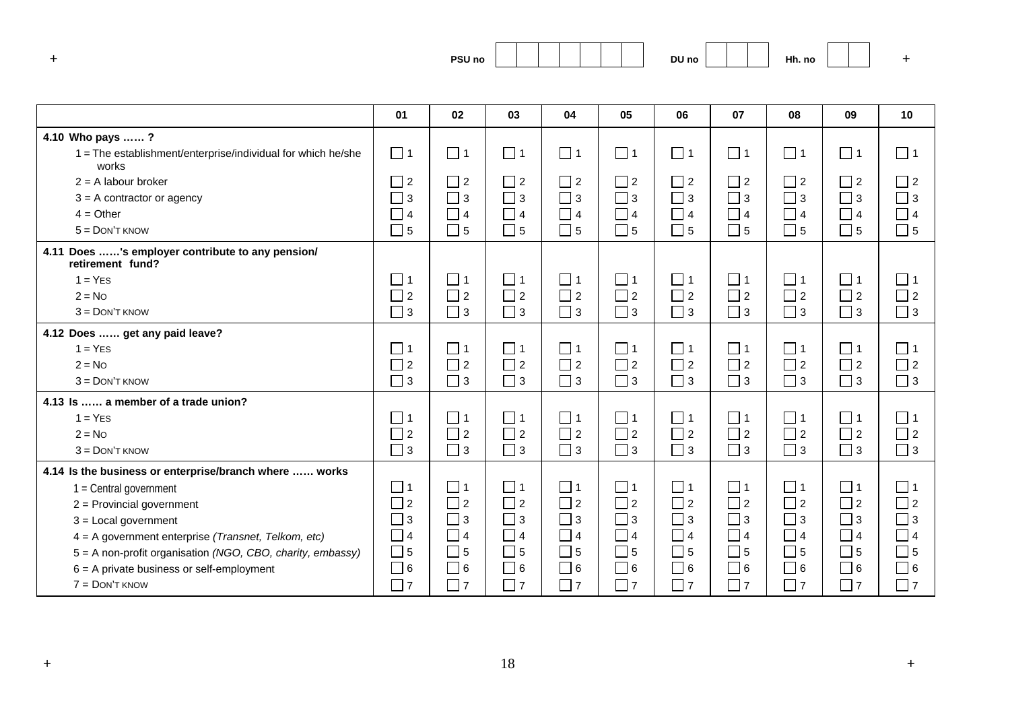| PSU no |  |  | DU <sub>nc</sub> |  | <b>ALL</b><br>Hh. nc |  |  |
|--------|--|--|------------------|--|----------------------|--|--|
|        |  |  |                  |  |                      |  |  |

|                                                                       | 01               | 02          | 03       | 04            | 05          | 06          | 07          | 08       | 09          | 10       |
|-----------------------------------------------------------------------|------------------|-------------|----------|---------------|-------------|-------------|-------------|----------|-------------|----------|
| 4.10 Who pays ?                                                       |                  |             |          |               |             |             |             |          |             |          |
| 1 = The establishment/enterprise/individual for which he/she<br>works | $\Box$ 1         | $\Box$ 1    | $\Box$ 1 | $\Box$ 1      | $\Box$ 1    | $\Box$ 1    | $\Box$ 1    | $\Box$ 1 | 囗 1         | $\Box$ 1 |
| $2 = A$ labour broker                                                 | $\overline{2}$   | $\Box$ 2    | $\Box$ 2 | $\Box$ 2      | $\Box$ 2    | $\Box$ 2    | $\Box$ 2    | $\Box$ 2 | $\Box$ 2    | $\Box$ 2 |
| $3 = A$ contractor or agency                                          | $\sqsupset$ 3    | $\Box$ 3    | $\Box$ 3 | $\sqsupset$ 3 | $\Box$ 3    | $\Box$ 3    | $\Box$ 3    | $\Box$ 3 | $\Box$ 3    | $\Box$ 3 |
| $4 = Other$                                                           | $\overline{1}$ 4 | $\Box$ 4    | $\Box$ 4 | $\Box$ 4      | $\Box$ 4    | $\Box$ 4    | $\Box$ 4    | $\Box$ 4 | $\Box$ 4    | $\Box$ 4 |
| $5 =$ DON'T KNOW                                                      | $\Box$ 5         | $\Box$ 5    | $\Box$ 5 | $\Box$ 5      | $\Box$ 5    | $\Box$ 5    | $\Box$ 5    | $\Box$ 5 | $\Box$ 5    | $\Box$ 5 |
| 4.11 Does 's employer contribute to any pension/<br>retirement fund?  |                  |             |          |               |             |             |             |          |             |          |
| $1 = YES$                                                             | $\Box$ 1         | $\Box$ 1    | $\Box$ 1 | $\Box$ 1      | $\Box$ 1    | $\Box$ 1    | $\Box$ 1    | $\Box$ 1 | $\Box$ 1    | $\Box$ 1 |
| $2 = No$                                                              | $\Box$ 2         | $\Box$ 2    | $\Box$ 2 | $\Box$ 2      | $\Box$ 2    | $\Box$ 2    | $\Box$ 2    | $\Box$ 2 | $\Box$ 2    | $\Box$ 2 |
| $3 =$ DON'T KNOW                                                      | $\Box$ 3         | $\Box$ 3    | $\Box$ 3 | $\Box$ 3      | $\Box$ 3    | $\Box$ 3    | $\Box$ 3    | $\Box$ 3 | $\Box$ 3    | $\Box$ 3 |
| 4.12 Does  get any paid leave?                                        |                  |             |          |               |             |             |             |          |             |          |
| $1 = YES$                                                             | $\blacksquare$ 1 | $\Box$ 1    | $\Box$ 1 | $\Box$ 1      | $\Box$ 1    | $\Box$ 1    | $\Box$ 1    | $\Box$ 1 | $\Box$ 1    | $\Box$ 1 |
| $2 = No$                                                              | $\overline{1}$ 2 | $\Box$ 2    | $\Box$ 2 | $\Box$ 2      | $\Box$ 2    | $\Box$ 2    | $\Box$ 2    | $\Box$ 2 | $\Box$ 2    | $\Box$ 2 |
| $3 =$ DON'T KNOW                                                      | $\Box$ 3         | $\Box$ 3    | $\Box$ 3 | $\Box$ 3      | $\Box$ 3    | $\Box$ 3    | $\Box$ 3    | $\Box$ 3 | $\Box$ 3    | $\Box$ 3 |
| 4.13 Is  a member of a trade union?                                   |                  |             |          |               |             |             |             |          |             |          |
| $1 = YES$                                                             | $\Box$ 1         | $\Box$ 1    | $\Box$ 1 | $\Box$ 1      | $\Box$ 1    | $\Box$ 1    | $\Box$ 1    | $\Box$ 1 | $\square$ 1 | $\Box$ 1 |
| $2 = No$                                                              | $\Box$ 2         | $\Box$ 2    | $\Box$ 2 | $\Box$ 2      | $\Box$ 2    | $\Box$ 2    | $\Box$ 2    | $\Box$ 2 | $\Box$ 2    | $\Box$ 2 |
| $3 =$ DON'T KNOW                                                      | $\Box$ 3         | $\Box$ 3    | $\Box$ 3 | $\Box$ 3      | $\Box$ 3    | $\Box$ 3    | $\Box$ 3    | $\Box$ 3 | $\Box$ 3    | $\Box$ 3 |
| 4.14 Is the business or enterprise/branch where  works                |                  |             |          |               |             |             |             |          |             |          |
| $1 = Central government$                                              | $\Box$ 1         | $\Box$ 1    | $\Box$ 1 | $\Box$ 1      | $\Box$ 1    | $\square$ 1 | $\square$ 1 | $\Box$ 1 | $\Box$ 1    | $\Box$ 1 |
| $2$ = Provincial government                                           | $\Box$ 2         | $\Box$ 2    | $\Box$ 2 | $\Box$ 2      | $\Box$ 2    | $\Box$ 2    | $\Box$ 2    | $\Box$ 2 | $\Box$ 2    | $\Box$ 2 |
| $3 =$ Local government                                                | $\Box$ 3         | $\Box$ 3    | $\Box$ 3 | $\Box$ 3      | $\Box$ 3    | $\Box$ 3    | $\Box$ 3    | $\Box$ 3 | $\Box$ 3    | $\Box$ 3 |
| $4 = A$ government enterprise (Transnet, Telkom, etc)                 | $\Box$ 4         | $\Box$ 4    | $\Box$ 4 | $\Box$ 4      | $\Box$ 4    | $\Box$ 4    | $\Box$ 4    | $\Box$ 4 | $\Box$ 4    | $\Box$ 4 |
| 5 = A non-profit organisation (NGO, CBO, charity, embassy)            | 5                | $\square$ 5 | $\Box$ 5 | $\Box$ 5      | $\square$ 5 | $\Box$ 5    | $\square$ 5 | $\Box$ 5 | $\Box$ 5    | $\Box$ 5 |
| $6 = A$ private business or self-employment                           | $\Box$ 6         | $\Box$ 6    | $\Box$ 6 | $\square$ 6   | $\Box$ 6    | $\Box$ 6    | $\Box$ 6    | $\Box$ 6 | $\Box$ 6    | $\Box$ 6 |
| $7 =$ DON'T KNOW                                                      | $\sqsupset$ 7    | $\Box$ 7    | $\Box$ 7 | $\square$ 7   | $\Box$ 7    | $\Box$ 7    | $\Box$ 7    | $\Box$ 7 | $\Box$ 7    | $\Box$ 7 |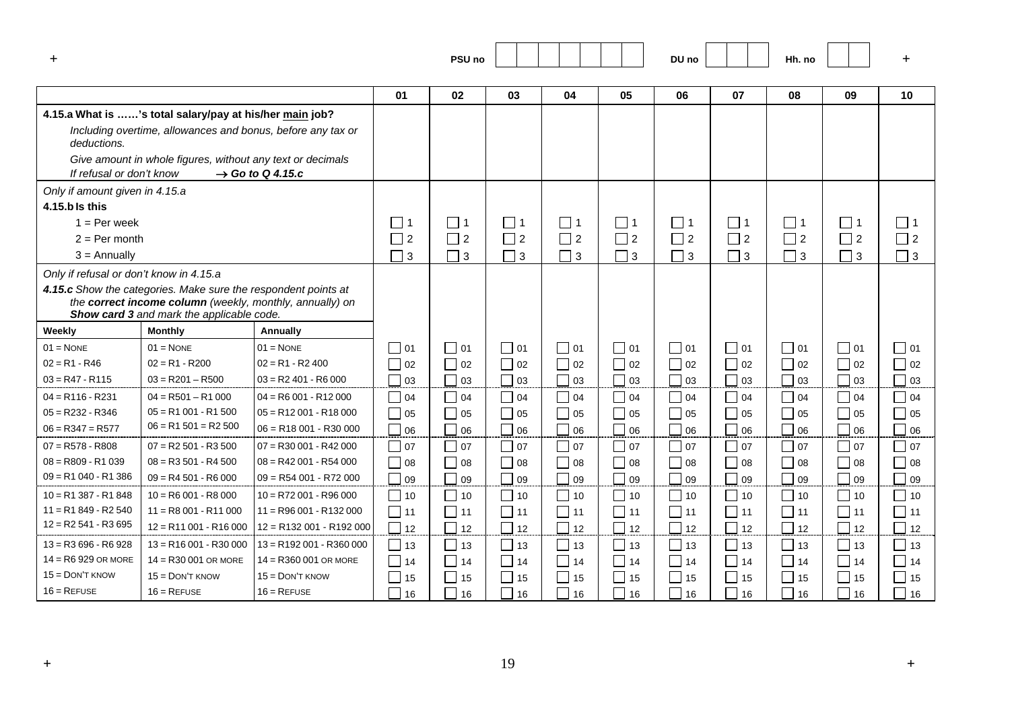|                                                                                                                        |                                                                                                                                                                         |                          | 01              | 02             | 03                          | 04                 | 05             | 06                          | 07                   | 08                          | 09                          | 10                             |
|------------------------------------------------------------------------------------------------------------------------|-------------------------------------------------------------------------------------------------------------------------------------------------------------------------|--------------------------|-----------------|----------------|-----------------------------|--------------------|----------------|-----------------------------|----------------------|-----------------------------|-----------------------------|--------------------------------|
|                                                                                                                        | 4.15.a What is 's total salary/pay at his/her main job?                                                                                                                 |                          |                 |                |                             |                    |                |                             |                      |                             |                             |                                |
| Including overtime, allowances and bonus, before any tax or<br>deductions.                                             |                                                                                                                                                                         |                          |                 |                |                             |                    |                |                             |                      |                             |                             |                                |
| Give amount in whole figures, without any text or decimals<br>If refusal or don't know<br>$\rightarrow$ Go to Q 4.15.c |                                                                                                                                                                         |                          |                 |                |                             |                    |                |                             |                      |                             |                             |                                |
| Only if amount given in 4.15.a                                                                                         |                                                                                                                                                                         |                          |                 |                |                             |                    |                |                             |                      |                             |                             |                                |
| 4.15.b ls this                                                                                                         |                                                                                                                                                                         |                          |                 |                |                             |                    |                |                             |                      |                             |                             |                                |
| $1 = Per week$                                                                                                         |                                                                                                                                                                         |                          | $\blacksquare$  | $\Box$ 1       | $\Box$ 1                    | $\Box$ 1           | ヿ1             | $\Box$ 1                    | $\Box$ 1             | $\Box$ 1                    | $\Box$ 1                    | $\Box$ 1                       |
| $2 = Per month$                                                                                                        |                                                                                                                                                                         |                          | $\Box$ 2        | $\Box$ 2       | $\Box$ 2                    | $\Box$ 2           | $\Box$ 2       | $\Box$ 2                    | $\Box$ 2             | $\Box$ 2                    | $\Box$ 2                    | $\Box$ 2                       |
| $3 =$ Annually                                                                                                         |                                                                                                                                                                         |                          | 3               | $\Box$ 3       | $\Box$ 3                    | $\Box$ 3           | $\sqsupset$ 3  | $\Box$ 3                    | $\Box$ 3             | $\Box$ 3                    | $\sqsupset$ 3               | $\Box$ 3                       |
| Only if refusal or don't know in 4.15.a                                                                                |                                                                                                                                                                         |                          |                 |                |                             |                    |                |                             |                      |                             |                             |                                |
|                                                                                                                        | 4.15.c Show the categories. Make sure the respondent points at<br>the correct income column (weekly, monthly, annually) on<br>Show card 3 and mark the applicable code. |                          |                 |                |                             |                    |                |                             |                      |                             |                             |                                |
| Weekly                                                                                                                 | <b>Monthly</b>                                                                                                                                                          | Annually                 |                 |                |                             |                    |                |                             |                      |                             |                             |                                |
| $01 = \text{None}$                                                                                                     | $01 = \text{None}$                                                                                                                                                      | $01 = \text{None}$       | $\vert$ 01      | $\Box$ 01      | $\vert$ 01                  | $\vert$ $\vert$ 01 | 01             | $\Box$ 01                   | $\vert$ 01           | 01                          | $\Box$ 01                   | $\square$ 01                   |
| $02 = R1 - R46$                                                                                                        | $02 = R1 - R200$                                                                                                                                                        | $02 = R1 - R2 400$       | 02              | $\Box$ 02      | $\Box$ 02                   | $\Box$ 02          | $\Box$ 02      | $\Box$ 02                   | $\Box$ 02            | $\Box$ 02                   | $\Box$ 02                   | $\Box$ 02                      |
| $03 = R47 - R115$                                                                                                      | $03 = R201 - R500$                                                                                                                                                      | $03 = R2401 - R6000$     | $\overline{03}$ | $\Box$ 03      | $\sqsupset$ 03              | $\Box$ 03          | $\Box$ 03      | $\sqsupset$ 03              | $\Box$ 03            | $\Box$ 03                   | $\Box$ 03                   | $\Box$ 03                      |
| $04 = R116 - R231$                                                                                                     | $04 = R501 - R1000$                                                                                                                                                     | $04 = R6001 - R12000$    | 04              | $\Box$ 04      | $\overline{0}$              | $\Box$ 04          | $\Box$ 04      | $\sqrt{04}$                 | 04                   | 04                          | $\Box$ 04                   | $\Box$ 04                      |
| $05 = R232 - R346$                                                                                                     | $05 = R1001 - R1500$                                                                                                                                                    | $05 = R12001 - R18000$   | 05              | $\Box$ 05      | $\sqrt{0.5}$                | $\Box$ 05          | $\Box$ 05      | $\overline{\phantom{0}}$ 05 | $\overline{0}$       | $\Box$ 05                   | $\Box$ 05                   | $\Box$ 05                      |
| $06 = R347 = R577$                                                                                                     | $06 = R1501 = R2500$                                                                                                                                                    | $06 = R18001 - R30000$   | 06              | $\bigcap_{06}$ | $\big 06$                   | 06                 | $\bigcap_{06}$ | 06                          | 06                   | $\overline{\phantom{0}}$ 06 | $\bigcap$ 06                | 06                             |
| $07 = R578 - R808$                                                                                                     | $07 = R2501 - R3500$                                                                                                                                                    | $07 = R30001 - R42000$   | 07              | $\Box$ 07      | $\bigcap$ 07                | $\Box$ 07          | $\sqsupset$ 07 | $\overline{\phantom{0}}$ 07 | 07                   | $\Box$ 07                   | $\Box$ 07                   | $\Box$<br>07                   |
| $08 = R809 - R1039$                                                                                                    | $08 = R3501 - R4500$                                                                                                                                                    | $08 = R42001 - R54000$   | 08              | $\Box$ 08      | $\bigcap$ 08                | $\Box$ 08          | $\Box$ 08      | $\Box$ 08                   | $\Box$ 08            | $\Box$ 08                   | $\Box$ 08                   | $\Box$ 08                      |
| $09 = R1040 - R1386$                                                                                                   | $09 = R4 501 - R6 000$                                                                                                                                                  | $09 = R54001 - R72000$   | 09              | $\Box$ 09      | $\bigcap$ 09                | $\Box$ 09          | $\Box$ 09      | $\bigcap$ 09                | 09                   | $\Box$ 09                   | $\Box$ 09                   | $\Box$ 09                      |
| $10 = R1387 - R1848$                                                                                                   | $10 = R6001 - R8000$                                                                                                                                                    | $10 = R72001 - R96000$   | 10              | $\Box$ 10      | $\vert$ 10                  | $\Box$ 10          | 10             | $\Box$ 10                   | $\blacksquare$<br>10 | $\Box$ 10                   | $\Box$ 10                   | П<br>10                        |
| $11 = R1849 - R2540$                                                                                                   | $11 = R8001 - R11000$                                                                                                                                                   | $11 = R96001 - R132000$  | $\vert$ 11      | $\Box$ 11      | $\Box$ 11                   | $\Box$ 11          | l 11           | $\Box$ 11                   | $\Box$ 11            | $\Box$ 11                   | $\Box$ 11                   | $\Box$ 11                      |
| $12 = R2541 - R3695$                                                                                                   | $12 = R11001 - R16000$                                                                                                                                                  | $12 = R132001 - R192000$ | 12              | $\Box$ 12      | $\overline{\phantom{a}}$ 12 | $\Box$ 12          | 12             | ┑<br>12                     | $\Box$ 12            | 12                          | $\sqsupset$ 12              | $\Box$ 12                      |
| $13 = R3696 - R6928$                                                                                                   | $13 = R16001 - R30000$                                                                                                                                                  | $13 = R192001 - R360000$ | 13              | $\Box$ 13      | $\vert$ 13                  | $\Box$ 13          | 13             | $\Box$ 13                   | 13                   | 13                          | $\overline{\phantom{0}}$ 13 | $\Box$<br>13                   |
| $14 = R6929$ OR MORE                                                                                                   | $14 = R30001$ OR MORE                                                                                                                                                   | 14 = R360 001 OR MORE    | $\Box$ 14       | $\Box$ 14      | $\bigcap$ 14                | $\Box$ 14          | $\Box$ 14      | $\Box$ 14                   | $\Box$ 14            | $\Box$ 14                   | $\Box$ 14                   | $\Box$ 14                      |
| $15 =$ DON'T KNOW                                                                                                      | $15 =$ DON'T KNOW                                                                                                                                                       | $15 =$ DON'T KNOW        | 15              | $\Box$ 15      | $\vert$ 15                  | $\Box$<br>15       | $\Box$<br>15   | $\overline{1}$ 15           | $\Box$<br>15         | $\Box$ 15                   | $\bigcap$ 15                | $\Box$<br>15                   |
| $16 =$ REFUSE                                                                                                          | $16 =$ REFUSE                                                                                                                                                           | $16 =$ REFUSE            | 16              | 16             | 16                          | Г<br>16            | 16             | 16                          | 16                   | 16                          | 16                          | $\overline{\phantom{a}}$<br>16 |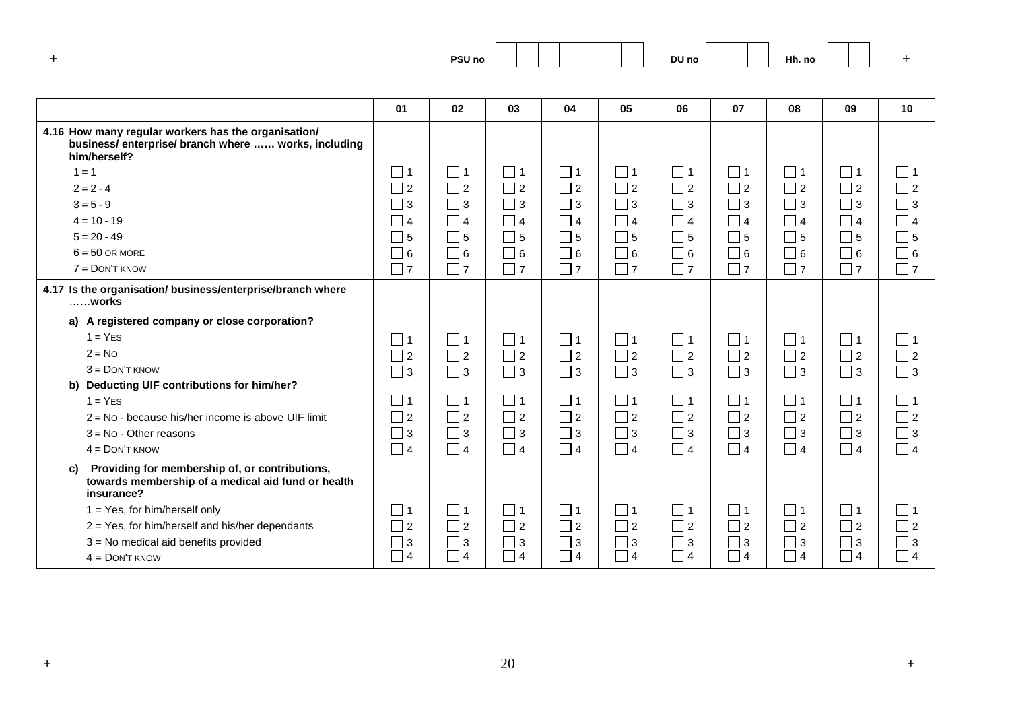|                                                                                                                           | 01          | 02          | 03       | 04          | 05            | 06       | 07       | 08       | 09                         | 10       |
|---------------------------------------------------------------------------------------------------------------------------|-------------|-------------|----------|-------------|---------------|----------|----------|----------|----------------------------|----------|
| 4.16 How many regular workers has the organisation/<br>business/enterprise/branch where  works, including<br>him/herself? |             |             |          |             |               |          |          |          |                            |          |
| $1 = 1$                                                                                                                   | $\Box$ 1    | $\Box$ 1    | $\Box$ 1 | $\Box$ 1    | $\Box$ 1      | $\Box$ 1 | $\Box$ 1 | $\Box$ 1 | $\Box$ 1                   | $\Box$ 1 |
| $2 = 2 - 4$                                                                                                               | $\Box$ 2    | $\Box$ 2    | $\Box$ 2 | $\Box$ 2    | $\Box$ 2      | $\Box$ 2 | $\Box$ 2 | $\Box$ 2 | $\Box$ 2                   | $\Box$ 2 |
| $3 = 5 - 9$                                                                                                               | $\Box$ 3    | $\Box$ 3    | $\Box$ 3 | $\Box$ 3    | $\Box$ 3      | $\Box$ 3 | $\Box$ 3 | $\Box$ 3 | $\Box$ 3                   | $\Box$ 3 |
| $4 = 10 - 19$                                                                                                             | $\Box$ 4    | $\Box$ 4    | $\Box$ 4 | $\Box$ 4    | $\Box$ 4      | $\Box$ 4 | $\Box$ 4 | $\Box$ 4 | $\overline{\phantom{0}}$ 4 | $\Box$ 4 |
| $5 = 20 - 49$                                                                                                             | $\square$ 5 | $\Box$ 5    | $\Box$ 5 | $\Box$ 5    | $\sqsupset$ 5 | $\Box$ 5 | $\Box$ 5 | $\Box$ 5 | $\overline{\phantom{0}}$ 5 | $\Box$ 5 |
| $6 = 50$ OR MORE                                                                                                          | $\Box$ 6    | $\Box$ 6    | $\Box$ 6 | $\Box$ 6    | $\Box$ 6      | $\Box$ 6 | $\Box$ 6 | $\Box$ 6 | ヿ 6                        | $\Box$ 6 |
| $7 =$ DON'T KNOW                                                                                                          | $\Box$ 7    | $\Box$ 7    | $\Box$ 7 | $\Box$ 7    | $\Box$ 7      | $\Box$ 7 | $\Box$ 7 | $\Box$ 7 | $\Box$ 7                   | $\Box$ 7 |
| 4.17 Is the organisation/ business/enterprise/branch where<br>$\dots$ . works                                             |             |             |          |             |               |          |          |          |                            |          |
| a) A registered company or close corporation?                                                                             |             |             |          |             |               |          |          |          |                            |          |
| $1 = YES$                                                                                                                 | $\Box$ 1    | $\Box$ 1    | $\Box$ 1 | $\Box$ 1    | $\Box$ 1      | $\Box$ 1 | $\Box$ 1 | $\Box$ 1 | $\Box$ 1                   | $\Box$ 1 |
| $2 = No$                                                                                                                  | $\Box$ 2    | $\Box$ 2    | $\Box$ 2 | $\Box$ 2    | $\Box$ 2      | $\Box$ 2 | $\Box$ 2 | $\Box$ 2 | $\Box$ 2                   | $\Box$ 2 |
| $3 =$ DON'T KNOW                                                                                                          | $\Box$ 3    | $\Box$ 3    | $\Box$ 3 | $\Box$ 3    | $\Box$ 3      | $\Box$ 3 | $\Box$ 3 | $\Box$ 3 | $\Box$ 3                   | $\Box$ 3 |
| b) Deducting UIF contributions for him/her?                                                                               |             |             |          |             |               |          |          |          |                            |          |
| $1 = YES$                                                                                                                 | $\Box$ 1    | $\Box$ 1    | $\Box$ 1 | $\Box$ 1    | $\Box$ 1      | $\Box$ 1 | $\Box$ 1 | $\Box$ 1 | $\Box$ 1                   | $\Box$ 1 |
| 2 = No - because his/her income is above UIF limit                                                                        | $\Box$ 2    | $\Box$ 2    | $\Box$ 2 | $\Box$ 2    | $\Box$ 2      | $\Box$ 2 | $\Box$ 2 | $\Box$ 2 | $\Box$ 2                   | $\Box$ 2 |
| $3 = No - Other reasons$                                                                                                  | $\square$ 3 | $\Box$ 3    | $\Box$ 3 | $\Box$ 3    | $\Box$ 3      | $\Box$ 3 | $\Box$ 3 | $\Box$ 3 | $\Box$ 3                   | $\Box$ 3 |
| $4 =$ DON'T KNOW                                                                                                          | $\Box$ 4    | $\Box$ 4    | $\Box$ 4 | $\Box$ 4    | $\Box$ 4      | $\Box$ 4 | $\Box$ 4 | $\Box$ 4 | $\overline{1}$             | $\Box$ 4 |
| Providing for membership of, or contributions,<br>C)<br>towards membership of a medical aid fund or health<br>insurance?  |             |             |          |             |               |          |          |          |                            |          |
| $1 = Yes$ , for him/herself only                                                                                          | $\Box$ 1    | $\Box$ 1    | $\Box$ 1 | $\Box$ 1    | $\Box$ 1      | $\Box$ 1 | $\Box$ 1 | $\Box$ 1 | $\Box$ 1                   | 1        |
| $2 = Yes$ , for him/herself and his/her dependants                                                                        | $\Box$ 2    | $\Box$ 2    | $\Box$ 2 | $\Box$ 2    | $\Box$ 2      | $\Box$ 2 | $\Box$ 2 | $\Box$ 2 | $\overline{1}$             | $\Box$ 2 |
| 3 = No medical aid benefits provided                                                                                      | $\Box$ 3    | $\square$ 3 | $\Box$ 3 | $\square$ 3 | $\Box$ 3      | $\Box$ 3 | $\Box$ 3 | $\Box$ 3 | ┑<br>3                     | $\Box$ 3 |
| $4 =$ DON'T KNOW                                                                                                          | $\Box$ 4    | $\Box$ 4    | $\Box$ 4 | $\Box$ 4    | ヿ4            | $\Box$ 4 | $\Box$ 4 | $\Box$ 4 | $\overline{14}$            | $\Box$ 4 |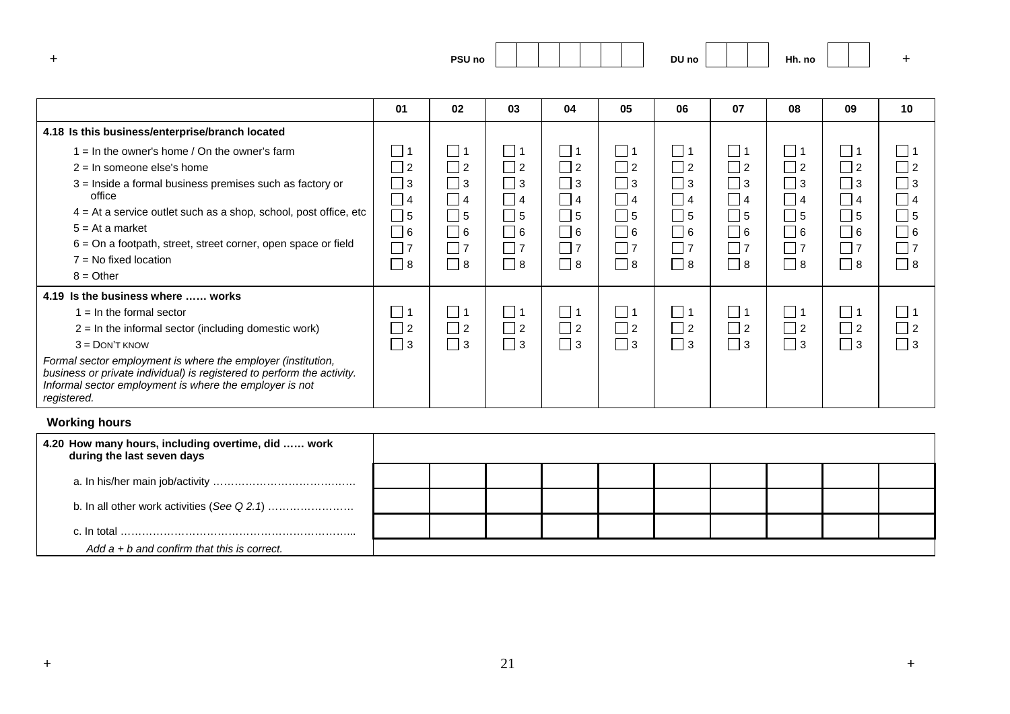|                                                                                                                                                                                                                                                                                                                                                                                  | 01                                                                         | 02                                                                                    | 03                                                                                           | 04                                                                                                | 05                                                                                      | 06                                                                                                    | 07                                                                                           | 08                                                                                              | 09                                                                                                                                                  | 10                                                                                                 |
|----------------------------------------------------------------------------------------------------------------------------------------------------------------------------------------------------------------------------------------------------------------------------------------------------------------------------------------------------------------------------------|----------------------------------------------------------------------------|---------------------------------------------------------------------------------------|----------------------------------------------------------------------------------------------|---------------------------------------------------------------------------------------------------|-----------------------------------------------------------------------------------------|-------------------------------------------------------------------------------------------------------|----------------------------------------------------------------------------------------------|-------------------------------------------------------------------------------------------------|-----------------------------------------------------------------------------------------------------------------------------------------------------|----------------------------------------------------------------------------------------------------|
| 4.18 Is this business/enterprise/branch located                                                                                                                                                                                                                                                                                                                                  |                                                                            |                                                                                       |                                                                                              |                                                                                                   |                                                                                         |                                                                                                       |                                                                                              |                                                                                                 |                                                                                                                                                     |                                                                                                    |
| $1 = \ln \text{ the owner's home} / \text{On the owner's farm}$<br>$2 = \ln$ someone else's home<br>$3$ = Inside a formal business premises such as factory or<br>office<br>$4 = At$ a service outlet such as a shop, school, post office, etc<br>$5 = At a market$<br>$6$ = On a footpath, street, street corner, open space or field<br>$7 = No$ fixed location<br>$8 =$ Other | ┙<br>$\Box$ 2<br>$\perp$ 3<br>$\Box$ 4<br>$\Box$ 5<br>6<br>$\Box$ 7<br>∃ 8 | $\Box$<br>$\Box$ 2<br>$\Box$ 3<br>$\Box$ 4<br>$\Box$ 5<br>$\Box$ 6<br>$\Box$ 7<br>ヿ 8 | $\Box$ 1<br>$\Box$ 2<br>$\Box$ 3<br>$\Box$ 4<br>$\Box$ 5<br>$\Box$ 6<br>$\Box$ 7<br>$\Box$ 8 | $\Box$ 1<br>$\sqsupset$ 2<br>$\Box$ 3<br>$\Box$ 4<br>$\Box$ 5<br>$\Box$ 6<br>$\Box$ 7<br>$\Box$ 8 | $\Box$ 1<br>$\Box$ 2<br>$\Box$ 3<br>$\Box$ 4<br>$\Box$ 5<br>$\Box$ 6<br>$\Box$ 7<br>ヿ 8 | $\Box$ 1<br>$\square$ 2<br>$\square$ 3<br>$\Box$ 4<br>$\square$ 5<br>$\Box$ 6<br>$\Box$ 7<br>$\Box$ 8 | $\Box$ 1<br>$\Box$ 2<br>$\Box$ 3<br>$\Box$ 4<br>$\Box$ 5<br>$\Box$ 6<br>$\Box$ 7<br>$\Box$ 8 | $\Box$ 1<br>$\square$ 2<br>$\Box$ 3<br>$\Box$ 4<br>$\Box$ 5<br>$\Box$ 6<br>$\Box$ 7<br>$\Box$ 8 | $\Box$ :<br>$\overline{\phantom{a}}$ 2<br>$\Box$ 3<br>$\Box$ 4<br>$\overline{\phantom{0}}$ 5<br>$-6$<br>$\overline{\phantom{0}}$ 7<br>$\sqsupset$ 8 | $\Box$ 1<br>$\Box$ 2<br>$\Box$ 3<br>$\Box$ 4<br>$\square$ 5<br>$\square$ 6<br>$\Box$ 7<br>$\Box$ 8 |
| 4.19 Is the business where  works<br>$1 = \ln \text{ the formal sector}$<br>$2 = \ln$ the informal sector (including domestic work)<br>$3 =$ DON'T KNOW<br>Formal sector employment is where the employer (institution,<br>business or private individual) is registered to perform the activity.<br>Informal sector employment is where the employer is not<br>registered.      | $\Box$ 1<br>$\sqsupset$ 2<br>$\Box$ 3                                      | コ1<br>$\Box$ 2<br>$\Box$ 3                                                            | l 11<br>$\Box$ 2<br>$\Box$ 3                                                                 | $\Box$ 1<br>$\Box$ 2<br>$\Box$ 3                                                                  | 囗 1<br>囗2<br>$\Box$ 3                                                                   | $\Box$ 1<br>$\Box$ 2<br>$\Box$ 3                                                                      | $\Box$ 1<br>$\Box$ 2<br>$\Box$ 3                                                             | $\Box$ 1<br>$\Box$ 2<br>$\Box$ 3                                                                | $\sqsupset$ 1<br>$\Box$ 2<br>$\Box$ 3                                                                                                               | $\Box$ 1<br>$\square$ 2<br>$\square$ 3                                                             |

# **Working hours**

| 4.20 How many hours, including overtime, did  work<br>during the last seven days |  |  |  |  |  |
|----------------------------------------------------------------------------------|--|--|--|--|--|
|                                                                                  |  |  |  |  |  |
|                                                                                  |  |  |  |  |  |
|                                                                                  |  |  |  |  |  |
| Add $a + b$ and confirm that this is correct.                                    |  |  |  |  |  |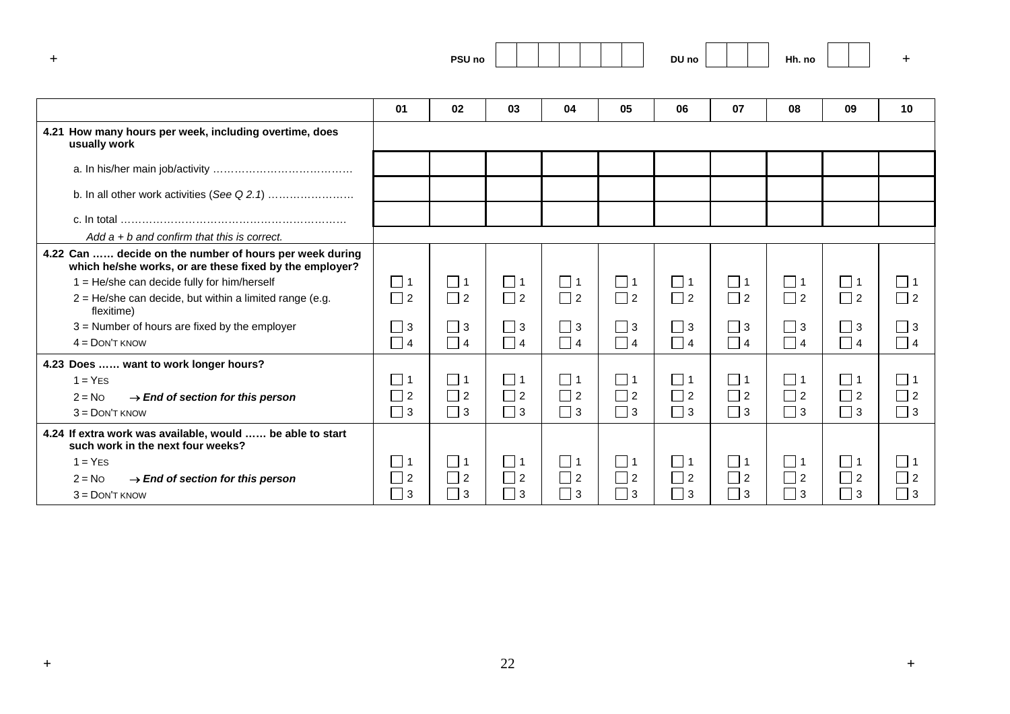|                                                                                                                    | 01                          | 02       | 03                   | 04            | 05       | 06       | 07       | 08        | 09       | 10       |
|--------------------------------------------------------------------------------------------------------------------|-----------------------------|----------|----------------------|---------------|----------|----------|----------|-----------|----------|----------|
| 4.21 How many hours per week, including overtime, does<br>usually work                                             |                             |          |                      |               |          |          |          |           |          |          |
|                                                                                                                    |                             |          |                      |               |          |          |          |           |          |          |
|                                                                                                                    |                             |          |                      |               |          |          |          |           |          |          |
|                                                                                                                    |                             |          |                      |               |          |          |          |           |          |          |
| Add $a + b$ and confirm that this is correct.                                                                      |                             |          |                      |               |          |          |          |           |          |          |
| 4.22 Can  decide on the number of hours per week during<br>which he/she works, or are these fixed by the employer? |                             |          |                      |               |          |          |          |           |          |          |
| 1 = He/she can decide fully for him/herself                                                                        | ∐ 1                         | $\Box$ 1 | $\Box$ 1             | $\Box$ 1      | $\Box$ 1 | $\Box$ 1 | $\Box$ 1 | $\Box$ 1  | $\Box$ 1 | $\Box$ 1 |
| $2 = He/she can decide, but within a limited range (e.g.,)$<br>flexitime)                                          | $\Box$ 2                    | $\Box$ 2 | $\Box$ 2             | $\Box$ 2      | $\Box$ 2 | $\Box$ 2 | $\Box$ 2 | $\Box$ 2  | $\Box$ 2 | $\Box$ 2 |
| $3$ = Number of hours are fixed by the employer                                                                    | $\Box$ 3                    | $\Box$ 3 | $\Box$ 3             | $\square$ з   | $\Box$ 3 | $\Box$ 3 | $\Box$ 3 | $\Box$ 3  | $\Box$ 3 | $\Box$ 3 |
| $4 =$ DON'T KNOW                                                                                                   | $\Box$ 4                    | $\Box$ 4 | $\Box$ 4             | $\Box$ 4      | $\Box$ 4 | $\Box$ 4 | $\Box$ 4 | $\Box$ 4  | $\Box$ 4 | $\Box$ 4 |
| 4.23 Does  want to work longer hours?                                                                              |                             |          |                      |               |          |          |          |           |          |          |
| $1 = YES$                                                                                                          | $\mathcal{L}_{\mathcal{A}}$ | $\Box$ 1 | $\Box$ 1             | $\Box$ 1      | $\Box$ 1 | $\Box$ 1 | $\Box$ 1 | $\Box$ 1  | $\Box$ 1 | $\Box$ 1 |
| $\rightarrow$ End of section for this person<br>$2 = No$                                                           | $\Box$ 2                    | $\Box$ 2 | $\prod$ <sub>2</sub> | $\Box$ 2      | $\Box$ 2 | $\Box$ 2 | $\Box$ 2 | $\Box$ 2  | $\Box$ 2 | $\Box$ 2 |
| $3 =$ DON'T KNOW                                                                                                   | $\Box$ 3                    | $\Box$ 3 | $\Box$ 3             | $\Box$ 3      | $\Box$ 3 | $\Box$ 3 | $\Box$ 3 | $\Box$ 3  | $\Box$ 3 | $\Box$ 3 |
| 4.24 If extra work was available, would  be able to start<br>such work in the next four weeks?                     |                             |          |                      |               |          |          |          |           |          |          |
| $1 = YES$                                                                                                          | □ 1                         | $\Box$ 1 | $\Box$ 1             | ■ 1           | $\Box$ 1 | $\Box$ 1 | $\Box$ 1 | $\vert$ 1 | $\Box$ 1 | $\Box$ 1 |
| $2 = No$<br>$\rightarrow$ End of section for this person                                                           | $\Box$ 2                    | $\Box$ 2 | $\Box$ 2             | $\Box$ 2      | $\Box$ 2 | $\Box$ 2 | $\Box$ 2 | $\Box$ 2  | $\Box$ 2 | $\Box$ 2 |
| $3 =$ DON'T KNOW                                                                                                   | $\vert$ 3                   | $\Box$ 3 | $\Box$ 3             | $\sqsupset$ 3 | $\Box$ 3 | $\Box$ 3 | $\Box$ 3 | □ 3       | $\Box$ 3 | $\Box$ 3 |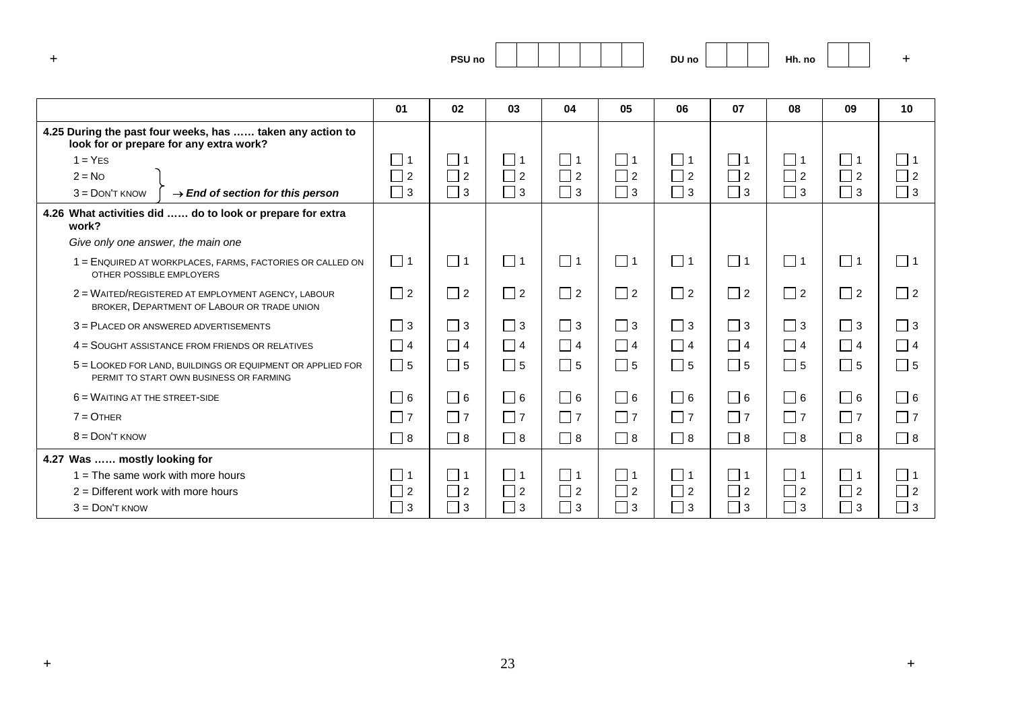|                                                                                                       | 01                         | 02       | 03       | 04               | 05       | 06       | 07          | 08       | 09       | 10          |
|-------------------------------------------------------------------------------------------------------|----------------------------|----------|----------|------------------|----------|----------|-------------|----------|----------|-------------|
| 4.25 During the past four weeks, has  taken any action to<br>look for or prepare for any extra work?  |                            |          |          |                  |          |          |             |          |          |             |
| $1 = YES$                                                                                             | $\Box$ 1                   | $\Box$ 1 | $\Box$ 1 | $\sqsupset$ 1    | $\Box$ 1 | $\Box$ 1 | $\Box$ 1    | $\Box$ 1 | $\Box$ 1 | $\Box$ 1    |
| $2 = No$                                                                                              | $\overline{\phantom{1}}$ 2 | $\Box$ 2 | $\Box$ 2 | $\Box$ 2         | $\Box$ 2 | $\Box$ 2 | $\Box$ 2    | $\Box$ 2 | $\Box$ 2 | $\Box$ 2    |
| $3 =$ DON'T KNOW<br>$\rightarrow$ End of section for this person                                      | $\Box$ 3                   | $\Box$ 3 | $\Box$ 3 | $\Box$ 3         | $\Box$ 3 | $\Box$ 3 | $\Box$ 3    | $\Box$ 3 | $\Box$ 3 | $\Box$ 3    |
| 4.26 What activities did  do to look or prepare for extra<br>work?                                    |                            |          |          |                  |          |          |             |          |          |             |
| Give only one answer, the main one                                                                    |                            |          |          |                  |          |          |             |          |          |             |
| 1 = ENQUIRED AT WORKPLACES, FARMS, FACTORIES OR CALLED ON<br>OTHER POSSIBLE EMPLOYERS                 | $\Box$ 1                   | $\Box$ 1 | $\Box$ 1 | $\Box$ 1         | $\Box$ 1 | $\Box$ 1 | $\square$ 1 | $\Box$ 1 | 囗 1      | $\square$ 1 |
| 2 = WAITED/REGISTERED AT EMPLOYMENT AGENCY, LABOUR<br>BROKER, DEPARTMENT OF LABOUR OR TRADE UNION     | $\Box$ 2                   | $\Box$ 2 | $\Box$ 2 | $\Box$ 2         | $\Box$ 2 | $\Box$ 2 | $\Box$ 2    | $\Box$ 2 | $\Box$ 2 | $\Box$ 2    |
| $3$ = PLACED OR ANSWERED ADVERTISEMENTS                                                               | $\overline{\phantom{0}}$ 3 | $\Box$ 3 | $\Box$ 3 | $\Box$ 3         | $\Box$ 3 | $\Box$ 3 | $\Box$ 3    | $\Box$ 3 | $\Box$ 3 | $\Box$ 3    |
| 4 = SOUGHT ASSISTANCE FROM FRIENDS OR RELATIVES                                                       | $\Box$ 4                   | $\Box$ 4 | $\Box$ 4 | $\Box$ 4         | $\Box$ 4 | $\Box$ 4 | $\Box$ 4    | $\Box$ 4 | $\Box$ 4 | $\Box$ 4    |
| 5 = LOOKED FOR LAND, BUILDINGS OR EQUIPMENT OR APPLIED FOR<br>PERMIT TO START OWN BUSINESS OR FARMING | $\Box$ 5                   | $\Box$ 5 | $\Box$ 5 | $\Box$ 5         | $\Box$ 5 | $\Box$ 5 | $\Box$ 5    | $\Box$ 5 | $\Box$ 5 | $\Box$ 5    |
| $6 =$ WAITING AT THE STREET-SIDE                                                                      | $\Box$ 6                   | $\Box$ 6 | $\Box$ 6 | $\Box$ 6         | $\Box$ 6 | $\Box$ 6 | $\square$ 6 | $\Box$ 6 | $\Box$ 6 | $\Box$ 6    |
| $7 = 0$ THER                                                                                          | $\overline{\phantom{a}}$ 7 | $\Box$ 7 | $\Box$ 7 | $\Box$ 7         | $\Box$ 7 | $\Box$ 7 | $\Box$ 7    | $\Box$ 7 | $\Box$ 7 | $\Box$ 7    |
| $8 =$ DON'T KNOW                                                                                      | $\Box$ 8                   | $\Box$ 8 | $\Box$ 8 | $\Box$ 8         | $\Box$ 8 | $\Box$ 8 | $\Box$ 8    | $\Box$ 8 | $\Box$ 8 | $\Box$ 8    |
| 4.27 Was  mostly looking for                                                                          |                            |          |          |                  |          |          |             |          |          |             |
| $1 =$ The same work with more hours                                                                   | $\mathcal{L}$<br>-1        | 1        | $\Box$ 1 | $\Box$ 1         | $\Box$ 1 | $\Box$ 1 | $\sqcup$ 1  | $\Box$ 1 | $\Box$ 1 | 1           |
| $2$ = Different work with more hours                                                                  | $\overline{\phantom{0}}$ 2 | $\Box$ 2 | $\Box$ 2 | $\mathbb{r}_{2}$ | $\Box$ 2 | $\Box$ 2 | $\Box$ 2    | $\Box$ 2 | $\Box$ 2 | $\Box$ 2    |
| $3 =$ DON'T KNOW                                                                                      | $\Box$ 3                   | $\Box$ 3 | $\Box$ 3 | $\Box$ 3         | $\Box$ 3 | $\Box$ 3 | $\Box$ 3    | $\Box$ 3 | $\Box$ 3 | $\Box$ 3    |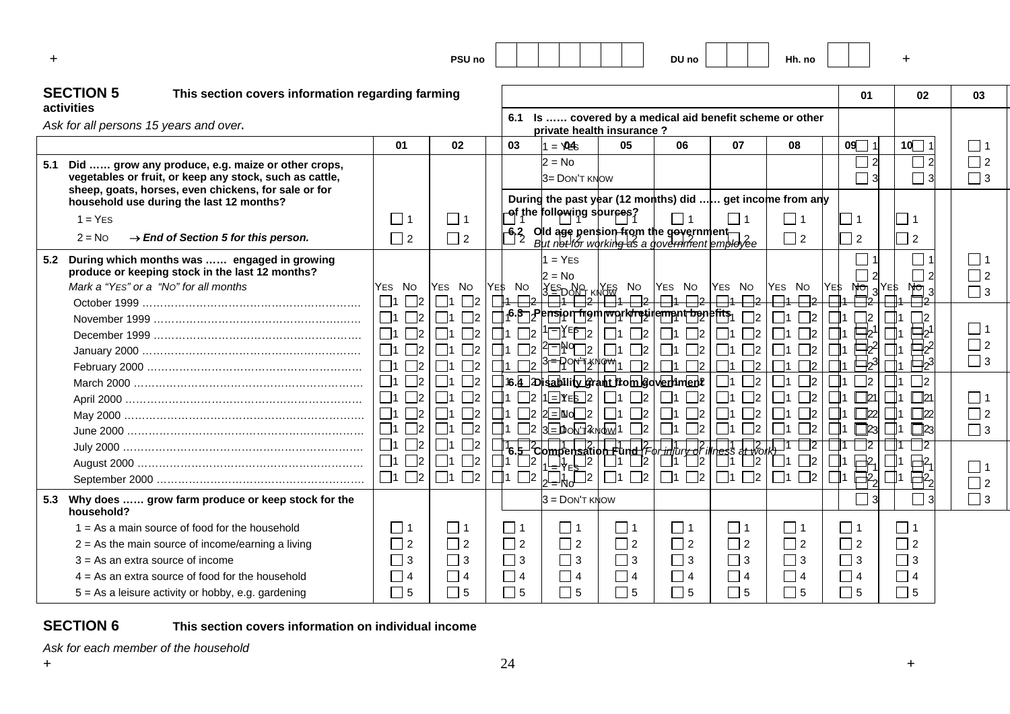|                                                                                                                                                                             |                                                   | PSU <sub>no</sub>                            |       |                   |                                                                                            |                      | DU no                      |                                              | Hh. no                                                   |                                                      | $\pm$                   |                           |
|-----------------------------------------------------------------------------------------------------------------------------------------------------------------------------|---------------------------------------------------|----------------------------------------------|-------|-------------------|--------------------------------------------------------------------------------------------|----------------------|----------------------------|----------------------------------------------|----------------------------------------------------------|------------------------------------------------------|-------------------------|---------------------------|
| <b>SECTION 5</b><br>activities                                                                                                                                              | This section covers information regarding farming |                                              |       |                   |                                                                                            |                      |                            |                                              |                                                          | 01                                                   | 02                      | 03                        |
| Ask for all persons 15 years and over.                                                                                                                                      |                                                   |                                              |       |                   | private health insurance?                                                                  |                      |                            |                                              | 6.1 Is  covered by a medical aid benefit scheme or other |                                                      |                         |                           |
|                                                                                                                                                                             | 01                                                | 02                                           |       | 03                | $1 = 1046$                                                                                 | 05                   | 06                         | 07                                           | 08                                                       | $09$ 1                                               | 10                      |                           |
| 5.1<br>Did  grow any produce, e.g. maize or other crops,<br>vegetables or fruit, or keep any stock, such as cattle,<br>sheep, goats, horses, even chickens, for sale or for |                                                   |                                              |       |                   | $2 = No$<br>3= DON'T KNOW                                                                  |                      |                            |                                              |                                                          | $\overline{2}$<br>3                                  | 2<br>$\sim$<br>$\Box$ 3 | $\sqsupset$ 2<br>$\Box$ 3 |
| household use during the last 12 months?                                                                                                                                    |                                                   |                                              |       |                   | During the past year (12 months) did<br>of the following sources?                          |                      |                            |                                              | get income from any                                      |                                                      |                         |                           |
| $1 = YES$                                                                                                                                                                   | $\lfloor$ 1                                       | $\Box$ 1                                     |       |                   |                                                                                            |                      |                            |                                              | $\Box$ 1                                                 | □ 1                                                  |                         |                           |
| $\rightarrow$ End of Section 5 for this person.<br>$2 = No$                                                                                                                 | $\Box$ 2                                          | $\Box$ 2                                     |       | $-\frac{6}{2}$    | <b>Old age pension from the government</b><br>But not for working as a government employee |                      |                            |                                              | $\Box$ 2                                                 | $\sqsupset$ 2                                        | ]2                      |                           |
| 5.2 During which months was  engaged in growing<br>produce or keeping stock in the last 12 months?                                                                          |                                                   |                                              |       |                   | $=$ YES<br>$2 = N_0$                                                                       |                      |                            |                                              |                                                          |                                                      |                         | $\sqsupset$ 2             |
| Mark a "YES" or a "No" for all months                                                                                                                                       | YES NO                                            | <b>YES</b><br>No                             | YE\$. | No                | NO 355 NO NES NO YES NO<br>12 14 12 14 12 14 15                                            |                      | $\Box_1$ $\Box_2$          | YES NO<br>$\Box_1$ $\Box_2$                  | YES NO<br>$\Box$ 1 $\Box$ 2                              | $\frac{\sqrt{10}}{113}$ $\frac{1}{113}$<br>YES<br>−∎ | $M_{3}$                 | $\Box$ 3                  |
|                                                                                                                                                                             | $\Box$ 2<br>$\Box$ 1<br>$\sqsupset$<br>$\Box$ 1   | $\Box$ 2<br>$\Box$ 1<br>$\Box$ 2<br>$\Box$ 1 |       |                   | 6.8 Pension figth workhessinement benefits,                                                |                      |                            | $\Box$ 2                                     | $\Box$ 2                                                 |                                                      |                         |                           |
|                                                                                                                                                                             | $\mathbb{I}$ 2<br>$\Box$ 1                        | $\Box$ 2<br>$\Box$ 1                         |       |                   | <sup>1</sup>  = ∤⊧р– 2                                                                     | $\Box$ 2<br>$\Box$ 1 | $\Box$ 1<br>$\Box$ 2       | $\mathbb{R}^2$                               | $\sqsupset$                                              |                                                      |                         | $\overline{11}$           |
|                                                                                                                                                                             | $\Box$ 1<br>$\Box$ 2                              | $\Box$ 2<br>∏  1                             |       | $\Box$ 2          | ?∏™™]2                                                                                     | $\Box$ 1<br>$\Box$ 2 | $\Box$ 1<br>$\Box$ 2       | $\mathbb{R}^2$                               | $\Box$ 2                                                 |                                                      |                         | $\sqsupset$ 2             |
|                                                                                                                                                                             | $\Box$ 1<br>$\Box$ 2                              | $\Box$ 2                                     |       | - 12              | <u> </u> 3 = PON'T&NOM <sub>1</sub>                                                        | $\Box$ 2             | $\Box$ 1<br>$\Box$ 2       | $\Box$ 1<br>-12                              | 72                                                       | ⊣2                                                   |                         | $\Box$ 3                  |
|                                                                                                                                                                             | $\mathbb{C}^2$                                    | $\Box$ 2                                     |       |                   | 16.4 Disability grant from government                                                      |                      |                            | ヿ2<br>$\Box$ 1                               | $\Box$ 2                                                 | $\mathbb{Z}^2$                                       | $\mathbb{Z}^2$          |                           |
|                                                                                                                                                                             | $\exists$ 2<br>$\Box$ 1                           | $\Box$ 2                                     |       | $\vert$           | $1$ $\sqrt{2}$ $Y$ $\in$ $\sqrt{5}$ $2$                                                    | $\mathbb{Z}^2$       | $\mathcal{a}_2$            | $\mathbb{I}$ 2<br>$\vert$ 1                  | $\Box$ 2                                                 | 721                                                  | $\Box$ 2                | $\vert$ 11                |
|                                                                                                                                                                             | 2[<br>$\vert$  1                                  | $\Box$ 2                                     |       | $\mathcal{L}_{2}$ | $2$ = No 2                                                                                 | $\Box$ 2<br>$\Box$ 1 | $\mathbb{Z}^2$             | $\mathbb{I}^2$<br>- 11                       | $\Box$ 2                                                 | 72                                                   | $\Box$ 22               | $\Box$ 2                  |
|                                                                                                                                                                             | $\Box$ 2<br>$\Box$ 1                              | $\Box$ 2<br>$\Box$ 1                         |       | $\mathbb{Z}^2$    | <b>3⊑D</b> oN∃⋧⋈⋒⋥1                                                                        | $\Box$ 2             | $\mathbb{Z}^2$<br>$\Box$ 1 | $\mathbb{r}_2$<br>$\overline{\phantom{1}}$ 1 | $\mathbb{r}_2$                                           | ר23                                                  | 723                     | $\Box$ 3                  |
|                                                                                                                                                                             | 2[<br>$\Box$ 1                                    | $\Box$ 2<br>$\Box$ 1                         |       |                   | $\Box$ T $\Box$ Compensation Fund (Fe)                                                     |                      | Lidjur <del>y d</del> i    | 12                                           | 12                                                       |                                                      | 72                      |                           |
|                                                                                                                                                                             | $\Box$ 1<br>$\Box$ 2                              | $\Box$ 2<br>$\Box$ 1                         |       |                   |                                                                                            |                      | $\Box$ 2<br>$\Box$ i       | $\prod_{1}^{858}$ arrivo                     | $\Box$ 2                                                 | 卍2.                                                  | 戰                       |                           |
|                                                                                                                                                                             | $\Box$ 2<br>$\Box$ 1                              | $\Box$ 2<br>$\Box$ 1                         |       | $\Box$ 1 $\Box$ 2 | $\sqrt{2\pi}$                                                                              | $\Box$ 2<br>$\Box$ 1 | $\Box$ 1 $\Box$ 2          | $\Box$ 1<br>$\Box$ 2                         | $\Box$ 2<br>$\Box$ 1                                     | $\overline{\mathbb{P}}_2$<br>□                       |                         | $\Box$ 2                  |
| Why does  grow farm produce or keep stock for the<br>5.3<br>household?                                                                                                      |                                                   |                                              |       |                   | $3 =$ DON'T KNOW                                                                           |                      |                            |                                              |                                                          | 3                                                    | $\Box$ 3                | $\Box$ 3                  |
| $1 = As a main source of food for the household$                                                                                                                            | l 11                                              | $\Box$ 1                                     |       | 1                 | $\Box$ 1                                                                                   | $\Box$ 1             | $\Box$ 1                   | $\Box$ 1                                     | $\Box$ 1                                                 | $\Box$ 1                                             | $\Box$ 1                |                           |
| $2 = As$ the main source of income/earning a living                                                                                                                         | $\Box$ 2                                          | $\Box$ 2                                     |       | $\sqsupset$ 2     | $\Box$ 2                                                                                   | $\Box$ 2             | $\Box$ 2                   | $\Box$ 2                                     | $\Box$ 2                                                 | $\Box$ 2                                             | $\Box$ 2                |                           |
| $3 = As$ an extra source of income                                                                                                                                          | $\Box$ 3                                          | $\Box$ 3                                     |       | $\sqsupset$ 3     | $\Box$ 3                                                                                   | $\Box$ 3             | $\Box$ 3                   | $\Box$ 3                                     | $\Box$ 3                                                 | $\Box$ 3                                             | ∃ 3                     |                           |
| $4 = As$ an extra source of food for the household                                                                                                                          | $\Box$ 4                                          | $\Box$ 4                                     |       | $\bigcap$ 4       | $\Box$ 4                                                                                   | $\Box$ 4             | $\Box$ 4                   | $\Box$ 4                                     | $\Box$ 4                                                 | $\Box$ 4                                             | l 14                    |                           |
| $5 = As$ a leisure activity or hobby, e.g. gardening                                                                                                                        | $\Box$ 5                                          | $\Box$ 5                                     |       | $\Box$ 5          | $\Box$ 5                                                                                   | $\Box$ 5             | $\Box$ 5                   | $\Box$ 5                                     | $\Box$ 5                                                 | $\Box$ 5                                             | $\sqsupset$ 5           |                           |

# **SECTION 6 This section covers information on individual income**

*Ask for each member of the household*

 $\pm$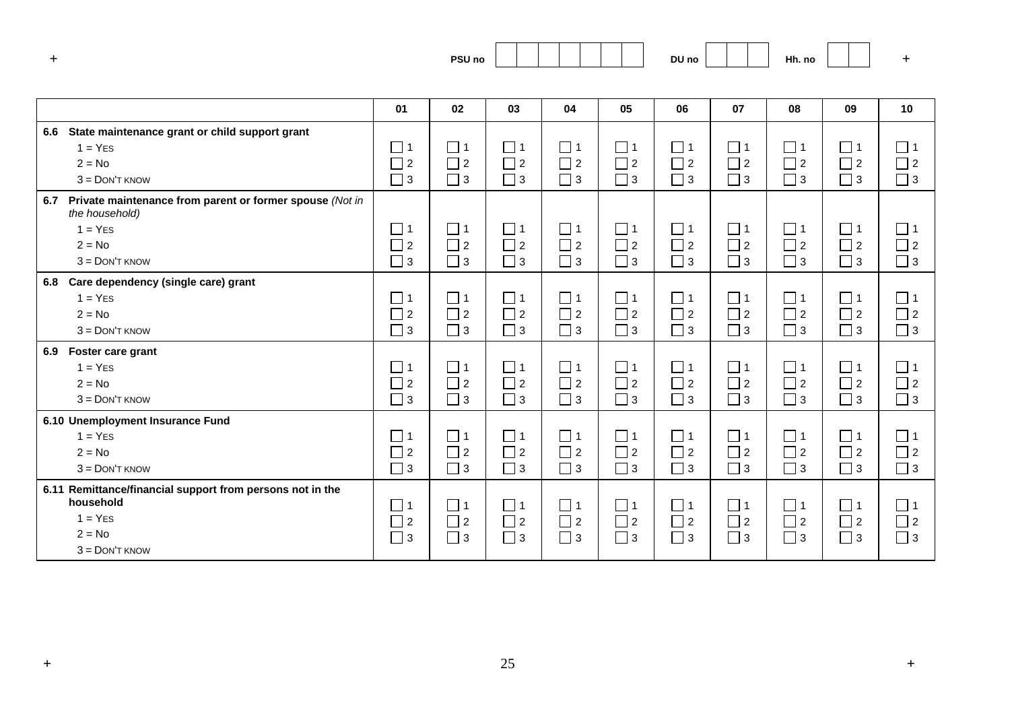|                                                                                   | 01                          | 02       | 03        | 04            | 05       | 06       | 07       | 08       | 09       | 10       |
|-----------------------------------------------------------------------------------|-----------------------------|----------|-----------|---------------|----------|----------|----------|----------|----------|----------|
| State maintenance grant or child support grant<br>6.6                             |                             |          |           |               |          |          |          |          |          |          |
| $1 = YES$                                                                         | $\Box$ 1                    | $\Box$ 1 | $\Box$ 1  | $\Box$ 1      | $\Box$ 1 | $\Box$ 1 | $\Box$ 1 | $\Box$ 1 | $\Box$ 1 | $\Box$ 1 |
| $2 = No$                                                                          | $\Box$ 2                    | $\Box$ 2 | $\Box$ 2  | $\Box$ 2      | $\Box$ 2 | $\Box$ 2 | $\Box$ 2 | $\Box$ 2 | $\Box$ 2 | $\Box$ 2 |
| $3 =$ DON'T KNOW                                                                  | $\Box$ 3                    | $\Box$ 3 | $\Box$ 3  | $\Box$ 3      | $\Box$ 3 | $\Box$ 3 | $\Box$ 3 | $\Box$ 3 | $\Box$ 3 | $\Box$ 3 |
| Private maintenance from parent or former spouse (Not in<br>6.7<br>the household) |                             |          |           |               |          |          |          |          |          |          |
| $1 = YES$                                                                         | $\Box$ 1                    | $\Box$ 1 | $\Box$ 1  | $\Box$ 1      | $\Box$ 1 | $\Box$ 1 | $\Box$ 1 | $\Box$ 1 | $\Box$ 1 | $\Box$ 1 |
| $2 = No$                                                                          | $\Box$ 2                    | $\Box$ 2 | $\Box$ 2  | $\sqsupset$ 2 | $\Box$ 2 | $\Box$ 2 | $\Box$ 2 | $\Box$ 2 | $\Box$ 2 | $\Box$ 2 |
| $3 =$ DON'T KNOW                                                                  | $\Box$ 3                    | $\Box$ 3 | $\Box$ 3  | $\Box$ 3      | $\Box$ 3 | $\Box$ 3 | $\Box$ 3 | $\Box$ 3 | $\Box$ 3 | $\Box$ 3 |
| Care dependency (single care) grant<br>6.8                                        |                             |          |           |               |          |          |          |          |          |          |
| $1 = YES$                                                                         | $\Box$ 1                    | $\Box$ 1 | $\Box$ 1  | $\Box$ 1      | $\Box$ 1 | $\Box$ 1 | $\Box$ 1 | $\Box$ 1 | $\Box$ 1 | $\Box$ 1 |
| $2 = No$                                                                          | $\Box$ 2                    | $\Box$ 2 | $\Box$ 2  | $\sqsupset$ 2 | $\Box$ 2 | $\Box$ 2 | $\Box$ 2 | $\Box$ 2 | $\Box$ 2 | $\Box$ 2 |
| $3 =$ DON'T KNOW                                                                  | $\Box$ 3                    | $\Box$ 3 | $\Box$ 3  | $\Box$ 3      | $\Box$ 3 | $\Box$ 3 | $\Box$ 3 | $\Box$ 3 | $\Box$ 3 | $\Box$ 3 |
| 6.9<br>Foster care grant                                                          |                             |          |           |               |          |          |          |          |          |          |
| $1 = YES$                                                                         | $\mathcal{L}_{\mathcal{A}}$ | $\Box$ 1 | $\Box$ 1  | $\Box$ 1      | $\Box$ 1 | $\Box$ 1 | $\Box$ 1 | $\Box$ 1 | $\Box$ 1 | $\Box$ 1 |
| $2 = No$                                                                          | $\Box$ 2                    | $\Box$ 2 | $\Box$ 2  | $\sqsupset$ 2 | $\Box$ 2 | $\Box$ 2 | $\Box$ 2 | $\Box$ 2 | $\Box$ 2 | $\Box$ 2 |
| $3 =$ DON'T KNOW                                                                  | $\Box$ 3                    | $\Box$ 3 | $\prod$ 3 | $\Box$ 3      | $\Box$ 3 | $\Box$ 3 | $\Box$ 3 | $\Box$ 3 | $\Box$ 3 | $\Box$ 3 |
| 6.10 Unemployment Insurance Fund                                                  |                             |          |           |               |          |          |          |          |          |          |
| $1 = YES$                                                                         | $\Box$ 1                    | $\Box$ 1 | $\Box$ 1  | $\Box$ 1      | $\Box$ 1 | $\Box$ 1 | $\Box$ 1 | $\Box$ 1 | $\Box$ 1 | $\Box$ 1 |
| $2 = No$                                                                          | $\Box$ 2                    | $\Box$ 2 | $\Box$ 2  | $\sqsupset$ 2 | $\Box$ 2 | $\Box$ 2 | $\Box$ 2 | $\Box$ 2 | $\Box$ 2 | $\Box$ 2 |
| $3 =$ DON'T KNOW                                                                  | $\Box$ 3                    | $\Box$ 3 | $\Box$ 3  | $\Box$ 3      | $\Box$ 3 | $\Box$ 3 | $\Box$ 3 | $\Box$ 3 | $\Box$ 3 | $\Box$ 3 |
| 6.11 Remittance/financial support from persons not in the<br>household            | $\Box$ 1                    | $\Box$ 1 | $\Box$ 1  | $\Box$ 1      | $\Box$ 1 | $\Box$ 1 | $\Box$ 1 | $\Box$ 1 | $\Box$ 1 | $\Box$ 1 |
| $1 = YES$                                                                         | $\Box$ 2                    | $\Box$ 2 | $\Box$ 2  | $\Box$ 2      | $\Box$ 2 | $\Box$ 2 | $\Box$ 2 | $\Box$ 2 | $\Box$ 2 | $\Box$ 2 |
| $2 = No$                                                                          | $\Box$ 3                    | $\Box$ 3 | $\Box$ 3  | $\Box$ 3      | $\Box$ 3 | $\Box$ 3 | $\Box$ 3 | $\Box$ 3 | $\Box$ 3 | $\Box$ 3 |
| $3 =$ DON'T KNOW                                                                  |                             |          |           |               |          |          |          |          |          |          |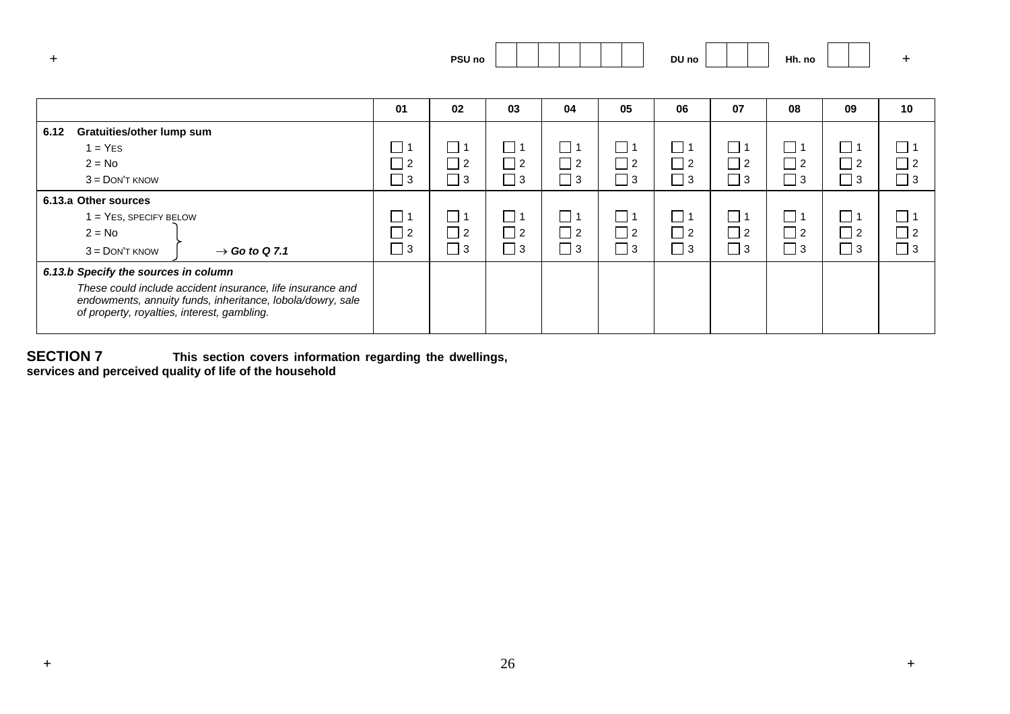| PSU no |  |  |  | DU <sub>nc</sub> |  | <b>ALL 1</b><br>Hh. no |  |  |
|--------|--|--|--|------------------|--|------------------------|--|--|
|        |  |  |  |                  |  |                        |  |  |

|                                                                                                                                                                                                                 | 01                                                    | 02                     | 03                         | 04                   | 05                   | 06                                | 07                               | 08                             | 09                               | 10 <sup>1</sup>                                  |
|-----------------------------------------------------------------------------------------------------------------------------------------------------------------------------------------------------------------|-------------------------------------------------------|------------------------|----------------------------|----------------------|----------------------|-----------------------------------|----------------------------------|--------------------------------|----------------------------------|--------------------------------------------------|
| <b>Gratuities/other lump sum</b><br>6.12                                                                                                                                                                        |                                                       |                        |                            |                      |                      |                                   |                                  |                                |                                  |                                                  |
| $1 = YES$                                                                                                                                                                                                       | $\Box$                                                |                        | l 11                       | 」1                   |                      | $\overline{\phantom{0}}$ 1        | □ 1                              | $\square$ 1                    | □ 1                              | $\overline{\mathcal{L}}$<br>- 1                  |
| $2 = No$                                                                                                                                                                                                        |                                                       | $\vert$ 2              | $\Box$ 2                   | $\Box$ 2             | $\Box$ 2             | $\Box$ 2                          | $\Box$ 2                         | $\Box$ 2                       | $\Box$ 2                         | $\Box$ 2                                         |
| $3 =$ DON'T KNOW                                                                                                                                                                                                | $\Box$ 3                                              | $\Box$ 3               | $\square$ 3                | $\Box$ 3             | $\Box$ 3             | $\Box$ 3                          | $\sqcup$ 3                       | $\square$ 3                    | $\square$ 3                      | $\Box$ 3                                         |
| 6.13.a Other sources<br>$1 = Yes$ , SPECIFY BELOW<br>$2 = No$<br>$3 =$ DON'T KNOW<br>$\rightarrow$ Go to Q 7.1                                                                                                  | $\Box$<br>$\overline{\phantom{0}}$ 2<br>$\sqsupset$ 3 | $\vert$ 2<br>$\vert$ 3 | LΡ<br>$\Box$ 2<br>$\Box$ 3 | $\Box$ 2<br>$\Box$ 3 | $\Box$ 2<br>$\Box$ 3 | $\vert$ 1<br>$\Box$ 2<br>$\Box$ 3 | $\Box$ 1<br>$\Box$ 2<br>$\Box$ 3 | $\Box$<br>$\Box$ 2<br>$\Box$ 3 | $\Box$ 1<br>$\Box$ 2<br>$\Box$ 3 | $\overline{\phantom{a}}$<br>$\Box$ 2<br>$\Box$ 3 |
| 6.13.b Specify the sources in column<br>These could include accident insurance, life insurance and<br>endowments, annuity funds, inheritance, lobola/dowry, sale<br>of property, royalties, interest, gambling. |                                                       |                        |                            |                      |                      |                                   |                                  |                                |                                  |                                                  |

**SECTION 7 This section covers information regarding the dwellings, services and perceived quality of life of the household**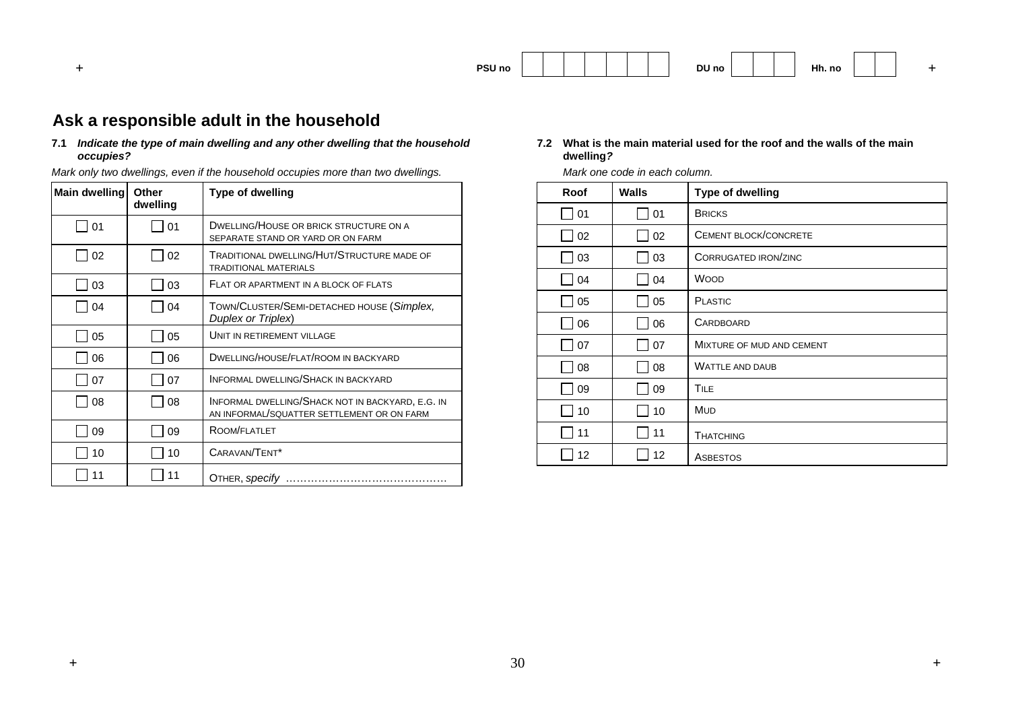$+$ 

# **Ask a responsible adult in the household**

**7.1** *Indicate the type of main dwelling and any other dwelling that the household occupies?*

*Mark only two dwellings, even if the household occupies more than two dwellings.* 

| <b>Main dwelling</b> | Other<br>dwelling | <b>Type of dwelling</b>                                                                        |
|----------------------|-------------------|------------------------------------------------------------------------------------------------|
| $\overline{01}$      | 01                | DWELLING/HOUSE OR BRICK STRUCTURE ON A<br>SEPARATE STAND OR YARD OR ON FARM                    |
| 02                   | 02                | TRADITIONAL DWELLING/HUT/STRUCTURE MADE OF<br><b>TRADITIONAL MATERIALS</b>                     |
| 03                   | 03                | FLAT OR APARTMENT IN A BLOCK OF FLATS                                                          |
| 04                   | 04                | TOWN/CLUSTER/SEMI-DETACHED HOUSE (Simplex,<br>Duplex or Triplex)                               |
| 05                   | 05                | UNIT IN RETIREMENT VILLAGE                                                                     |
| 06                   | 06                | DWELLING/HOUSE/FLAT/ROOM IN BACKYARD                                                           |
| 07                   | 07                | INFORMAL DWELLING/SHACK IN BACKYARD                                                            |
| 08                   | 08                | INFORMAL DWELLING/SHACK NOT IN BACKYARD, E.G. IN<br>AN INFORMAL/SQUATTER SETTLEMENT OR ON FARM |
| 09                   | 09                | ROOM/FLATLET                                                                                   |
| 10                   | 10                | CARAVAN/TENT*                                                                                  |
| 11                   | 11                | OTHER, specify                                                                                 |

#### **7.2 What is the main material used for the roof and the walls of the main dwelling***?*

 *Mark one code in each column.* 

| Roof | <b>Walls</b> | Type of dwelling             |
|------|--------------|------------------------------|
| 01   | 01           | <b>BRICKS</b>                |
| 02   | 02           | <b>CEMENT BLOCK/CONCRETE</b> |
| 03   | 03           | CORRUGATED IRON/ZINC         |
| 04   | 04           | <b>WOOD</b>                  |
| 05   | 05           | <b>PLASTIC</b>               |
| 06   | 06           | <b>CARDBOARD</b>             |
| 07   | 07           | MIXTURE OF MUD AND CEMENT    |
| 08   | 08           | <b>WATTLE AND DAUB</b>       |
| 09   | 09           | TILE                         |
| 10   | 10           | MUD                          |
| 11   | 11           | <b>THATCHING</b>             |
| 12   | 12           | <b>ASBESTOS</b>              |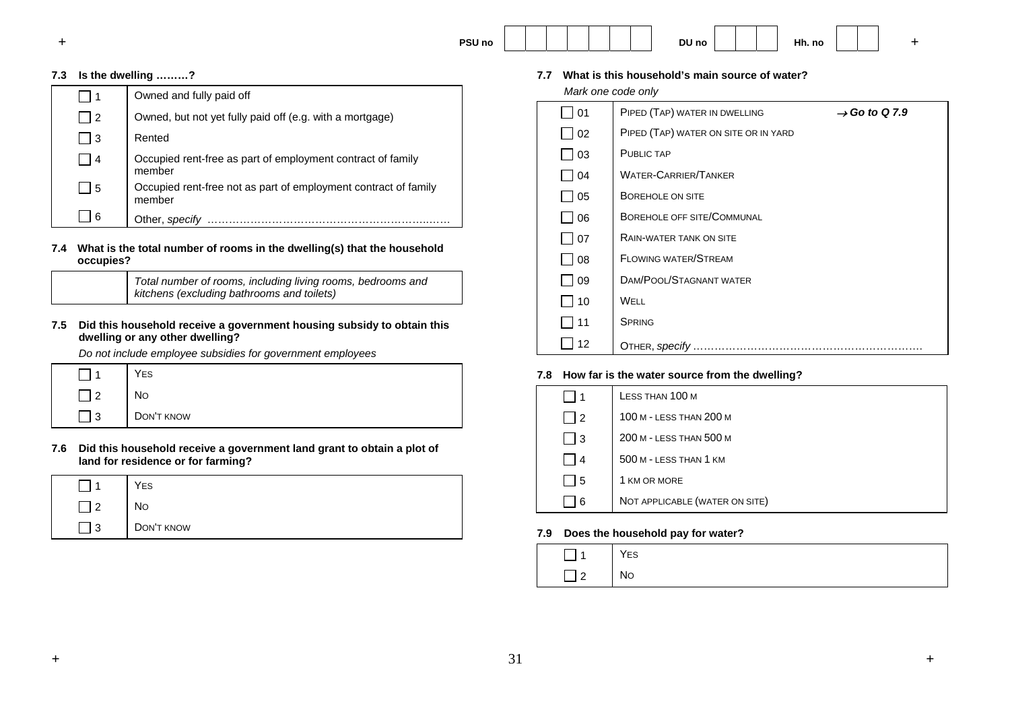# **7.3 Is the dwelling ………?**

|                | Owned and fully paid off                                                  |
|----------------|---------------------------------------------------------------------------|
| l 2            | Owned, but not yet fully paid off (e.g. with a mortgage)                  |
| $\overline{3}$ | Rented                                                                    |
| l 4            | Occupied rent-free as part of employment contract of family<br>member     |
| 15             | Occupied rent-free not as part of employment contract of family<br>member |
| 6              | Other, <i>specify</i>                                                     |

**7.4 What is the total number of rooms in the dwelling(s) that the household occupies?**

> *Total number of rooms, including living rooms, bedrooms and kitchens (excluding bathrooms and toilets)*

#### **7.5 Did this household receive a government housing subsidy to obtain this dwelling or any other dwelling?**

 *Do not include employee subsidies for government employees* 

|   | YES        |
|---|------------|
|   | <b>No</b>  |
| 3 | DON'T KNOW |

# **7.6 Did this household receive a government land grant to obtain a plot of land for residence or for farming?**

|                | YES        |
|----------------|------------|
| r              | <b>No</b>  |
| $\overline{3}$ | DON'T KNOW |

#### **7.7 What is this household's main source of water?**

 *Mark one code only* 

| 01 | PIPED (TAP) WATER IN DWELLING        | $\rightarrow$ Go to Q 7.9 |
|----|--------------------------------------|---------------------------|
| 02 | PIPED (TAP) WATER ON SITE OR IN YARD |                           |
| 03 | <b>PUBLIC TAP</b>                    |                           |
| 04 | <b>WATER-CARRIER/TANKER</b>          |                           |
| 05 | <b>BOREHOLE ON SITE</b>              |                           |
| 06 | BOREHOLE OFF SITE/COMMUNAL           |                           |
| 07 | RAIN-WATER TANK ON SITE              |                           |
| 08 | <b>FLOWING WATER/STREAM</b>          |                           |
| 09 | DAM/POOL/STAGNANT WATER              |                           |
| 10 | WFII                                 |                           |
| 11 | <b>SPRING</b>                        |                           |
| 12 |                                      |                           |

# **7.8 How far is the water source from the dwelling?**

| l 11      | LESS THAN 100 M                |
|-----------|--------------------------------|
| $\Box$ 2  | 100 M - LESS THAN 200 M        |
| $\vert$ 3 | 200 M - LESS THAN 500 M        |
| 4         | 500 M - LESS THAN 1 KM         |
| $ $ 5     | 1 KM OR MORE                   |
| 6         | NOT APPLICABLE (WATER ON SITE) |

# **7.9 Does the household pay for water?**

| $\Box$ 1 | YES                         |
|----------|-----------------------------|
| $\Box$ 2 | $\overline{\phantom{a}}$ No |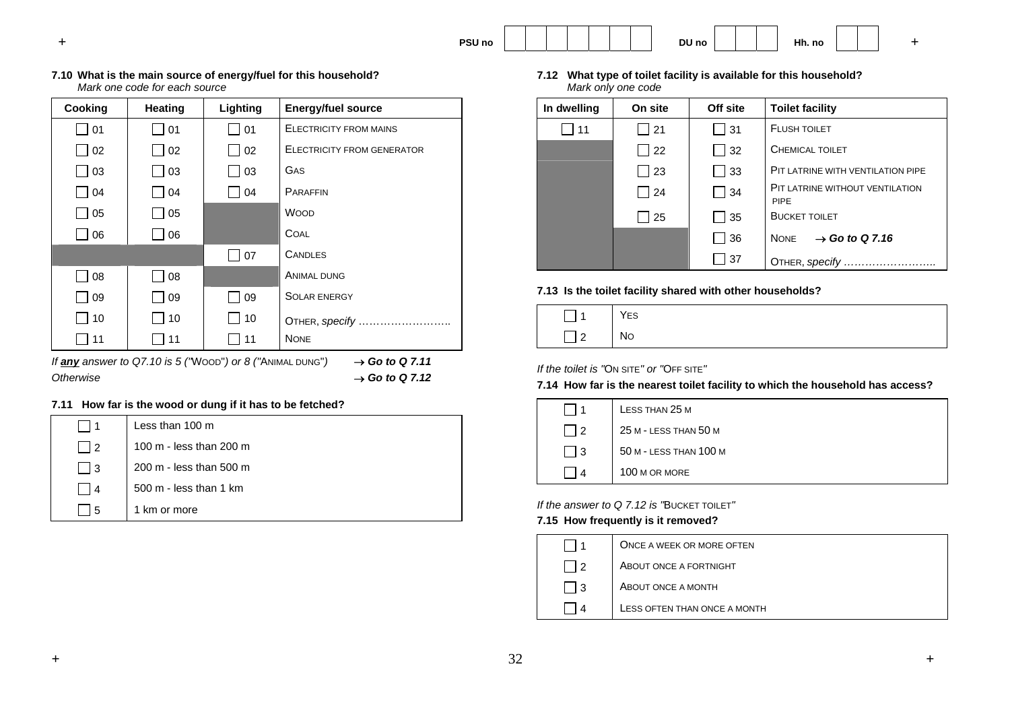| PSU no |  |  | DU <sub>no</sub> |  | Hh. n |  |  |
|--------|--|--|------------------|--|-------|--|--|
|        |  |  |                  |  |       |  |  |



**7.10 What is the main source of energy/fuel for this household?**   *Mark one code for each source*

| Cooking      | <b>Heating</b> | Lighting        | <b>Energy/fuel source</b>         |
|--------------|----------------|-----------------|-----------------------------------|
| 01           | 01             | 01              | <b>ELECTRICITY FROM MAINS</b>     |
| $ 02\rangle$ | 02             | 02              | <b>ELECTRICITY FROM GENERATOR</b> |
| $\vert$ 03   | $\vert$ 03     | $\vert$ 03      | GAS                               |
| 04           | 04             | 04              | <b>PARAFFIN</b>                   |
| 05           | 05             |                 | <b>WOOD</b>                       |
| 06           | 06             |                 | <b>COAL</b>                       |
|              |                | 07              | <b>CANDLES</b>                    |
|              | ] 08           |                 | <b>ANIMAL DUNG</b>                |
| ] ი9         | ] ი9           | 09              | <b>SOLAR ENERGY</b>               |
| 10           | 10             | $\overline{10}$ | OTHER, specify                    |
| 11           | 11             | 11              | <b>NONE</b>                       |

*If any* answer to Q7.10 is 5 ("WOOD") or 8 ("ANIMAL DUNG")  $\rightarrow$  Go to Q 7.11 *Otherwise* →

 $\rightarrow$  Go to Q 7.12

# **7.11 How far is the wood or dung if it has to be fetched?**



**7.12 What type of toilet facility is available for this household?**   *Mark only one code*

| In dwelling | On site | Off site                       | <b>Toilet facility</b>                         |
|-------------|---------|--------------------------------|------------------------------------------------|
| 11          | 21      | -31                            | <b>FLUSH TOILET</b>                            |
|             | 22      | 32                             | CHEMICAL TOILET                                |
|             | 23      | $\begin{array}{c} \end{array}$ | PIT LATRINE WITH VENTILATION PIPE              |
|             | 24      | 34                             | PIT LATRINE WITHOUT VENTILATION<br><b>PIPE</b> |
|             | 25      | 35                             | <b>BUCKET TOILET</b>                           |
|             |         | 36                             | <b>NONE</b><br>$\rightarrow$ Go to Q 7.16      |
|             |         | 37                             | OTHER, specify.                                |

# **7.13 Is the toilet facility shared with other households?**

| $\Box$ 1 | <b>YES</b>                  |
|----------|-----------------------------|
| $\Box$ 2 | $\overline{\phantom{a}}$ No |

*If the toilet is "*ON SITE*" or "*OFF SITE*"* 

# **7.14 How far is the nearest toilet facility to which the household has access?**

|           | LESS THAN 25 M         |
|-----------|------------------------|
| 2         | 25 M - LESS THAN 50 M  |
| $\vert$ 3 | 50 M - LESS THAN 100 M |
|           | 100 M OR MORE          |

*If the answer to Q 7.12 is "*BUCKET TOILET*"* 

## **7.15 How frequently is it removed?**

|      | ONCE A WEEK OR MORE OFTEN    |
|------|------------------------------|
| 2    | ABOUT ONCE A FORTNIGHT       |
| l 13 | ABOUT ONCE A MONTH           |
|      | LESS OFTEN THAN ONCE A MONTH |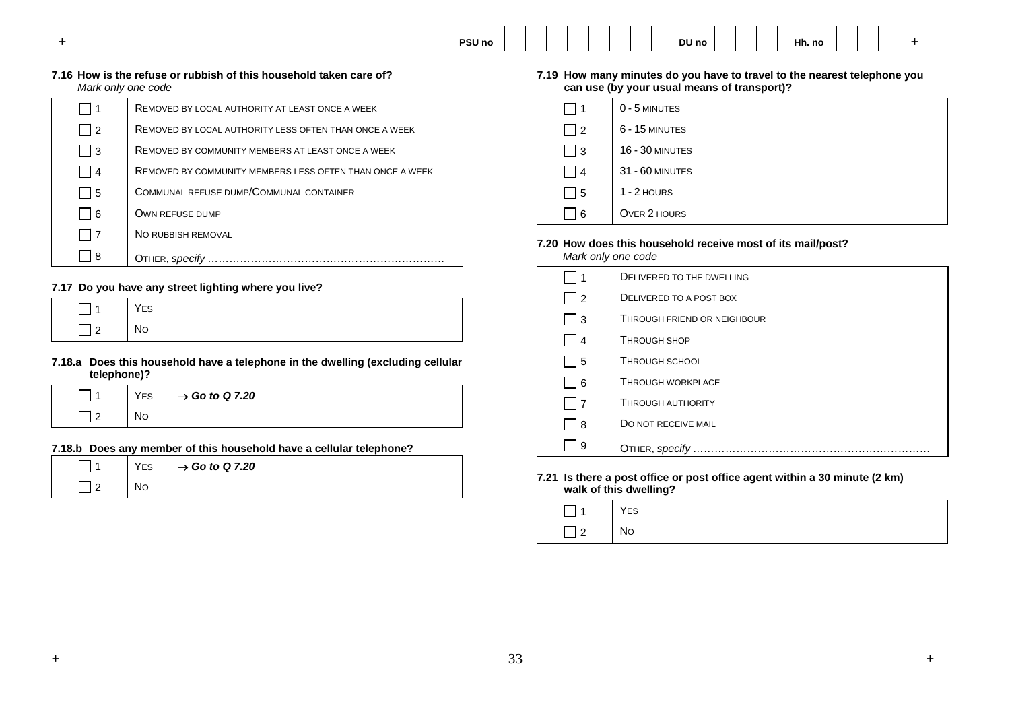| PSU no |  |  | DU no |  | Hh. no<br>$n_{\alpha}$ |  |  |
|--------|--|--|-------|--|------------------------|--|--|
|        |  |  |       |  |                        |  |  |

#### **7.16 How is the refuse or rubbish of this household taken care of?**  *Mark only one code*

|                | REMOVED BY LOCAL AUTHORITY AT LEAST ONCE A WEEK          |
|----------------|----------------------------------------------------------|
| l 2            | REMOVED BY LOCAL AUTHORITY LESS OFTEN THAN ONCE A WEEK   |
| l 3            | REMOVED BY COMMUNITY MEMBERS AT LEAST ONCE A WEEK        |
| l 4            | REMOVED BY COMMUNITY MEMBERS LESS OFTEN THAN ONCE A WEEK |
| l 5            | COMMUNAL REFUSE DUMP/COMMUNAL CONTAINER                  |
| l 6            | OWN REFUSE DUMP                                          |
| $\overline{7}$ | NO RUBBISH REMOVAL                                       |
| 8              | OTHER, specify                                           |

# **7.17 Do you have any street lighting where you live?**

| $\Box$ 1   YES |  |
|----------------|--|
| $\Box$ 2 No    |  |

### **7.18.a Does this household have a telephone in the dwelling (excluding cellular telephone)?**

| <b>YES</b> | $\rightarrow$ Go to Q 7.20 |
|------------|----------------------------|
|            |                            |

# **7.18.b Does any member of this household have a cellular telephone?**

|        |    | $YES \rightarrow Go to Q 7.20$ |  |
|--------|----|--------------------------------|--|
| $\Box$ | No |                                |  |

**7.19 How many minutes do you have to travel to the nearest telephone you can use (by your usual means of transport)?** 

| ∣ 1       | 0 - 5 MINUTES   |
|-----------|-----------------|
| $\vert$ 2 | 6 - 15 MINUTES  |
| $\vert$ 3 | 16 - 30 MINUTES |
| $\vert 4$ | 31 - 60 MINUTES |
| $\vert 5$ | $1 - 2$ HOURS   |
| 6         | OVER 2 HOURS    |

# **7.20 How does this household receive most of its mail/post?**

*Mark only one code* 

|                | DELIVERED TO THE DWELLING   |
|----------------|-----------------------------|
| $\overline{2}$ | DELIVERED TO A POST BOX     |
| l 3            | THROUGH FRIEND OR NEIGHBOUR |
| $\vert 4$      | <b>THROUGH SHOP</b>         |
| $\sqrt{5}$     | <b>THROUGH SCHOOL</b>       |
| 6              | <b>THROUGH WORKPLACE</b>    |
| $\vert$ 7      | <b>THROUGH AUTHORITY</b>    |
| 8              | DO NOT RECEIVE MAIL         |
| 9              | OTHER, specify.             |

# **7.21 Is there a post office or post office agent within a 30 minute (2 km) walk of this dwelling?**

| $\vert$   1 | YES       |
|-------------|-----------|
| $\vert$   2 | <b>No</b> |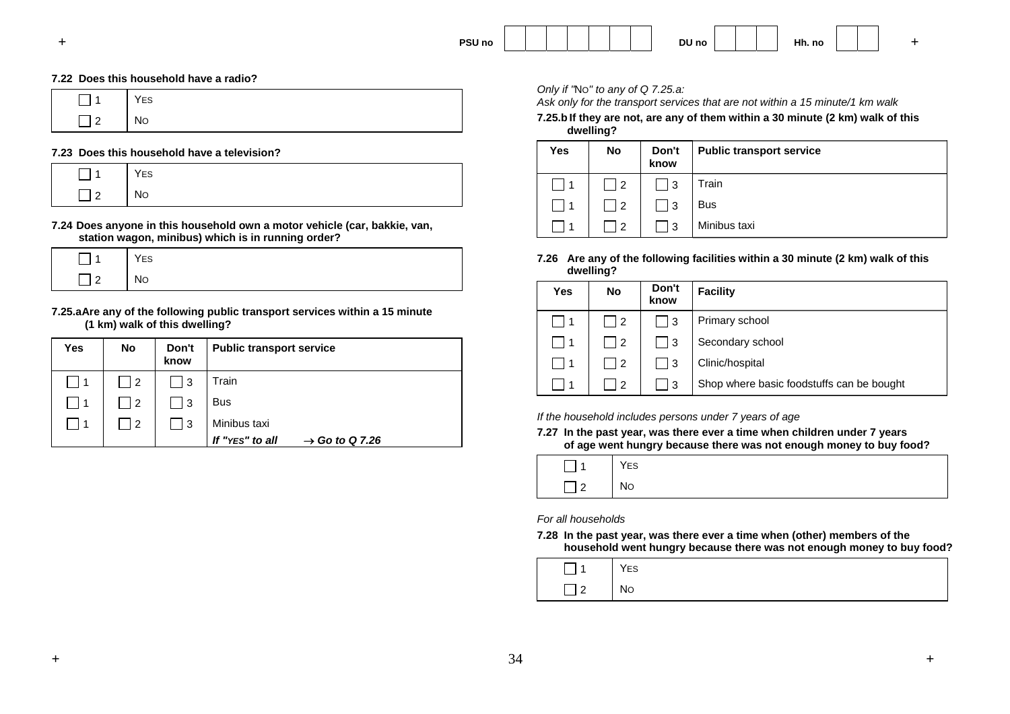#### **7.22 Does this household have a radio?**

| $\Box$ 1 YES |     |
|--------------|-----|
| $\Box$ 2     | No. |

#### **7.23 Does this household have a television?**

| $\blacksquare$ $\blacksquare$ $\blacksquare$ | <sup>1</sup> YES            |
|----------------------------------------------|-----------------------------|
| $\vert$ $\vert$ 2                            | $\overline{\phantom{a}}$ No |

# **7.24 Does anyone in this household own a motor vehicle (car, bakkie, van, station wagon, minibus) which is in running order?**

| $\Box$ 1   YES |  |
|----------------|--|
| $\Box$ 2   No  |  |

## **7.25.a Are any of the following public transport services within a 15 minute (1 km) walk of this dwelling?**

| Yes             | No             | Don't<br>know | <b>Public transport service</b>                               |
|-----------------|----------------|---------------|---------------------------------------------------------------|
|                 | $\frac{12}{2}$ | l 3           | Train                                                         |
| $\overline{11}$ | $\frac{12}{2}$ | l 3           | <b>Bus</b>                                                    |
| $\overline{11}$ | $\overline{2}$ | l 3           | Minibus taxi<br>If "YES" to all<br>$\rightarrow$ Go to Q 7.26 |

# *Only if "*NO*" to any of Q 7.25.a:*

*Ask only for the transport services that are not within a 15 minute/1 km walk* 

**7.25.b If they are not, are any of them within a 30 minute (2 km) walk of this dwelling?**

| Yes | No            | Don't<br>know | <b>Public transport service</b> |
|-----|---------------|---------------|---------------------------------|
|     | $^{\prime}$ 2 | 3             | Train                           |
| I 1 | -2            | l 3           | <b>Bus</b>                      |
|     | 2             | ີ             | Minibus taxi                    |

#### **7.26 Are any of the following facilities within a 30 minute (2 km) walk of this dwelling?**

| Yes    | No             | Don't<br>know | <b>Facility</b>                           |
|--------|----------------|---------------|-------------------------------------------|
|        | $\overline{2}$ | l 3           | Primary school                            |
| 111    | $\overline{2}$ | l 3           | Secondary school                          |
| $ $ 11 | $\vert$ 2      | l 3           | Clinic/hospital                           |
| -1     | -2             | l 3           | Shop where basic foodstuffs can be bought |

*If the household includes persons under 7 years of age* 

# **7.27 In the past year, was there ever a time when children under 7 years of age went hungry because there was not enough money to buy food?**

| $\Box$ 1 | <b>YES</b>                  |
|----------|-----------------------------|
| $\Box$ 2 | $\overline{\phantom{a}}$ No |

#### *For all households*

**7.28 In the past year, was there ever a time when (other) members of the household went hungry because there was not enough money to buy food?** 

| $\Box$ 1   YES |                             |
|----------------|-----------------------------|
| $\Box$ 2       | $\overline{\phantom{a}}$ No |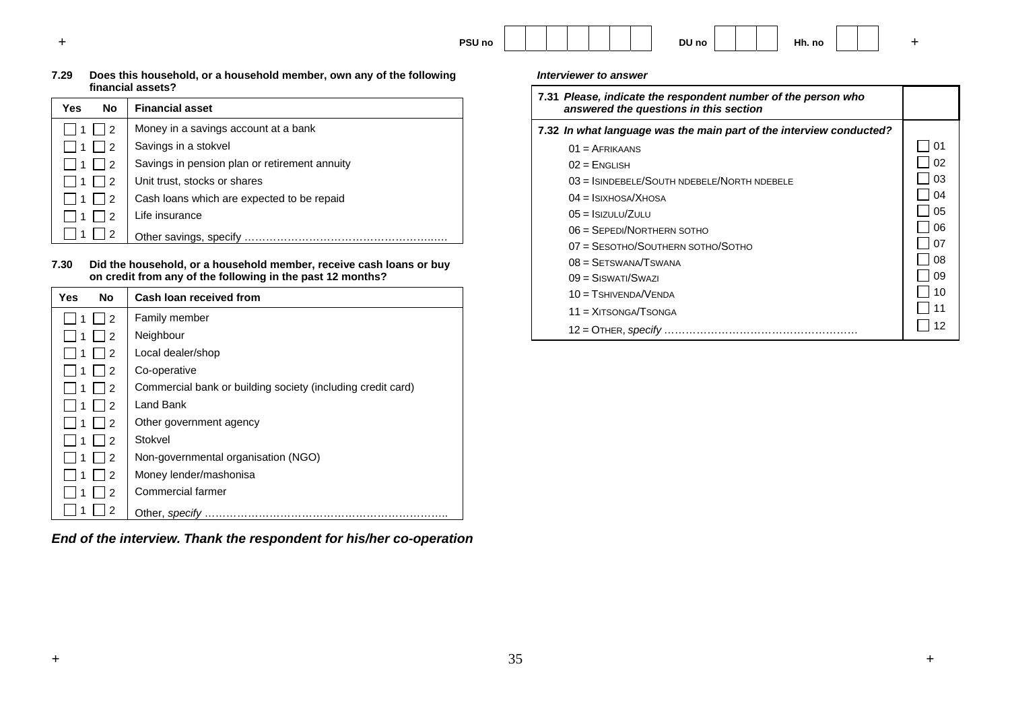**7.29 Does this household, or a household member, own any of the following financial assets?**

| <b>Yes</b><br>No | <b>Financial asset</b>                        |
|------------------|-----------------------------------------------|
| $\vert$ 2        | Money in a savings account at a bank          |
| $\vert$ 2        | Savings in a stokvel                          |
| $\vert$ 2        | Savings in pension plan or retirement annuity |
| $\vert$ 2        | Unit trust, stocks or shares                  |
| $\vert$ 2        | Cash loans which are expected to be repaid    |
| $\vert$ 2        | Life insurance                                |
|                  | Other savings, specify                        |

# **7.30 Did the household, or a household member, receive cash loans or buy on credit from any of the following in the past 12 months?**

| <b>Yes</b><br><b>No</b> | Cash loan received from                                     |
|-------------------------|-------------------------------------------------------------|
| 2                       | <b>Family member</b>                                        |
| 2                       | Neighbour                                                   |
| 2                       | Local dealer/shop                                           |
| 2                       | Co-operative                                                |
| 2                       | Commercial bank or building society (including credit card) |
| 2                       | Land Bank                                                   |
| 2                       | Other government agency                                     |
| 2                       | Stokvel                                                     |
| 2                       | Non-governmental organisation (NGO)                         |
| 2                       | Money lender/mashonisa                                      |
| 2                       | Commercial farmer                                           |
| 2                       | Other, specify.                                             |

*End of the interview. Thank the respondent for his/her co-operation* 

*Interviewer to answer* 

| 7.31 Please, indicate the respondent number of the person who<br>answered the questions in this section |    |
|---------------------------------------------------------------------------------------------------------|----|
| 7.32 In what language was the main part of the interview conducted?                                     |    |
| $01 = AFRIKAANS$                                                                                        | 01 |
| $02$ = ENGLISH                                                                                          | 02 |
| 03 = ISINDEBELE/SOUTH NDEBELE/NORTH NDEBELE                                                             | 03 |
| $04 =$ ISIXHOSA/XHOSA                                                                                   | 04 |
| $05 = 1$ SIZULU/ZULU                                                                                    | 05 |
| $06 =$ SEPEDI/NORTHERN SOTHO                                                                            | 06 |
| 07 = SESOTHO/SOUTHERN SOTHO/SOTHO                                                                       | 07 |
| $08 =$ SFTSWANA/TSWANA                                                                                  | 08 |
| $09 =$ SISWATI/SWAZI                                                                                    | 09 |
| $10 =$ TSHIVENDA/VENDA                                                                                  | 10 |
| $11 = XITSONGA/TSONGA$                                                                                  |    |
| $12 =$ OTHER, specify.                                                                                  |    |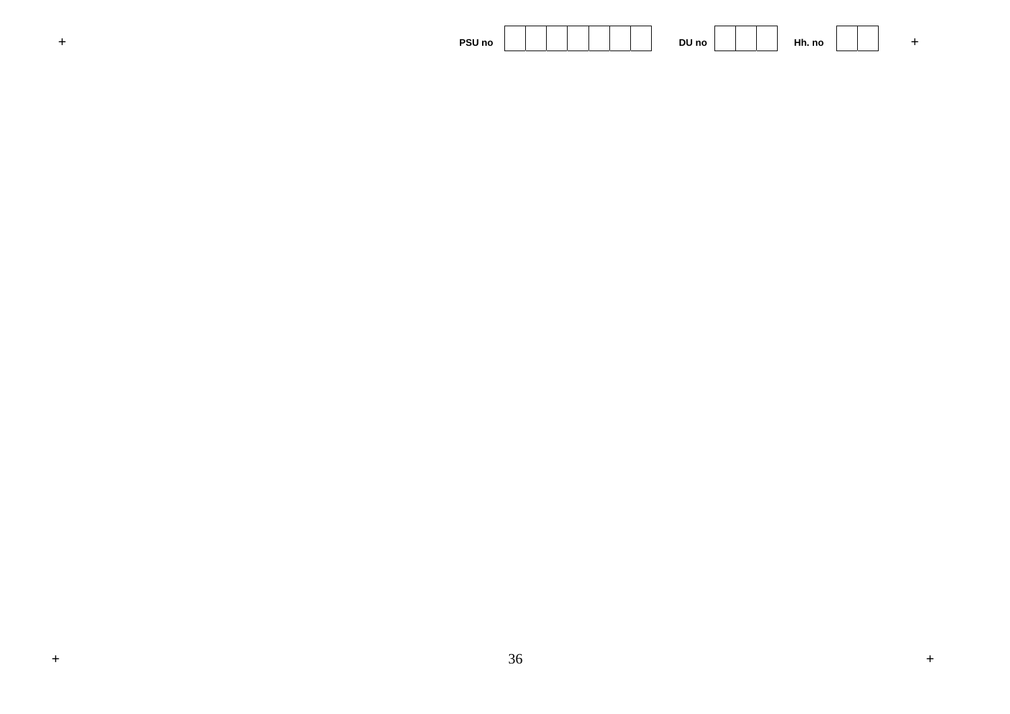| PSU no |  |  | DU no |  | Hh. no |  |  |
|--------|--|--|-------|--|--------|--|--|
|--------|--|--|-------|--|--------|--|--|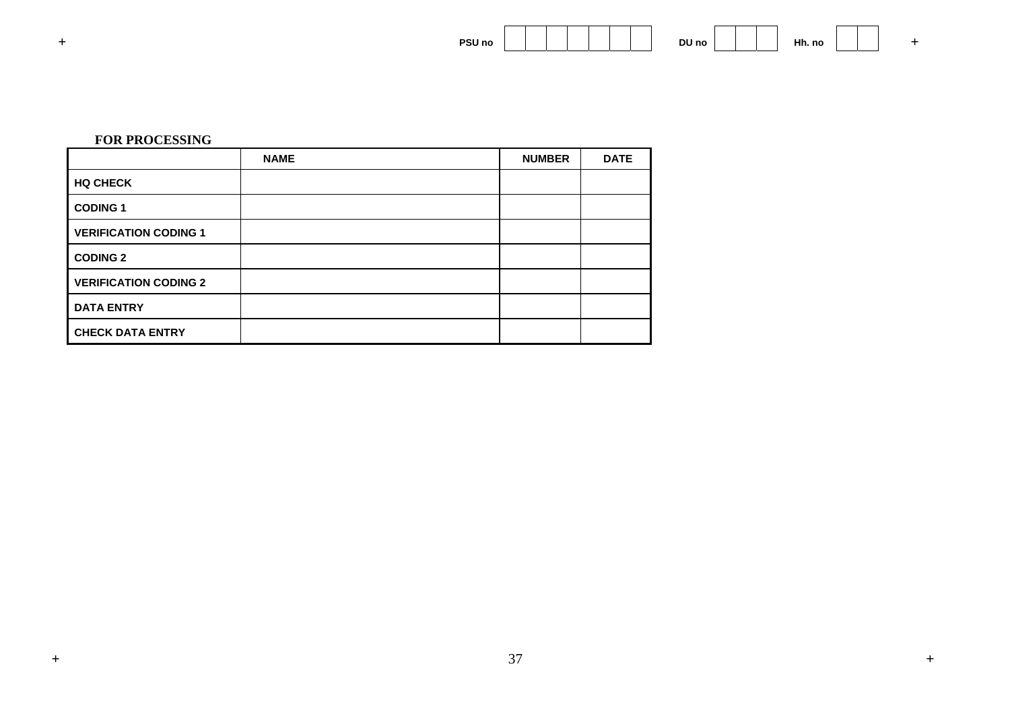

# **FOR PROCESSING**

|                              | <b>NAME</b> | <b>NUMBER</b> | <b>DATE</b> |
|------------------------------|-------------|---------------|-------------|
| <b>HQ CHECK</b>              |             |               |             |
| <b>CODING 1</b>              |             |               |             |
| <b>VERIFICATION CODING 1</b> |             |               |             |
| <b>CODING 2</b>              |             |               |             |
| <b>VERIFICATION CODING 2</b> |             |               |             |
| <b>DATA ENTRY</b>            |             |               |             |
| <b>CHECK DATA ENTRY</b>      |             |               |             |